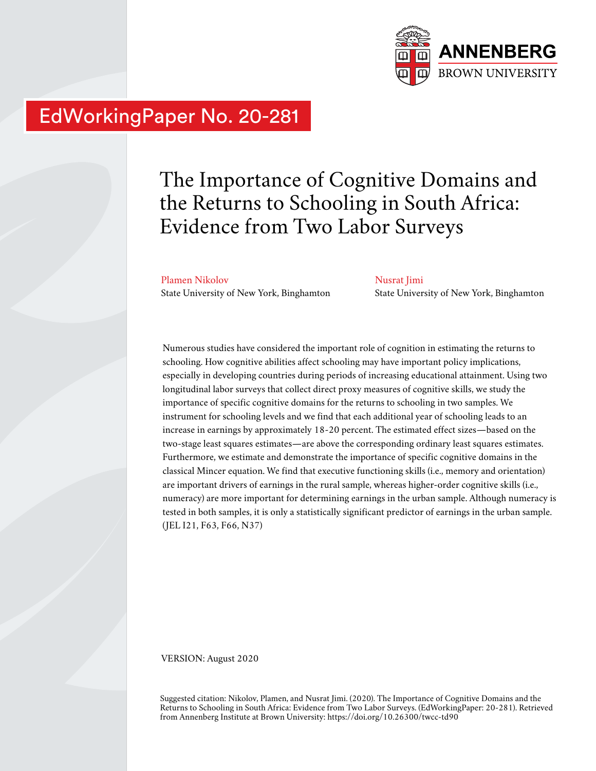

# EdWorkingPaper No. 20-281

# The Importance of Cognitive Domains and the Returns to Schooling in South Africa: Evidence from Two Labor Surveys

Plamen Nikolov State University of New York, Binghamton

Nusrat Jimi State University of New York, Binghamton

Numerous studies have considered the important role of cognition in estimating the returns to schooling. How cognitive abilities affect schooling may have important policy implications, especially in developing countries during periods of increasing educational attainment. Using two longitudinal labor surveys that collect direct proxy measures of cognitive skills, we study the importance of specific cognitive domains for the returns to schooling in two samples. We instrument for schooling levels and we find that each additional year of schooling leads to an increase in earnings by approximately 18-20 percent. The estimated effect sizes—based on the two-stage least squares estimates—are above the corresponding ordinary least squares estimates. Furthermore, we estimate and demonstrate the importance of specific cognitive domains in the classical Mincer equation. We find that executive functioning skills (i.e., memory and orientation) are important drivers of earnings in the rural sample, whereas higher-order cognitive skills (i.e., numeracy) are more important for determining earnings in the urban sample. Although numeracy is tested in both samples, it is only a statistically significant predictor of earnings in the urban sample. (JEL I21, F63, F66, N37)

VERSION: August 2020

Suggested citation: Nikolov, Plamen, and Nusrat Jimi. (2020). The Importance of Cognitive Domains and the Returns to Schooling in South Africa: Evidence from Two Labor Surveys. (EdWorkingPaper: 20-281). Retrieved from Annenberg Institute at Brown University: https://doi.org/10.26300/twcc-td90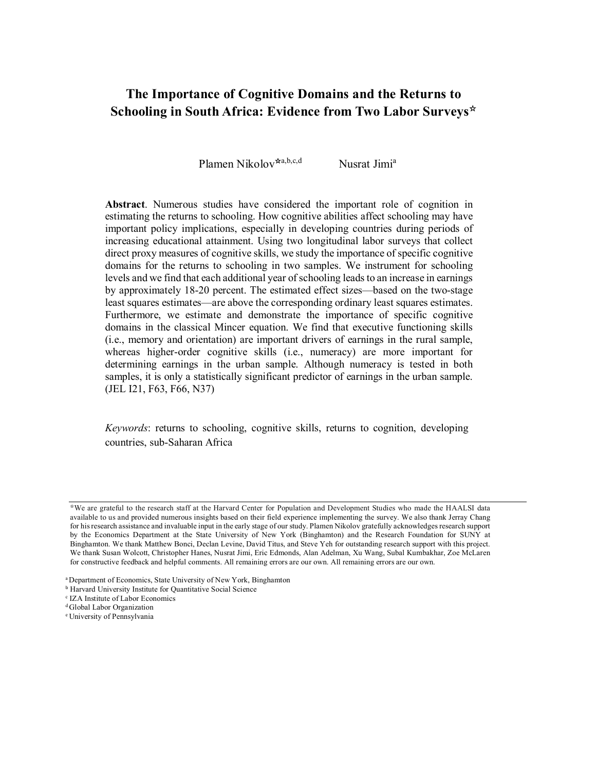# **The Importance of Cognitive Domains and the Returns to Schooling in South Africa: Evidence from Two Labor Surveys**☆

Plamen Nikolov<sup> $\star$ a,b,c,d Nusrat Jimi<sup>a</sup></sup>

**Abstract**. Numerous studies have considered the important role of cognition in estimating the returns to schooling. How cognitive abilities affect schooling may have important policy implications, especially in developing countries during periods of increasing educational attainment. Using two longitudinal labor surveys that collect direct proxy measures of cognitive skills, we study the importance of specific cognitive domains for the returns to schooling in two samples. We instrument for schooling levels and we find that each additional year of schooling leads to an increase in earnings by approximately 18-20 percent. The estimated effect sizes—based on the two-stage least squares estimates—are above the corresponding ordinary least squares estimates. Furthermore, we estimate and demonstrate the importance of specific cognitive domains in the classical Mincer equation. We find that executive functioning skills (i.e., memory and orientation) are important drivers of earnings in the rural sample, whereas higher-order cognitive skills (i.e., numeracy) are more important for determining earnings in the urban sample. Although numeracy is tested in both samples, it is only a statistically significant predictor of earnings in the urban sample. (JEL I21, F63, F66, N37)

*Keywords*: returns to schooling, cognitive skills, returns to cognition, developing countries, sub-Saharan Africa

<sup>☆</sup>We are grateful to the research staff at the Harvard Center for Population and Development Studies who made the HAALSI data available to us and provided numerous insights based on their field experience implementing the survey. We also thank Jerray Chang for his research assistance and invaluable input in the early stage of our study. Plamen Nikolov gratefully acknowledges research support by the Economics Department at the State University of New York (Binghamton) and the Research Foundation for SUNY at Binghamton. We thank Matthew Bonci, Declan Levine, David Titus, and Steve Yeh for outstanding research support with this project. We thank Susan Wolcott, Christopher Hanes, Nusrat Jimi, Eric Edmonds, Alan Adelman, Xu Wang, Subal Kumbakhar, Zoe McLaren for constructive feedback and helpful comments. All remaining errors are our own. All remaining errors are our own.

<sup>&</sup>lt;sup>a</sup> Department of Economics, State University of New York, Binghamton

**b Harvard University Institute for Quantitative Social Science** 

c IZA Institute of Labor Economics

<sup>d</sup>Global Labor Organization

<sup>e</sup>University of Pennsylvania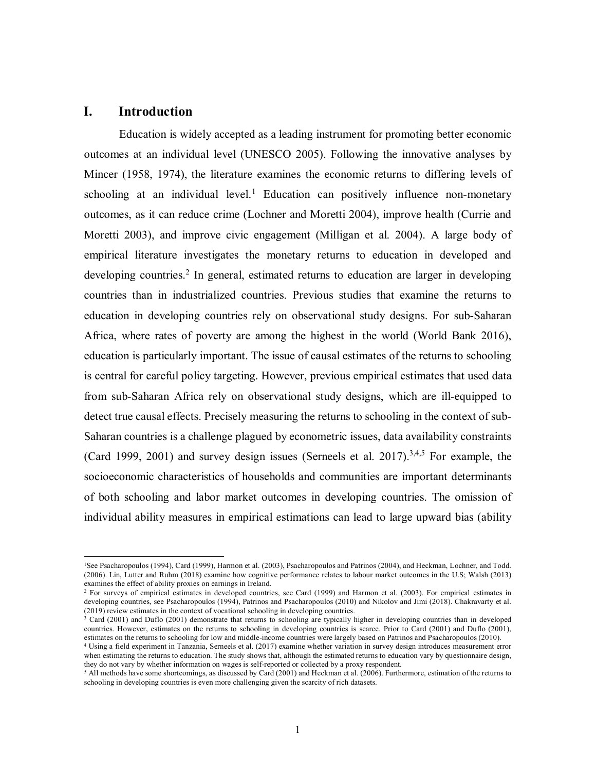# **I. Introduction**

l.

Education is widely accepted as a leading instrument for promoting better economic outcomes at an individual level (UNESCO 2005). Following the innovative analyses by Mincer (1958, 1974), the literature examines the economic returns to differing levels of schooling at an individual level.<sup>1</sup> Education can positively influence non-monetary outcomes, as it can reduce crime (Lochner and Moretti 2004), improve health (Currie and Moretti 2003), and improve civic engagement (Milligan et al. 2004). A large body of empirical literature investigates the monetary returns to education in developed and developing countries.<sup>2</sup> In general, estimated returns to education are larger in developing countries than in industrialized countries. Previous studies that examine the returns to education in developing countries rely on observational study designs. For sub-Saharan Africa, where rates of poverty are among the highest in the world (World Bank 2016), education is particularly important. The issue of causal estimates of the returns to schooling is central for careful policy targeting. However, previous empirical estimates that used data from sub-Saharan Africa rely on observational study designs, which are ill-equipped to detect true causal effects. Precisely measuring the returns to schooling in the context of sub-Saharan countries is a challenge plagued by econometric issues, data availability constraints (Card 1999, 2001) and survey design issues (Serneels et al. 2017).<sup>3,4,5</sup> For example, the socioeconomic characteristics of households and communities are important determinants of both schooling and labor market outcomes in developing countries. The omission of individual ability measures in empirical estimations can lead to large upward bias (ability

<sup>1</sup>See Psacharopoulos (1994), Card (1999), Harmon et al. (2003), Psacharopoulos and Patrinos (2004), and Heckman, Lochner, and Todd. (2006). Lin, Lutter and Ruhm (2018) examine how cognitive performance relates to labour market outcomes in the U.S; Walsh (2013) examines the effect of ability proxies on earnings in Ireland.

<sup>&</sup>lt;sup>2</sup> For surveys of empirical estimates in developed countries, see Card (1999) and Harmon et al. (2003). For empirical estimates in developing countries, see Psacharopoulos (1994), Patrinos and Psacharopoulos (2010) and Nikolov and Jimi (2018). Chakravarty et al. (2019) review estimates in the context of vocational schooling in developing countries.

<sup>&</sup>lt;sup>3</sup> Card (2001) and Duflo (2001) demonstrate that returns to schooling are typically higher in developing countries than in developed countries. However, estimates on the returns to schooling in developing countries is scarce. Prior to Card (2001) and Duflo (2001), estimates on the returns to schooling for low and middle-income countries were largely based on Patrinos and Psacharopoulos (2010).

<sup>4</sup> Using a field experiment in Tanzania, Serneels et al. (2017) examine whether variation in survey design introduces measurement error when estimating the returns to education. The study shows that, although the estimated returns to education vary by questionnaire design, they do not vary by whether information on wages is self-reported or collected by a proxy respondent.

<sup>&</sup>lt;sup>5</sup> All methods have some shortcomings, as discussed by Card (2001) and Heckman et al. (2006). Furthermore, estimation of the returns to schooling in developing countries is even more challenging given the scarcity of rich datasets.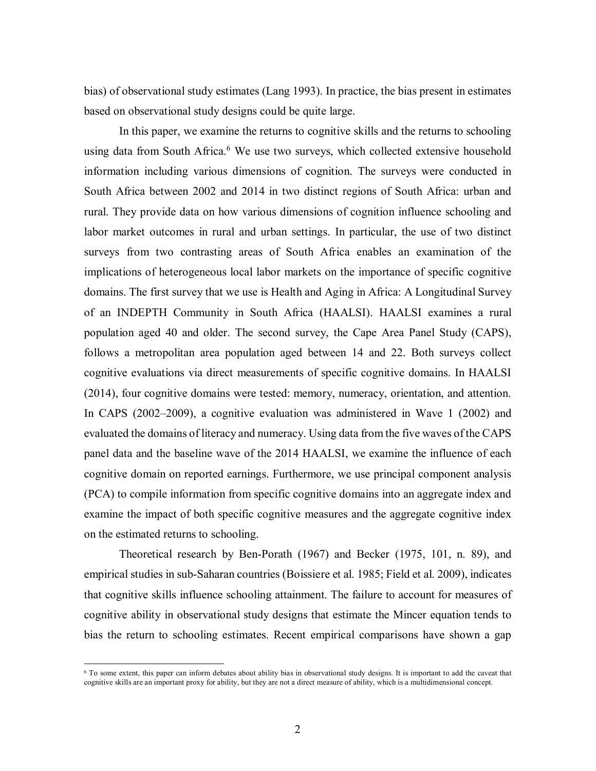bias) of observational study estimates (Lang 1993). In practice, the bias present in estimates based on observational study designs could be quite large.

In this paper, we examine the returns to cognitive skills and the returns to schooling using data from South Africa.<sup>6</sup> We use two surveys, which collected extensive household information including various dimensions of cognition. The surveys were conducted in South Africa between 2002 and 2014 in two distinct regions of South Africa: urban and rural. They provide data on how various dimensions of cognition influence schooling and labor market outcomes in rural and urban settings. In particular, the use of two distinct surveys from two contrasting areas of South Africa enables an examination of the implications of heterogeneous local labor markets on the importance of specific cognitive domains. The first survey that we use is Health and Aging in Africa: A Longitudinal Survey of an INDEPTH Community in South Africa (HAALSI). HAALSI examines a rural population aged 40 and older. The second survey, the Cape Area Panel Study (CAPS), follows a metropolitan area population aged between 14 and 22. Both surveys collect cognitive evaluations via direct measurements of specific cognitive domains. In HAALSI (2014), four cognitive domains were tested: memory, numeracy, orientation, and attention. In CAPS (2002–2009), a cognitive evaluation was administered in Wave 1 (2002) and evaluated the domains of literacy and numeracy. Using data from the five waves of the CAPS panel data and the baseline wave of the 2014 HAALSI, we examine the influence of each cognitive domain on reported earnings. Furthermore, we use principal component analysis (PCA) to compile information from specific cognitive domains into an aggregate index and examine the impact of both specific cognitive measures and the aggregate cognitive index on the estimated returns to schooling.

Theoretical research by Ben-Porath (1967) and Becker (1975, 101, n. 89), and empirical studies in sub-Saharan countries (Boissiere et al. 1985; Field et al. 2009), indicates that cognitive skills influence schooling attainment. The failure to account for measures of cognitive ability in observational study designs that estimate the Mincer equation tends to bias the return to schooling estimates. Recent empirical comparisons have shown a gap

<sup>6</sup> To some extent, this paper can inform debates about ability bias in observational study designs. It is important to add the caveat that cognitive skills are an important proxy for ability, but they are not a direct measure of ability, which is a multidimensional concept.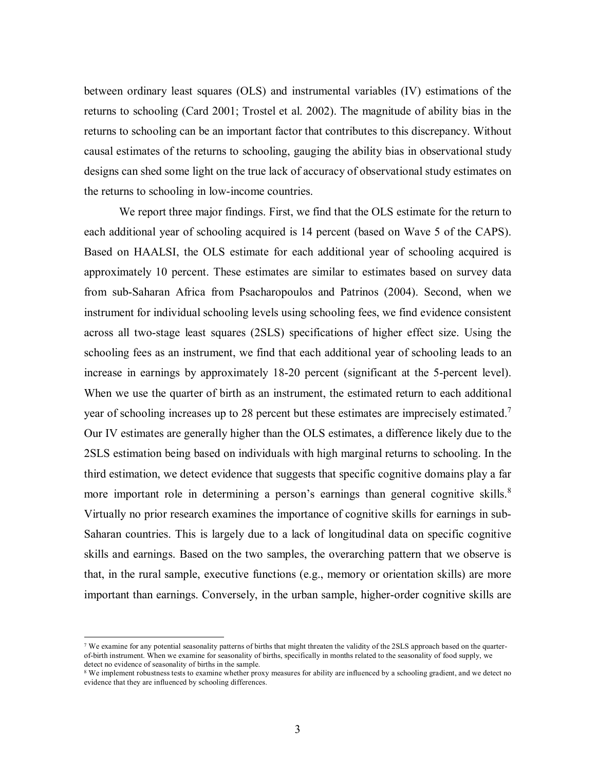between ordinary least squares (OLS) and instrumental variables (IV) estimations of the returns to schooling (Card 2001; Trostel et al. 2002). The magnitude of ability bias in the returns to schooling can be an important factor that contributes to this discrepancy. Without causal estimates of the returns to schooling, gauging the ability bias in observational study designs can shed some light on the true lack of accuracy of observational study estimates on the returns to schooling in low-income countries.

We report three major findings. First, we find that the OLS estimate for the return to each additional year of schooling acquired is 14 percent (based on Wave 5 of the CAPS). Based on HAALSI, the OLS estimate for each additional year of schooling acquired is approximately 10 percent. These estimates are similar to estimates based on survey data from sub-Saharan Africa from Psacharopoulos and Patrinos (2004). Second, when we instrument for individual schooling levels using schooling fees, we find evidence consistent across all two-stage least squares (2SLS) specifications of higher effect size. Using the schooling fees as an instrument, we find that each additional year of schooling leads to an increase in earnings by approximately 18-20 percent (significant at the 5-percent level). When we use the quarter of birth as an instrument, the estimated return to each additional year of schooling increases up to 28 percent but these estimates are imprecisely estimated.<sup>7</sup> Our IV estimates are generally higher than the OLS estimates, a difference likely due to the 2SLS estimation being based on individuals with high marginal returns to schooling. In the third estimation, we detect evidence that suggests that specific cognitive domains play a far more important role in determining a person's earnings than general cognitive skills.<sup>8</sup> Virtually no prior research examines the importance of cognitive skills for earnings in sub-Saharan countries. This is largely due to a lack of longitudinal data on specific cognitive skills and earnings. Based on the two samples, the overarching pattern that we observe is that, in the rural sample, executive functions (e.g., memory or orientation skills) are more important than earnings. Conversely, in the urban sample, higher-order cognitive skills are

 $\overline{a}$ 

<sup>7</sup> We examine for any potential seasonality patterns of births that might threaten the validity of the 2SLS approach based on the quarterof-birth instrument. When we examine for seasonality of births, specifically in months related to the seasonality of food supply, we detect no evidence of seasonality of births in the sample.

<sup>&</sup>lt;sup>8</sup> We implement robustness tests to examine whether proxy measures for ability are influenced by a schooling gradient, and we detect no evidence that they are influenced by schooling differences.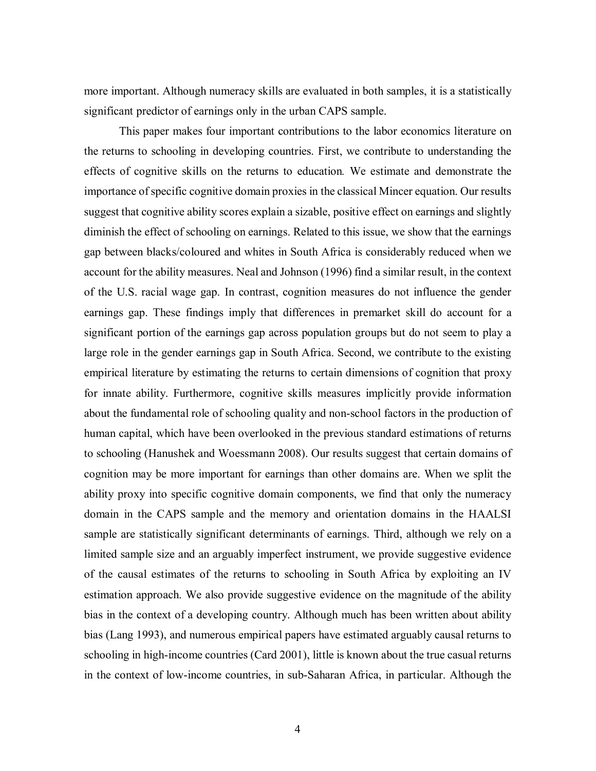more important. Although numeracy skills are evaluated in both samples, it is a statistically significant predictor of earnings only in the urban CAPS sample.

This paper makes four important contributions to the labor economics literature on the returns to schooling in developing countries. First, we contribute to understanding the effects of cognitive skills on the returns to education*.* We estimate and demonstrate the importance of specific cognitive domain proxies in the classical Mincer equation. Our results suggest that cognitive ability scores explain a sizable, positive effect on earnings and slightly diminish the effect of schooling on earnings. Related to this issue, we show that the earnings gap between blacks/coloured and whites in South Africa is considerably reduced when we account for the ability measures. Neal and Johnson (1996) find a similar result, in the context of the U.S. racial wage gap. In contrast, cognition measures do not influence the gender earnings gap. These findings imply that differences in premarket skill do account for a significant portion of the earnings gap across population groups but do not seem to play a large role in the gender earnings gap in South Africa. Second, we contribute to the existing empirical literature by estimating the returns to certain dimensions of cognition that proxy for innate ability. Furthermore, cognitive skills measures implicitly provide information about the fundamental role of schooling quality and non-school factors in the production of human capital, which have been overlooked in the previous standard estimations of returns to schooling (Hanushek and Woessmann 2008). Our results suggest that certain domains of cognition may be more important for earnings than other domains are. When we split the ability proxy into specific cognitive domain components, we find that only the numeracy domain in the CAPS sample and the memory and orientation domains in the HAALSI sample are statistically significant determinants of earnings. Third, although we rely on a limited sample size and an arguably imperfect instrument, we provide suggestive evidence of the causal estimates of the returns to schooling in South Africa by exploiting an IV estimation approach. We also provide suggestive evidence on the magnitude of the ability bias in the context of a developing country. Although much has been written about ability bias (Lang 1993), and numerous empirical papers have estimated arguably causal returns to schooling in high-income countries (Card 2001), little is known about the true casual returns in the context of low-income countries, in sub-Saharan Africa, in particular. Although the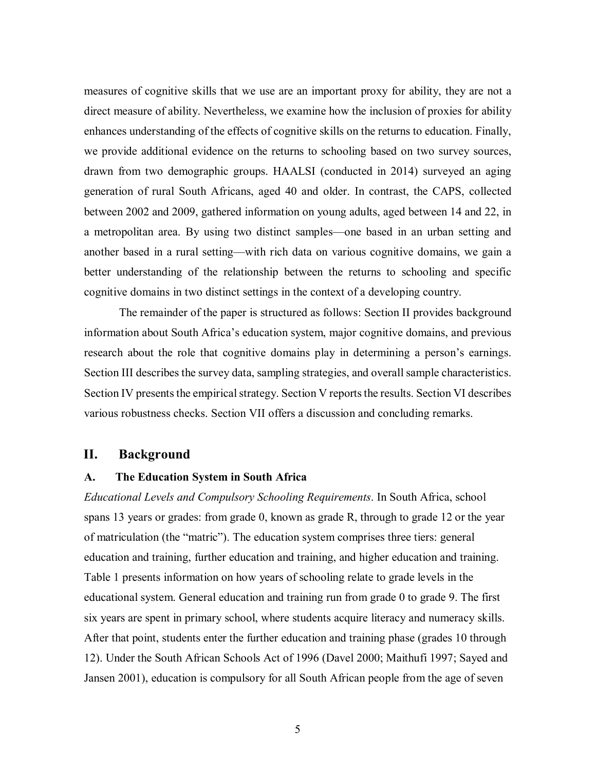measures of cognitive skills that we use are an important proxy for ability, they are not a direct measure of ability. Nevertheless, we examine how the inclusion of proxies for ability enhances understanding of the effects of cognitive skills on the returns to education. Finally, we provide additional evidence on the returns to schooling based on two survey sources, drawn from two demographic groups. HAALSI (conducted in 2014) surveyed an aging generation of rural South Africans, aged 40 and older. In contrast, the CAPS, collected between 2002 and 2009, gathered information on young adults, aged between 14 and 22, in a metropolitan area. By using two distinct samples—one based in an urban setting and another based in a rural setting—with rich data on various cognitive domains, we gain a better understanding of the relationship between the returns to schooling and specific cognitive domains in two distinct settings in the context of a developing country.

The remainder of the paper is structured as follows: Section II provides background information about South Africa's education system, major cognitive domains, and previous research about the role that cognitive domains play in determining a person's earnings. Section III describes the survey data, sampling strategies, and overall sample characteristics. Section IV presents the empirical strategy. Section V reports the results. Section VI describes various robustness checks. Section VII offers a discussion and concluding remarks.

# **II. Background**

### **A. The Education System in South Africa**

*Educational Levels and Compulsory Schooling Requirements*. In South Africa, school spans 13 years or grades: from grade 0, known as grade R, through to grade 12 or the year of matriculation (the "matric"). The education system comprises three tiers: general education and training, further education and training, and higher education and training. Table 1 presents information on how years of schooling relate to grade levels in the educational system. General education and training run from grade 0 to grade 9. The first six years are spent in primary school, where students acquire literacy and numeracy skills. After that point, students enter the further education and training phase (grades 10 through 12). Under the South African Schools Act of 1996 (Davel 2000; Maithufi 1997; Sayed and Jansen 2001), education is compulsory for all South African people from the age of seven

5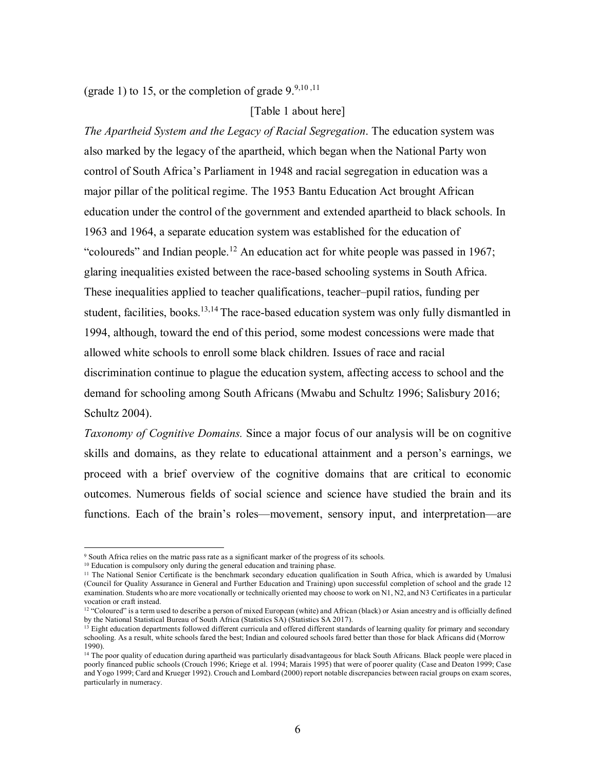(grade 1) to 15, or the completion of grade  $9.9,10,11$ 

[Table 1 about here]

*The Apartheid System and the Legacy of Racial Segregation*. The education system was also marked by the legacy of the apartheid, which began when the National Party won control of South Africa's Parliament in 1948 and racial segregation in education was a major pillar of the political regime. The 1953 Bantu Education Act brought African education under the control of the government and extended apartheid to black schools. In 1963 and 1964, a separate education system was established for the education of "coloureds" and Indian people.<sup>12</sup> An education act for white people was passed in 1967; glaring inequalities existed between the race-based schooling systems in South Africa. These inequalities applied to teacher qualifications, teacher–pupil ratios, funding per student, facilities, books. $13,14$  The race-based education system was only fully dismantled in 1994, although, toward the end of this period, some modest concessions were made that allowed white schools to enroll some black children. Issues of race and racial discrimination continue to plague the education system, affecting access to school and the demand for schooling among South Africans (Mwabu and Schultz 1996; Salisbury 2016; Schultz 2004).

*Taxonomy of Cognitive Domains.* Since a major focus of our analysis will be on cognitive skills and domains, as they relate to educational attainment and a person's earnings, we proceed with a brief overview of the cognitive domains that are critical to economic outcomes. Numerous fields of social science and science have studied the brain and its functions. Each of the brain's roles—movement, sensory input, and interpretation—are

 $\overline{a}$ 

<sup>9</sup> South Africa relies on the matric pass rate as a significant marker of the progress of its schools.

<sup>&</sup>lt;sup>10</sup> Education is compulsory only during the general education and training phase.

<sup>&</sup>lt;sup>11</sup> The National Senior Certificate is the benchmark secondary education qualification in South Africa, which is awarded by Umalusi (Council for Quality Assurance in General and Further Education and Training) upon successful completion of school and the grade 12 examination. Students who are more vocationally or technically oriented may choose to work on N1, N2, and N3 Certificates in a particular vocation or craft instead.

<sup>&</sup>lt;sup>12</sup> "Coloured" is a term used to describe a person of mixed European (white) and African (black) or Asian ancestry and is officially defined by the National Statistical Bureau of South Africa (Statistics SA) (Statistics SA 2017).

<sup>&</sup>lt;sup>13</sup> Eight education departments followed different curricula and offered different standards of learning quality for primary and secondary schooling. As a result, white schools fared the best; Indian and coloured schools fared better than those for black Africans did (Morrow 1990).

<sup>&</sup>lt;sup>14</sup> The poor quality of education during apartheid was particularly disadvantageous for black South Africans. Black people were placed in poorly financed public schools (Crouch 1996; Kriege et al. 1994; Marais 1995) that were of poorer quality (Case and Deaton 1999; Case and Yogo 1999; Card and Krueger 1992). Crouch and Lombard (2000) report notable discrepancies between racial groups on exam scores, particularly in numeracy.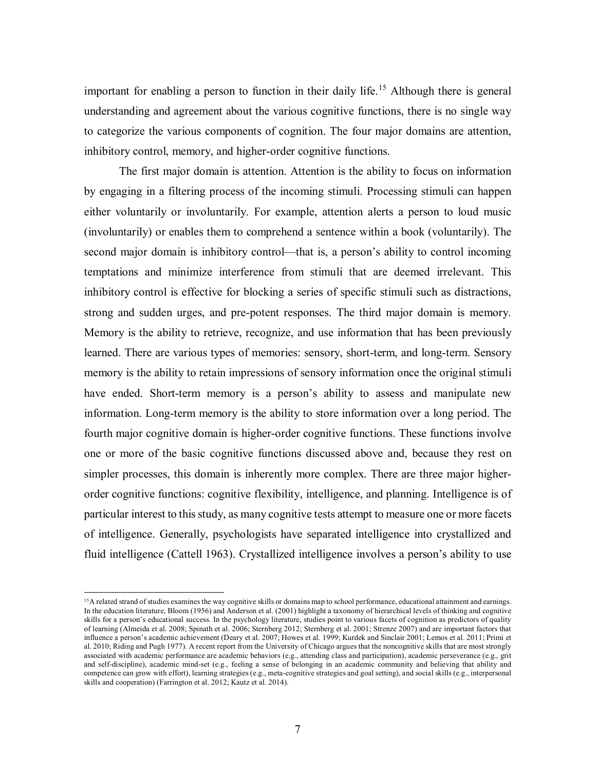important for enabling a person to function in their daily life.<sup>15</sup> Although there is general understanding and agreement about the various cognitive functions, there is no single way to categorize the various components of cognition. The four major domains are attention, inhibitory control, memory, and higher-order cognitive functions.

The first major domain is attention. Attention is the ability to focus on information by engaging in a filtering process of the incoming stimuli. Processing stimuli can happen either voluntarily or involuntarily. For example, attention alerts a person to loud music (involuntarily) or enables them to comprehend a sentence within a book (voluntarily). The second major domain is inhibitory control—that is, a person's ability to control incoming temptations and minimize interference from stimuli that are deemed irrelevant. This inhibitory control is effective for blocking a series of specific stimuli such as distractions, strong and sudden urges, and pre-potent responses. The third major domain is memory. Memory is the ability to retrieve, recognize, and use information that has been previously learned. There are various types of memories: sensory, short-term, and long-term. Sensory memory is the ability to retain impressions of sensory information once the original stimuli have ended. Short-term memory is a person's ability to assess and manipulate new information. Long-term memory is the ability to store information over a long period. The fourth major cognitive domain is higher-order cognitive functions. These functions involve one or more of the basic cognitive functions discussed above and, because they rest on simpler processes, this domain is inherently more complex. There are three major higherorder cognitive functions: cognitive flexibility, intelligence, and planning. Intelligence is of particular interest to this study, as many cognitive tests attempt to measure one or more facets of intelligence. Generally, psychologists have separated intelligence into crystallized and fluid intelligence (Cattell 1963). Crystallized intelligence involves a person's ability to use

 $\overline{a}$ 

<sup>&</sup>lt;sup>15</sup>A related strand of studies examines the way cognitive skills or domains map to school performance, educational attainment and earnings. In the education literature, Bloom (1956) and Anderson et al. (2001) highlight a taxonomy of hierarchical levels of thinking and cognitive skills for a person's educational success. In the psychology literature, studies point to various facets of cognition as predictors of quality of learning (Almeida et al. 2008; Spinath et al. 2006; Sternberg 2012; Sternberg et al. 2001; Strenze 2007) and are important factors that influence a person's academic achievement (Deary et al. 2007; Howes et al. 1999; Kurdek and Sinclair 2001; Lemos et al. 2011; Primi et al. 2010; Riding and Pugh 1977). A recent report from the University of Chicago argues that the noncognitive skills that are most strongly associated with academic performance are academic behaviors (e.g., attending class and participation), academic perseverance (e.g., grit and self-discipline), academic mind-set (e.g., feeling a sense of belonging in an academic community and believing that ability and competence can grow with effort), learning strategies (e.g., meta-cognitive strategies and goal setting), and social skills (e.g., interpersonal skills and cooperation) (Farrington et al. 2012; Kautz et al. 2014).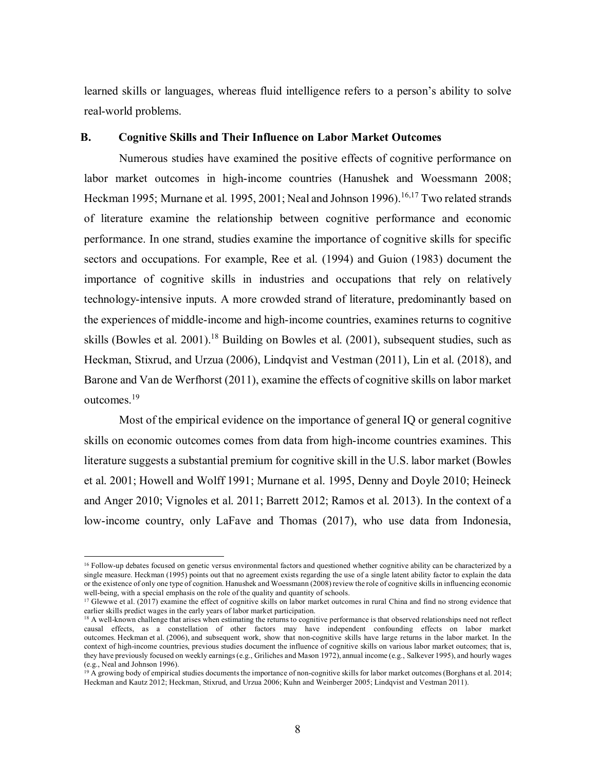learned skills or languages, whereas fluid intelligence refers to a person's ability to solve real-world problems.

# **B. Cognitive Skills and Their Influence on Labor Market Outcomes**

Numerous studies have examined the positive effects of cognitive performance on labor market outcomes in high-income countries (Hanushek and Woessmann 2008; Heckman 1995; Murnane et al. 1995, 2001; Neal and Johnson 1996).<sup>16,17</sup> Two related strands of literature examine the relationship between cognitive performance and economic performance. In one strand, studies examine the importance of cognitive skills for specific sectors and occupations. For example, Ree et al. (1994) and Guion (1983) document the importance of cognitive skills in industries and occupations that rely on relatively technology-intensive inputs. A more crowded strand of literature, predominantly based on the experiences of middle-income and high-income countries, examines returns to cognitive skills (Bowles et al. 2001).<sup>18</sup> Building on Bowles et al. (2001), subsequent studies, such as Heckman, Stixrud, and Urzua (2006), Lindqvist and Vestman (2011), Lin et al. (2018), and Barone and Van de Werfhorst (2011), examine the effects of cognitive skills on labor market outcomes.<sup>19</sup>

Most of the empirical evidence on the importance of general IQ or general cognitive skills on economic outcomes comes from data from high-income countries examines. This literature suggests a substantial premium for cognitive skill in the U.S. labor market (Bowles et al. 2001; Howell and Wolff 1991; Murnane et al. 1995, Denny and Doyle 2010; Heineck and Anger 2010; Vignoles et al. 2011; Barrett 2012; Ramos et al. 2013). In the context of a low-income country, only LaFave and Thomas (2017), who use data from Indonesia,

l.

<sup>16</sup> Follow-up debates focused on genetic versus environmental factors and questioned whether cognitive ability can be characterized by a single measure. Heckman (1995) points out that no agreement exists regarding the use of a single latent ability factor to explain the data or the existence of only one type of cognition. Hanushek and Woessmann (2008) review the role of cognitive skills in influencing economic well-being, with a special emphasis on the role of the quality and quantity of schools.

<sup>&</sup>lt;sup>17</sup> Glewwe et al. (2017) examine the effect of cognitive skills on labor market outcomes in rural China and find no strong evidence that earlier skills predict wages in the early years of labor market participation.

<sup>&</sup>lt;sup>18</sup> A well-known challenge that arises when estimating the returns to cognitive performance is that observed relationships need not reflect causal effects, as a constellation of other factors may have independent confounding effects on labor market outcomes. Heckman et al. (2006), and subsequent work, show that non-cognitive skills have large returns in the labor market. In the context of high-income countries, previous studies document the influence of cognitive skills on various labor market outcomes; that is, they have previously focused on weekly earnings (e.g., Griliches and Mason 1972), annual income (e.g., Salkever 1995), and hourly wages (e.g., Neal and Johnson 1996).

 $19$  A growing body of empirical studies documents the importance of non-cognitive skills for labor market outcomes (Borghans et al. 2014; Heckman and Kautz 2012; Heckman, Stixrud, and Urzua 2006; Kuhn and Weinberger 2005; Lindqvist and Vestman 2011).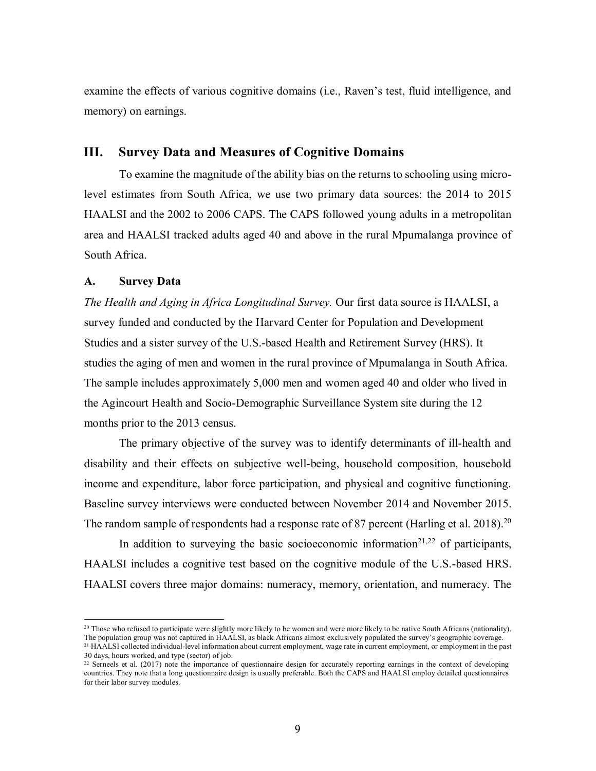examine the effects of various cognitive domains (i.e., Raven's test, fluid intelligence, and memory) on earnings.

# **III. Survey Data and Measures of Cognitive Domains**

To examine the magnitude of the ability bias on the returns to schooling using microlevel estimates from South Africa, we use two primary data sources: the 2014 to 2015 HAALSI and the 2002 to 2006 CAPS. The CAPS followed young adults in a metropolitan area and HAALSI tracked adults aged 40 and above in the rural Mpumalanga province of South Africa.

### **A. Survey Data**

*The Health and Aging in Africa Longitudinal Survey.* Our first data source is HAALSI, a survey funded and conducted by the Harvard Center for Population and Development Studies and a sister survey of the U.S.-based Health and Retirement Survey (HRS). It studies the aging of men and women in the rural province of Mpumalanga in South Africa. The sample includes approximately 5,000 men and women aged 40 and older who lived in the Agincourt Health and Socio-Demographic Surveillance System site during the 12 months prior to the 2013 census.

The primary objective of the survey was to identify determinants of ill-health and disability and their effects on subjective well-being, household composition, household income and expenditure, labor force participation, and physical and cognitive functioning. Baseline survey interviews were conducted between November 2014 and November 2015. The random sample of respondents had a response rate of 87 percent (Harling et al. 2018).<sup>20</sup>

In addition to surveying the basic socioeconomic information<sup>21,22</sup> of participants, HAALSI includes a cognitive test based on the cognitive module of the U.S.-based HRS. HAALSI covers three major domains: numeracy, memory, orientation, and numeracy. The

<sup>&</sup>lt;sup>20</sup> Those who refused to participate were slightly more likely to be women and were more likely to be native South Africans (nationality). The population group was not captured in HAALSI, as black Africans almost exclusively populated the survey's geographic coverage.

<sup>21</sup> HAALSI collected individual-level information about current employment, wage rate in current employment, or employment in the past 30 days, hours worked, and type (sector) of job.

<sup>&</sup>lt;sup>22</sup> Serneels et al. (2017) note the importance of questionnaire design for accurately reporting earnings in the context of developing countries. They note that a long questionnaire design is usually preferable. Both the CAPS and HAALSI employ detailed questionnaires for their labor survey modules.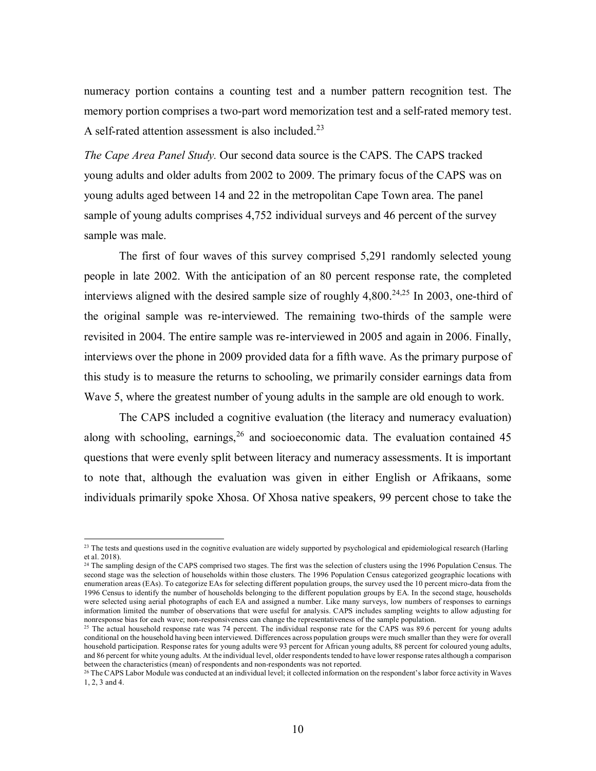numeracy portion contains a counting test and a number pattern recognition test. The memory portion comprises a two-part word memorization test and a self-rated memory test. A self-rated attention assessment is also included.<sup>23</sup>

*The Cape Area Panel Study.* Our second data source is the CAPS. The CAPS tracked young adults and older adults from 2002 to 2009. The primary focus of the CAPS was on young adults aged between 14 and 22 in the metropolitan Cape Town area. The panel sample of young adults comprises 4,752 individual surveys and 46 percent of the survey sample was male.

The first of four waves of this survey comprised 5,291 randomly selected young people in late 2002. With the anticipation of an 80 percent response rate, the completed interviews aligned with the desired sample size of roughly  $4,800.^{24,25}$  In 2003, one-third of the original sample was re-interviewed. The remaining two-thirds of the sample were revisited in 2004. The entire sample was re-interviewed in 2005 and again in 2006. Finally, interviews over the phone in 2009 provided data for a fifth wave. As the primary purpose of this study is to measure the returns to schooling, we primarily consider earnings data from Wave 5, where the greatest number of young adults in the sample are old enough to work.

The CAPS included a cognitive evaluation (the literacy and numeracy evaluation) along with schooling, earnings,  $26$  and socioeconomic data. The evaluation contained 45 questions that were evenly split between literacy and numeracy assessments. It is important to note that, although the evaluation was given in either English or Afrikaans, some individuals primarily spoke Xhosa. Of Xhosa native speakers, 99 percent chose to take the

<sup>&</sup>lt;sup>23</sup> The tests and questions used in the cognitive evaluation are widely supported by psychological and epidemiological research (Harling et al. 2018).

<sup>&</sup>lt;sup>24</sup> The sampling design of the CAPS comprised two stages. The first was the selection of clusters using the 1996 Population Census. The second stage was the selection of households within those clusters. The 1996 Population Census categorized geographic locations with enumeration areas (EAs). To categorize EAs for selecting different population groups, the survey used the 10 percent micro-data from the 1996 Census to identify the number of households belonging to the different population groups by EA. In the second stage, households were selected using aerial photographs of each EA and assigned a number. Like many surveys, low numbers of responses to earnings information limited the number of observations that were useful for analysis. CAPS includes sampling weights to allow adjusting for nonresponse bias for each wave; non-responsiveness can change the representativeness of the sample population.

<sup>&</sup>lt;sup>25</sup> The actual household response rate was 74 percent. The individual response rate for the CAPS was 89.6 percent for young adults conditional on the household having been interviewed. Differences across population groups were much smaller than they were for overall household participation. Response rates for young adults were 93 percent for African young adults, 88 percent for coloured young adults, and 86 percent for white young adults. At the individual level, older respondents tended to have lower response rates although a comparison between the characteristics (mean) of respondents and non-respondents was not reported.

<sup>&</sup>lt;sup>26</sup> The CAPS Labor Module was conducted at an individual level; it collected information on the respondent's labor force activity in Waves 1, 2, 3 and 4.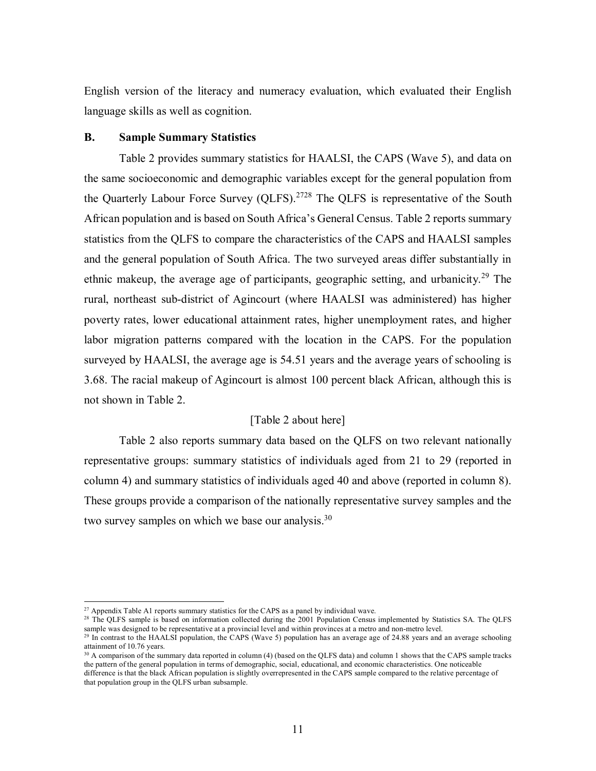English version of the literacy and numeracy evaluation, which evaluated their English language skills as well as cognition.

#### **B. Sample Summary Statistics**

Table 2 provides summary statistics for HAALSI, the CAPS (Wave 5), and data on the same socioeconomic and demographic variables except for the general population from the Quarterly Labour Force Survey (QLFS).<sup>2728</sup> The QLFS is representative of the South African population and is based on South Africa's General Census. Table 2 reports summary statistics from the QLFS to compare the characteristics of the CAPS and HAALSI samples and the general population of South Africa. The two surveyed areas differ substantially in ethnic makeup, the average age of participants, geographic setting, and urbanicity.<sup>29</sup> The rural, northeast sub-district of Agincourt (where HAALSI was administered) has higher poverty rates, lower educational attainment rates, higher unemployment rates, and higher labor migration patterns compared with the location in the CAPS. For the population surveyed by HAALSI, the average age is 54.51 years and the average years of schooling is 3.68. The racial makeup of Agincourt is almost 100 percent black African, although this is not shown in Table 2.

# [Table 2 about here]

Table 2 also reports summary data based on the QLFS on two relevant nationally representative groups: summary statistics of individuals aged from 21 to 29 (reported in column 4) and summary statistics of individuals aged 40 and above (reported in column 8). These groups provide a comparison of the nationally representative survey samples and the two survey samples on which we base our analysis.<sup>30</sup>

 $\overline{a}$ 

<sup>&</sup>lt;sup>27</sup> Appendix Table A1 reports summary statistics for the CAPS as a panel by individual wave.

<sup>&</sup>lt;sup>28</sup> The QLFS sample is based on information collected during the 2001 Population Census implemented by Statistics SA. The QLFS sample was designed to be representative at a provincial level and within provinces at a metro and non-metro level.

<sup>&</sup>lt;sup>29</sup> In contrast to the HAALSI population, the CAPS (Wave 5) population has an average age of 24.88 years and an average schooling attainment of 10.76 years.

<sup>&</sup>lt;sup>30</sup> A comparison of the summary data reported in column (4) (based on the OLFS data) and column 1 shows that the CAPS sample tracks the pattern of the general population in terms of demographic, social, educational, and economic characteristics. One noticeable difference is that the black African population is slightly overrepresented in the CAPS sample compared to the relative percentage of that population group in the QLFS urban subsample.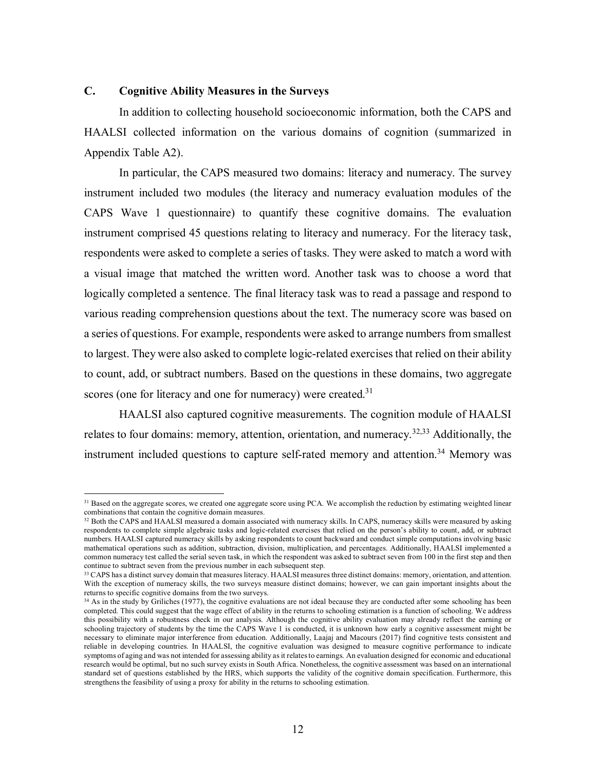# **C. Cognitive Ability Measures in the Surveys**

In addition to collecting household socioeconomic information, both the CAPS and HAALSI collected information on the various domains of cognition (summarized in Appendix Table A2).

In particular, the CAPS measured two domains: literacy and numeracy. The survey instrument included two modules (the literacy and numeracy evaluation modules of the CAPS Wave 1 questionnaire) to quantify these cognitive domains. The evaluation instrument comprised 45 questions relating to literacy and numeracy. For the literacy task, respondents were asked to complete a series of tasks. They were asked to match a word with a visual image that matched the written word. Another task was to choose a word that logically completed a sentence. The final literacy task was to read a passage and respond to various reading comprehension questions about the text. The numeracy score was based on a series of questions. For example, respondents were asked to arrange numbers from smallest to largest. They were also asked to complete logic-related exercises that relied on their ability to count, add, or subtract numbers. Based on the questions in these domains, two aggregate scores (one for literacy and one for numeracy) were created. $31$ 

HAALSI also captured cognitive measurements. The cognition module of HAALSI relates to four domains: memory, attention, orientation, and numeracy.<sup>32,33</sup> Additionally, the instrument included questions to capture self-rated memory and attention.<sup>34</sup> Memory was

<sup>&</sup>lt;sup>31</sup> Based on the aggregate scores, we created one aggregate score using PCA. We accomplish the reduction by estimating weighted linear combinations that contain the cognitive domain measures.

<sup>&</sup>lt;sup>32</sup> Both the CAPS and HAALSI measured a domain associated with numeracy skills. In CAPS, numeracy skills were measured by asking respondents to complete simple algebraic tasks and logic-related exercises that relied on the person's ability to count, add, or subtract numbers. HAALSI captured numeracy skills by asking respondents to count backward and conduct simple computations involving basic mathematical operations such as addition, subtraction, division, multiplication, and percentages. Additionally, HAALSI implemented a common numeracy test called the serial seven task, in which the respondent was asked to subtract seven from 100 in the first step and then continue to subtract seven from the previous number in each subsequent step.

<sup>33</sup> CAPS has a distinct survey domain that measures literacy. HAALSI measures three distinct domains: memory, orientation, and attention. With the exception of numeracy skills, the two surveys measure distinct domains; however, we can gain important insights about the returns to specific cognitive domains from the two surveys.

 $34$  As in the study by Griliches (1977), the cognitive evaluations are not ideal because they are conducted after some schooling has been completed. This could suggest that the wage effect of ability in the returns to schooling estimation is a function of schooling. We address this possibility with a robustness check in our analysis. Although the cognitive ability evaluation may already reflect the earning or schooling trajectory of students by the time the CAPS Wave 1 is conducted, it is unknown how early a cognitive assessment might be necessary to eliminate major interference from education. Additionally, Laajaj and Macours (2017) find cognitive tests consistent and reliable in developing countries. In HAALSI, the cognitive evaluation was designed to measure cognitive performance to indicate symptoms of aging and was not intended for assessing ability as it relates to earnings. An evaluation designed for economic and educational research would be optimal, but no such survey exists in South Africa. Nonetheless, the cognitive assessment was based on an international standard set of questions established by the HRS, which supports the validity of the cognitive domain specification. Furthermore, this strengthens the feasibility of using a proxy for ability in the returns to schooling estimation.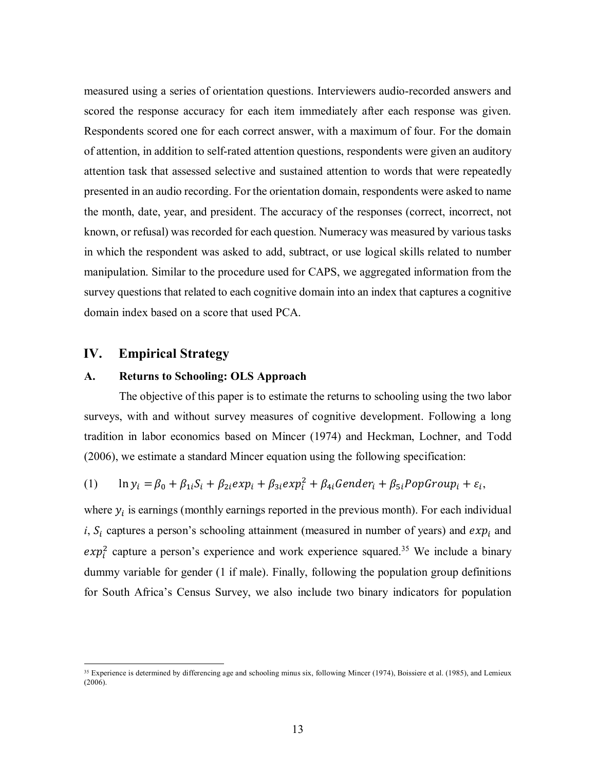measured using a series of orientation questions. Interviewers audio-recorded answers and scored the response accuracy for each item immediately after each response was given. Respondents scored one for each correct answer, with a maximum of four. For the domain of attention, in addition to self-rated attention questions, respondents were given an auditory attention task that assessed selective and sustained attention to words that were repeatedly presented in an audio recording. For the orientation domain, respondents were asked to name the month, date, year, and president. The accuracy of the responses (correct, incorrect, not known, or refusal) was recorded for each question. Numeracy was measured by various tasks in which the respondent was asked to add, subtract, or use logical skills related to number manipulation. Similar to the procedure used for CAPS, we aggregated information from the survey questions that related to each cognitive domain into an index that captures a cognitive domain index based on a score that used PCA.

# **IV. Empirical Strategy**

#### **A. Returns to Schooling: OLS Approach**

The objective of this paper is to estimate the returns to schooling using the two labor surveys, with and without survey measures of cognitive development. Following a long tradition in labor economics based on Mincer (1974) and Heckman, Lochner, and Todd (2006), we estimate a standard Mincer equation using the following specification:

(1) 
$$
\ln y_i = \beta_0 + \beta_{1i} S_i + \beta_{2i} exp_i + \beta_{3i} exp_i^2 + \beta_{4i} Gender_i + \beta_{5i} PopGroup_i + \varepsilon_i,
$$

where  $y_i$  is earnings (monthly earnings reported in the previous month). For each individual *i*,  $S_i$  captures a person's schooling attainment (measured in number of years) and  $exp_i$  and  $exp<sub>i</sub><sup>2</sup>$  capture a person's experience and work experience squared.<sup>35</sup> We include a binary dummy variable for gender (1 if male). Finally, following the population group definitions for South Africa's Census Survey, we also include two binary indicators for population

<sup>&</sup>lt;sup>35</sup> Experience is determined by differencing age and schooling minus six, following Mincer (1974), Boissiere et al. (1985), and Lemieux  $(2006).$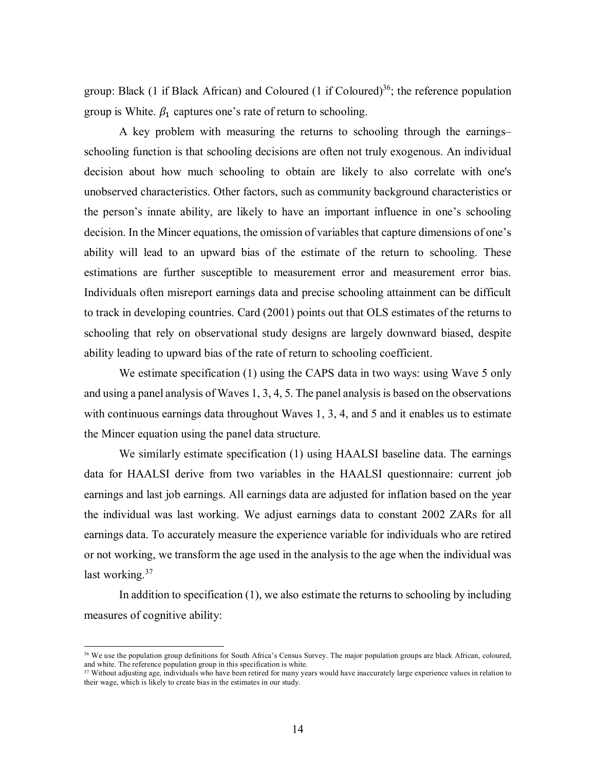group: Black (1 if Black African) and Coloured (1 if Coloured)<sup>36</sup>; the reference population group is White.  $\beta_1$  captures one's rate of return to schooling.

A key problem with measuring the returns to schooling through the earnings– schooling function is that schooling decisions are often not truly exogenous. An individual decision about how much schooling to obtain are likely to also correlate with one's unobserved characteristics. Other factors, such as community background characteristics or the person's innate ability, are likely to have an important influence in one's schooling decision. In the Mincer equations, the omission of variables that capture dimensions of one's ability will lead to an upward bias of the estimate of the return to schooling. These estimations are further susceptible to measurement error and measurement error bias. Individuals often misreport earnings data and precise schooling attainment can be difficult to track in developing countries. Card (2001) points out that OLS estimates of the returns to schooling that rely on observational study designs are largely downward biased, despite ability leading to upward bias of the rate of return to schooling coefficient.

We estimate specification (1) using the CAPS data in two ways: using Wave 5 only and using a panel analysis of Waves 1, 3, 4, 5. The panel analysis is based on the observations with continuous earnings data throughout Waves 1, 3, 4, and 5 and it enables us to estimate the Mincer equation using the panel data structure.

We similarly estimate specification (1) using HAALSI baseline data. The earnings data for HAALSI derive from two variables in the HAALSI questionnaire: current job earnings and last job earnings. All earnings data are adjusted for inflation based on the year the individual was last working. We adjust earnings data to constant 2002 ZARs for all earnings data. To accurately measure the experience variable for individuals who are retired or not working, we transform the age used in the analysis to the age when the individual was last working.<sup>37</sup>

In addition to specification (1), we also estimate the returns to schooling by including measures of cognitive ability:

 $\overline{a}$ 

<sup>36</sup> We use the population group definitions for South Africa's Census Survey. The major population groups are black African, coloured, and white. The reference population group in this specification is white.

<sup>&</sup>lt;sup>37</sup> Without adjusting age, individuals who have been retired for many years would have inaccurately large experience values in relation to their wage, which is likely to create bias in the estimates in our study.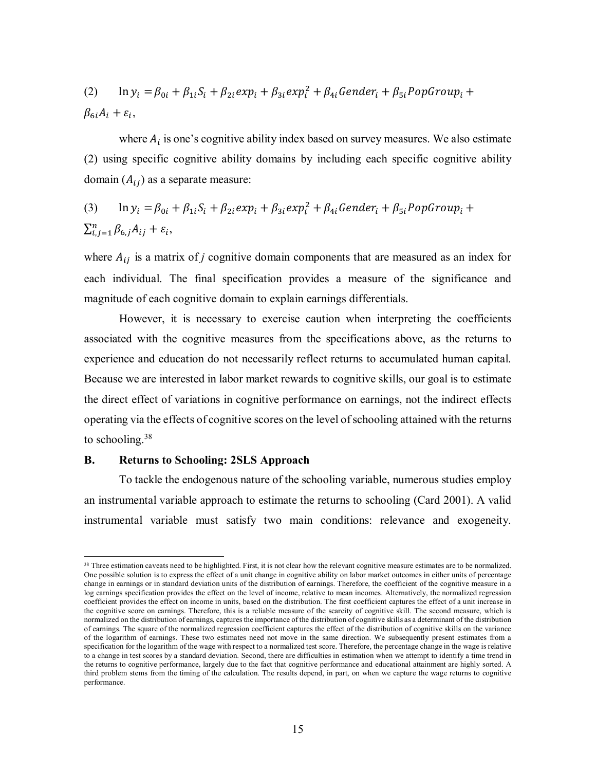(2) 
$$
\ln y_i = \beta_{0i} + \beta_{1i} S_i + \beta_{2i} exp_i + \beta_{3i} exp_i^2 + \beta_{4i} Gender_i + \beta_{5i} PopGroup_i +
$$

$$
\beta_{6i} A_i + \varepsilon_i,
$$

where  $A_i$  is one's cognitive ability index based on survey measures. We also estimate (2) using specific cognitive ability domains by including each specific cognitive ability domain  $(A_{ij})$  as a separate measure:

(3) 
$$
\ln y_i = \beta_{0i} + \beta_{1i} S_i + \beta_{2i} exp_i + \beta_{3i} exp_i^2 + \beta_{4i} Gender_i + \beta_{5i} PopGroup_i + \sum_{i,j=1}^n \beta_{6,j} A_{ij} + \varepsilon_i,
$$

where  $A_{ij}$  is a matrix of *j* cognitive domain components that are measured as an index for each individual. The final specification provides a measure of the significance and magnitude of each cognitive domain to explain earnings differentials.

However, it is necessary to exercise caution when interpreting the coefficients associated with the cognitive measures from the specifications above, as the returns to experience and education do not necessarily reflect returns to accumulated human capital. Because we are interested in labor market rewards to cognitive skills, our goal is to estimate the direct effect of variations in cognitive performance on earnings, not the indirect effects operating via the effects of cognitive scores on the level of schooling attained with the returns to schooling.<sup>38</sup>

### **B. Returns to Schooling: 2SLS Approach**

l.

To tackle the endogenous nature of the schooling variable, numerous studies employ an instrumental variable approach to estimate the returns to schooling (Card 2001). A valid instrumental variable must satisfy two main conditions: relevance and exogeneity.

<sup>&</sup>lt;sup>38</sup> Three estimation caveats need to be highlighted. First, it is not clear how the relevant cognitive measure estimates are to be normalized. One possible solution is to express the effect of a unit change in cognitive ability on labor market outcomes in either units of percentage change in earnings or in standard deviation units of the distribution of earnings. Therefore, the coefficient of the cognitive measure in a log earnings specification provides the effect on the level of income, relative to mean incomes. Alternatively, the normalized regression coefficient provides the effect on income in units, based on the distribution. The first coefficient captures the effect of a unit increase in the cognitive score on earnings. Therefore, this is a reliable measure of the scarcity of cognitive skill. The second measure, which is normalized on the distribution of earnings, captures the importance of the distribution of cognitive skills as a determinant of the distribution of earnings. The square of the normalized regression coefficient captures the effect of the distribution of cognitive skills on the variance of the logarithm of earnings. These two estimates need not move in the same direction. We subsequently present estimates from a specification for the logarithm of the wage with respect to a normalized test score. Therefore, the percentage change in the wage is relative to a change in test scores by a standard deviation. Second, there are difficulties in estimation when we attempt to identify a time trend in the returns to cognitive performance, largely due to the fact that cognitive performance and educational attainment are highly sorted. A third problem stems from the timing of the calculation. The results depend, in part, on when we capture the wage returns to cognitive performance.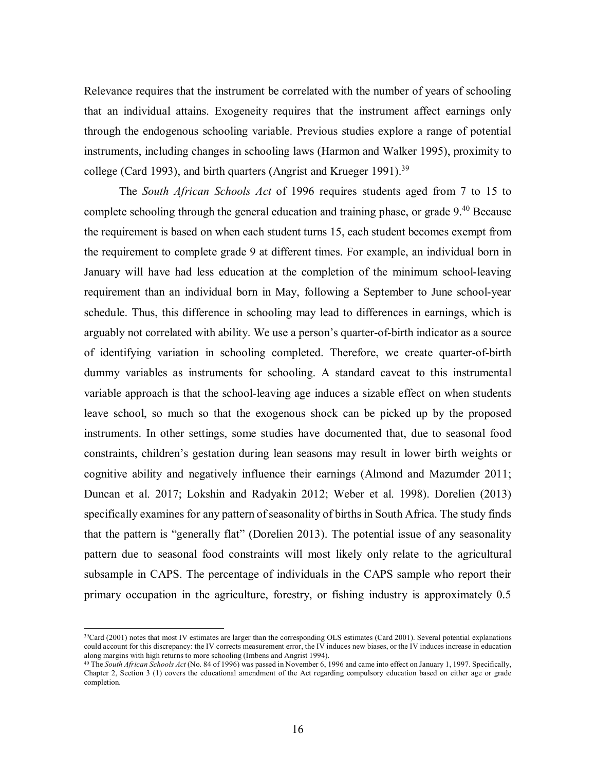Relevance requires that the instrument be correlated with the number of years of schooling that an individual attains. Exogeneity requires that the instrument affect earnings only through the endogenous schooling variable. Previous studies explore a range of potential instruments, including changes in schooling laws (Harmon and Walker 1995), proximity to college (Card 1993), and birth quarters (Angrist and Krueger 1991).<sup>39</sup>

The *South African Schools Act* of 1996 requires students aged from 7 to 15 to complete schooling through the general education and training phase, or grade 9.<sup>40</sup> Because the requirement is based on when each student turns 15, each student becomes exempt from the requirement to complete grade 9 at different times. For example, an individual born in January will have had less education at the completion of the minimum school-leaving requirement than an individual born in May, following a September to June school-year schedule. Thus, this difference in schooling may lead to differences in earnings, which is arguably not correlated with ability. We use a person's quarter-of-birth indicator as a source of identifying variation in schooling completed. Therefore, we create quarter-of-birth dummy variables as instruments for schooling. A standard caveat to this instrumental variable approach is that the school-leaving age induces a sizable effect on when students leave school, so much so that the exogenous shock can be picked up by the proposed instruments. In other settings, some studies have documented that, due to seasonal food constraints, children's gestation during lean seasons may result in lower birth weights or cognitive ability and negatively influence their earnings (Almond and Mazumder 2011; Duncan et al. 2017; Lokshin and Radyakin 2012; Weber et al. 1998). Dorelien (2013) specifically examines for any pattern of seasonality of births in South Africa. The study finds that the pattern is "generally flat" (Dorelien 2013). The potential issue of any seasonality pattern due to seasonal food constraints will most likely only relate to the agricultural subsample in CAPS. The percentage of individuals in the CAPS sample who report their primary occupation in the agriculture, forestry, or fishing industry is approximately 0.5

<sup>&</sup>lt;sup>39</sup>Card (2001) notes that most IV estimates are larger than the corresponding OLS estimates (Card 2001). Several potential explanations could account for this discrepancy: the IV corrects measurement error, the IV induces new biases, or the IV induces increase in education along margins with high returns to more schooling (Imbens and Angrist 1994).

<sup>40</sup> The *South African Schools Act* (No. 84 of 1996) was passed in November 6, 1996 and came into effect on January 1, 1997. Specifically, Chapter 2, Section 3 (1) covers the educational amendment of the Act regarding compulsory education based on either age or grade completion.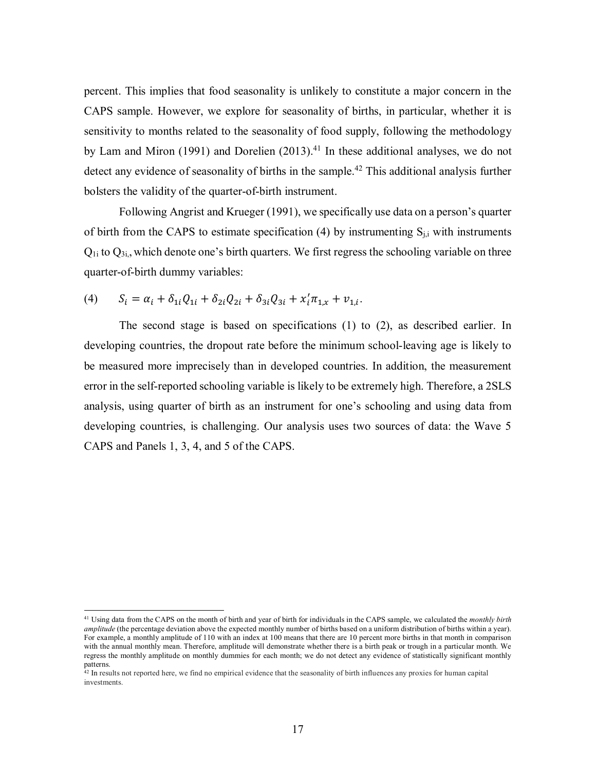percent. This implies that food seasonality is unlikely to constitute a major concern in the CAPS sample. However, we explore for seasonality of births, in particular, whether it is sensitivity to months related to the seasonality of food supply, following the methodology by Lam and Miron (1991) and Dorelien (2013).<sup>41</sup> In these additional analyses, we do not detect any evidence of seasonality of births in the sample.<sup>42</sup> This additional analysis further bolsters the validity of the quarter-of-birth instrument.

Following Angrist and Krueger (1991), we specifically use data on a person's quarter of birth from the CAPS to estimate specification  $(4)$  by instrumenting  $S_{i,j}$  with instruments  $Q_{1i}$  to  $Q_{3i}$ , which denote one's birth quarters. We first regress the schooling variable on three quarter-of-birth dummy variables:

(4) 
$$
S_i = \alpha_i + \delta_{1i}Q_{1i} + \delta_{2i}Q_{2i} + \delta_{3i}Q_{3i} + x_i'\pi_{1,x} + v_{1,i}.
$$

The second stage is based on specifications (1) to (2), as described earlier. In developing countries, the dropout rate before the minimum school-leaving age is likely to be measured more imprecisely than in developed countries. In addition, the measurement error in the self-reported schooling variable is likely to be extremely high. Therefore, a 2SLS analysis, using quarter of birth as an instrument for one's schooling and using data from developing countries, is challenging. Our analysis uses two sources of data: the Wave 5 CAPS and Panels 1, 3, 4, and 5 of the CAPS.

<sup>41</sup> Using data from the CAPS on the month of birth and year of birth for individuals in the CAPS sample, we calculated the *monthly birth amplitude* (the percentage deviation above the expected monthly number of births based on a uniform distribution of births within a year). For example, a monthly amplitude of 110 with an index at 100 means that there are 10 percent more births in that month in comparison with the annual monthly mean. Therefore, amplitude will demonstrate whether there is a birth peak or trough in a particular month. We regress the monthly amplitude on monthly dummies for each month; we do not detect any evidence of statistically significant monthly patterns.

<sup>&</sup>lt;sup>42</sup> In results not reported here, we find no empirical evidence that the seasonality of birth influences any proxies for human capital investments.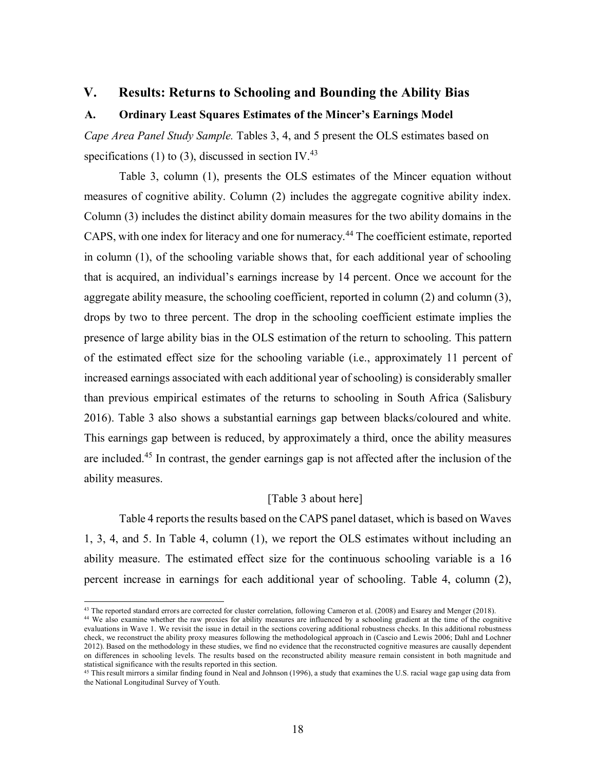# **V. Results: Returns to Schooling and Bounding the Ability Bias**

# **A. Ordinary Least Squares Estimates of the Mincer's Earnings Model**

*Cape Area Panel Study Sample.* Tables 3, 4, and 5 present the OLS estimates based on specifications (1) to (3), discussed in section IV.<sup>43</sup>

Table 3, column (1), presents the OLS estimates of the Mincer equation without measures of cognitive ability. Column (2) includes the aggregate cognitive ability index. Column (3) includes the distinct ability domain measures for the two ability domains in the CAPS, with one index for literacy and one for numeracy.<sup>44</sup> The coefficient estimate, reported in column (1), of the schooling variable shows that, for each additional year of schooling that is acquired, an individual's earnings increase by 14 percent. Once we account for the aggregate ability measure, the schooling coefficient, reported in column (2) and column (3), drops by two to three percent. The drop in the schooling coefficient estimate implies the presence of large ability bias in the OLS estimation of the return to schooling. This pattern of the estimated effect size for the schooling variable (i.e., approximately 11 percent of increased earnings associated with each additional year of schooling) is considerably smaller than previous empirical estimates of the returns to schooling in South Africa (Salisbury 2016). Table 3 also shows a substantial earnings gap between blacks/coloured and white. This earnings gap between is reduced, by approximately a third, once the ability measures are included.<sup>45</sup> In contrast, the gender earnings gap is not affected after the inclusion of the ability measures.

# [Table 3 about here]

Table 4 reports the results based on the CAPS panel dataset, which is based on Waves 1, 3, 4, and 5. In Table 4, column (1), we report the OLS estimates without including an ability measure. The estimated effect size for the continuous schooling variable is a 16 percent increase in earnings for each additional year of schooling. Table 4, column (2),

 $\overline{a}$ 

<sup>43</sup> The reported standard errors are corrected for cluster correlation, following Cameron et al. (2008) and Esarey and Menger (2018).

<sup>44</sup> We also examine whether the raw proxies for ability measures are influenced by a schooling gradient at the time of the cognitive evaluations in Wave 1. We revisit the issue in detail in the sections covering additional robustness checks. In this additional robustness check, we reconstruct the ability proxy measures following the methodological approach in (Cascio and Lewis 2006; Dahl and Lochner 2012). Based on the methodology in these studies, we find no evidence that the reconstructed cognitive measures are causally dependent on differences in schooling levels. The results based on the reconstructed ability measure remain consistent in both magnitude and statistical significance with the results reported in this section.

<sup>&</sup>lt;sup>45</sup> This result mirrors a similar finding found in Neal and Johnson (1996), a study that examines the U.S. racial wage gap using data from the National Longitudinal Survey of Youth.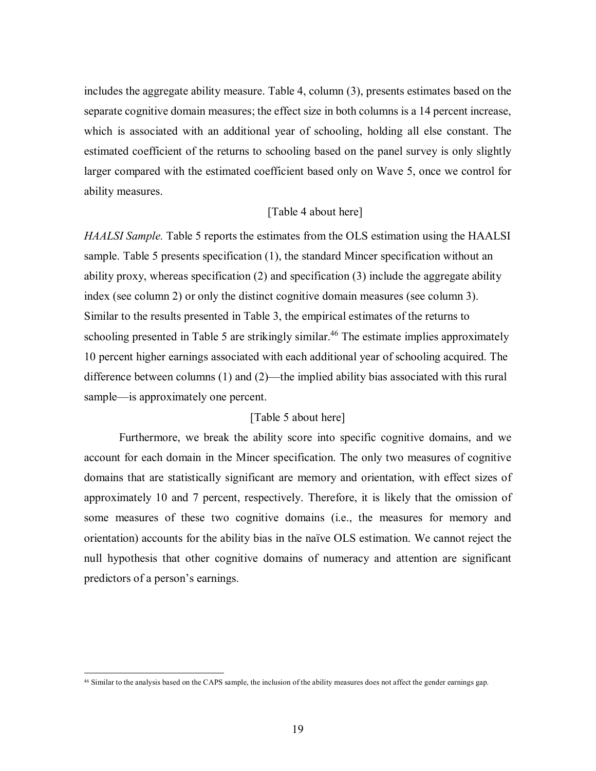includes the aggregate ability measure. Table 4, column (3), presents estimates based on the separate cognitive domain measures; the effect size in both columns is a 14 percent increase, which is associated with an additional year of schooling, holding all else constant. The estimated coefficient of the returns to schooling based on the panel survey is only slightly larger compared with the estimated coefficient based only on Wave 5, once we control for ability measures.

## [Table 4 about here]

*HAALSI Sample.* Table 5 reports the estimates from the OLS estimation using the HAALSI sample. Table 5 presents specification (1), the standard Mincer specification without an ability proxy, whereas specification (2) and specification (3) include the aggregate ability index (see column 2) or only the distinct cognitive domain measures (see column 3). Similar to the results presented in Table 3, the empirical estimates of the returns to schooling presented in Table 5 are strikingly similar.<sup>46</sup> The estimate implies approximately 10 percent higher earnings associated with each additional year of schooling acquired. The difference between columns (1) and (2)—the implied ability bias associated with this rural sample—is approximately one percent.

# [Table 5 about here]

Furthermore, we break the ability score into specific cognitive domains, and we account for each domain in the Mincer specification. The only two measures of cognitive domains that are statistically significant are memory and orientation, with effect sizes of approximately 10 and 7 percent, respectively. Therefore, it is likely that the omission of some measures of these two cognitive domains (i.e., the measures for memory and orientation) accounts for the ability bias in the naïve OLS estimation. We cannot reject the null hypothesis that other cognitive domains of numeracy and attention are significant predictors of a person's earnings.

<sup>46</sup> Similar to the analysis based on the CAPS sample, the inclusion of the ability measures does not affect the gender earnings gap.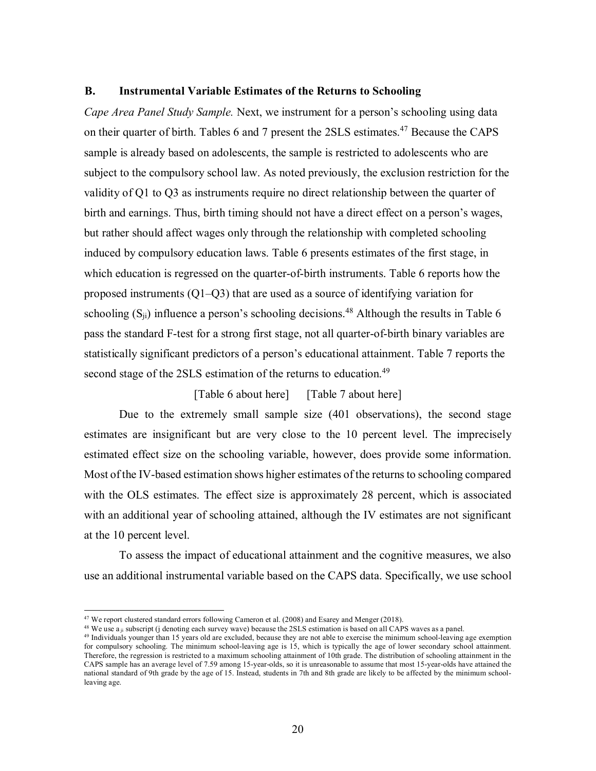# **B. Instrumental Variable Estimates of the Returns to Schooling**

*Cape Area Panel Study Sample.* Next, we instrument for a person's schooling using data on their quarter of birth. Tables 6 and 7 present the 2SLS estimates.<sup>47</sup> Because the CAPS sample is already based on adolescents, the sample is restricted to adolescents who are subject to the compulsory school law. As noted previously, the exclusion restriction for the validity of Q1 to Q3 as instruments require no direct relationship between the quarter of birth and earnings. Thus, birth timing should not have a direct effect on a person's wages, but rather should affect wages only through the relationship with completed schooling induced by compulsory education laws. Table 6 presents estimates of the first stage, in which education is regressed on the quarter-of-birth instruments. Table 6 reports how the proposed instruments (Q1–Q3) that are used as a source of identifying variation for schooling  $(S_{ii})$  influence a person's schooling decisions.<sup>48</sup> Although the results in Table 6 pass the standard F-test for a strong first stage, not all quarter-of-birth binary variables are statistically significant predictors of a person's educational attainment. Table 7 reports the second stage of the 2SLS estimation of the returns to education.<sup>49</sup>

# [Table 6 about here] [Table 7 about here]

Due to the extremely small sample size (401 observations), the second stage estimates are insignificant but are very close to the 10 percent level. The imprecisely estimated effect size on the schooling variable, however, does provide some information. Most of the IV-based estimation shows higher estimates of the returns to schooling compared with the OLS estimates. The effect size is approximately 28 percent, which is associated with an additional year of schooling attained, although the IV estimates are not significant at the 10 percent level.

To assess the impact of educational attainment and the cognitive measures, we also use an additional instrumental variable based on the CAPS data. Specifically, we use school

<sup>47</sup> We report clustered standard errors following Cameron et al. (2008) and Esarey and Menger (2018).

<sup>&</sup>lt;sup>48</sup> We use a <sub>ii</sub> subscript (j denoting each survey wave) because the 2SLS estimation is based on all CAPS waves as a panel.

<sup>&</sup>lt;sup>49</sup> Individuals younger than 15 years old are excluded, because they are not able to exercise the minimum school-leaving age exemption for compulsory schooling. The minimum school-leaving age is 15, which is typically the age of lower secondary school attainment. Therefore, the regression is restricted to a maximum schooling attainment of 10th grade. The distribution of schooling attainment in the CAPS sample has an average level of 7.59 among 15-year-olds, so it is unreasonable to assume that most 15-year-olds have attained the national standard of 9th grade by the age of 15. Instead, students in 7th and 8th grade are likely to be affected by the minimum schoolleaving age.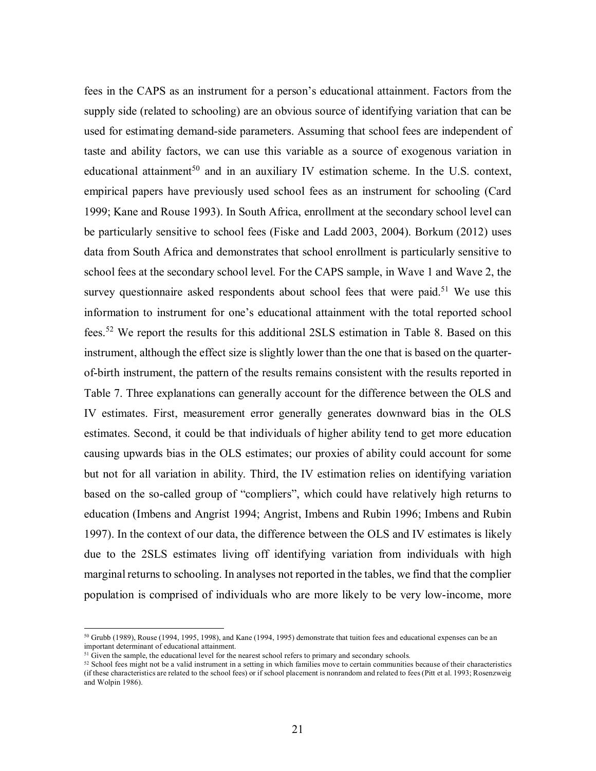fees in the CAPS as an instrument for a person's educational attainment. Factors from the supply side (related to schooling) are an obvious source of identifying variation that can be used for estimating demand-side parameters. Assuming that school fees are independent of taste and ability factors, we can use this variable as a source of exogenous variation in educational attainment<sup>50</sup> and in an auxiliary IV estimation scheme. In the U.S. context, empirical papers have previously used school fees as an instrument for schooling (Card 1999; Kane and Rouse 1993). In South Africa, enrollment at the secondary school level can be particularly sensitive to school fees (Fiske and Ladd 2003, 2004). Borkum (2012) uses data from South Africa and demonstrates that school enrollment is particularly sensitive to school fees at the secondary school level. For the CAPS sample, in Wave 1 and Wave 2, the survey questionnaire asked respondents about school fees that were paid.<sup>51</sup> We use this information to instrument for one's educational attainment with the total reported school fees.<sup>52</sup> We report the results for this additional 2SLS estimation in Table 8. Based on this instrument, although the effect size is slightly lower than the one that is based on the quarterof-birth instrument, the pattern of the results remains consistent with the results reported in Table 7. Three explanations can generally account for the difference between the OLS and IV estimates. First, measurement error generally generates downward bias in the OLS estimates. Second, it could be that individuals of higher ability tend to get more education causing upwards bias in the OLS estimates; our proxies of ability could account for some but not for all variation in ability. Third, the IV estimation relies on identifying variation based on the so-called group of "compliers", which could have relatively high returns to education (Imbens and Angrist 1994; Angrist, Imbens and Rubin 1996; Imbens and Rubin 1997). In the context of our data, the difference between the OLS and IV estimates is likely due to the 2SLS estimates living off identifying variation from individuals with high marginal returns to schooling. In analyses not reported in the tables, we find that the complier population is comprised of individuals who are more likely to be very low-income, more

 $\overline{a}$ 

<sup>50</sup> Grubb (1989), Rouse (1994, 1995, 1998), and Kane (1994, 1995) demonstrate that tuition fees and educational expenses can be an important determinant of educational attainment.

 $<sup>51</sup>$  Given the sample, the educational level for the nearest school refers to primary and secondary schools.</sup>

<sup>52</sup> School fees might not be a valid instrument in a setting in which families move to certain communities because of their characteristics (if these characteristics are related to the school fees) or if school placement is nonrandom and related to fees (Pitt et al. 1993; Rosenzweig and Wolpin 1986).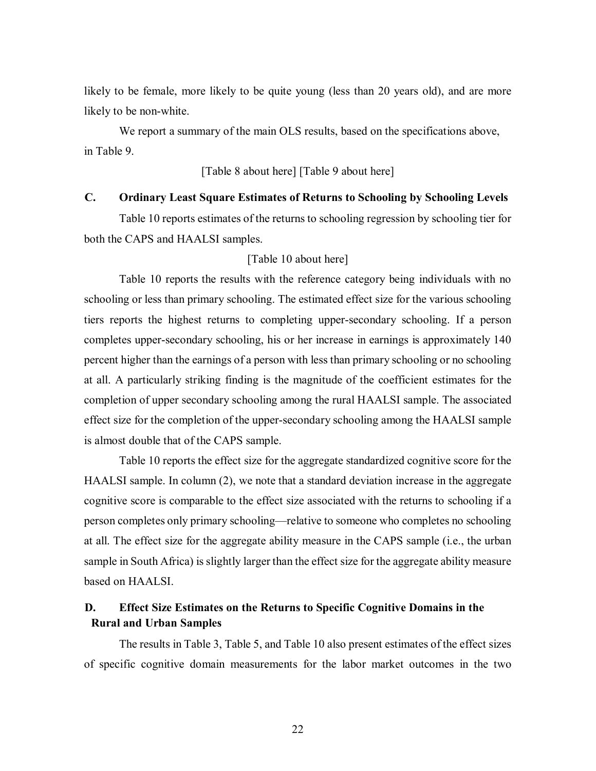likely to be female, more likely to be quite young (less than 20 years old), and are more likely to be non-white.

We report a summary of the main OLS results, based on the specifications above, in Table 9.

# [Table 8 about here] [Table 9 about here]

# **C. Ordinary Least Square Estimates of Returns to Schooling by Schooling Levels**

Table 10 reports estimates of the returns to schooling regression by schooling tier for both the CAPS and HAALSI samples.

# [Table 10 about here]

Table 10 reports the results with the reference category being individuals with no schooling or less than primary schooling. The estimated effect size for the various schooling tiers reports the highest returns to completing upper-secondary schooling. If a person completes upper-secondary schooling, his or her increase in earnings is approximately 140 percent higher than the earnings of a person with less than primary schooling or no schooling at all. A particularly striking finding is the magnitude of the coefficient estimates for the completion of upper secondary schooling among the rural HAALSI sample. The associated effect size for the completion of the upper-secondary schooling among the HAALSI sample is almost double that of the CAPS sample.

Table 10 reports the effect size for the aggregate standardized cognitive score for the HAALSI sample. In column (2), we note that a standard deviation increase in the aggregate cognitive score is comparable to the effect size associated with the returns to schooling if a person completes only primary schooling—relative to someone who completes no schooling at all. The effect size for the aggregate ability measure in the CAPS sample (i.e., the urban sample in South Africa) is slightly larger than the effect size for the aggregate ability measure based on HAALSI.

# **D. Effect Size Estimates on the Returns to Specific Cognitive Domains in the Rural and Urban Samples**

The results in Table 3, Table 5, and Table 10 also present estimates of the effect sizes of specific cognitive domain measurements for the labor market outcomes in the two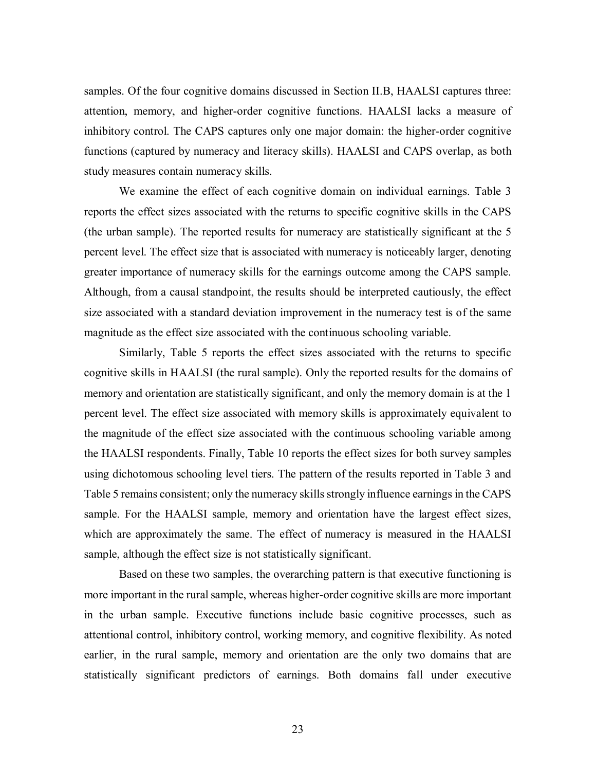samples. Of the four cognitive domains discussed in Section II.B, HAALSI captures three: attention, memory, and higher-order cognitive functions. HAALSI lacks a measure of inhibitory control. The CAPS captures only one major domain: the higher-order cognitive functions (captured by numeracy and literacy skills). HAALSI and CAPS overlap, as both study measures contain numeracy skills.

We examine the effect of each cognitive domain on individual earnings. Table 3 reports the effect sizes associated with the returns to specific cognitive skills in the CAPS (the urban sample). The reported results for numeracy are statistically significant at the 5 percent level. The effect size that is associated with numeracy is noticeably larger, denoting greater importance of numeracy skills for the earnings outcome among the CAPS sample. Although, from a causal standpoint, the results should be interpreted cautiously, the effect size associated with a standard deviation improvement in the numeracy test is of the same magnitude as the effect size associated with the continuous schooling variable.

Similarly, Table 5 reports the effect sizes associated with the returns to specific cognitive skills in HAALSI (the rural sample). Only the reported results for the domains of memory and orientation are statistically significant, and only the memory domain is at the 1 percent level. The effect size associated with memory skills is approximately equivalent to the magnitude of the effect size associated with the continuous schooling variable among the HAALSI respondents. Finally, Table 10 reports the effect sizes for both survey samples using dichotomous schooling level tiers. The pattern of the results reported in Table 3 and Table 5 remains consistent; only the numeracy skills strongly influence earnings in the CAPS sample. For the HAALSI sample, memory and orientation have the largest effect sizes, which are approximately the same. The effect of numeracy is measured in the HAALSI sample, although the effect size is not statistically significant.

Based on these two samples, the overarching pattern is that executive functioning is more important in the rural sample, whereas higher-order cognitive skills are more important in the urban sample. Executive functions include basic cognitive processes, such as attentional control, inhibitory control, working memory, and cognitive flexibility. As noted earlier, in the rural sample, memory and orientation are the only two domains that are statistically significant predictors of earnings. Both domains fall under executive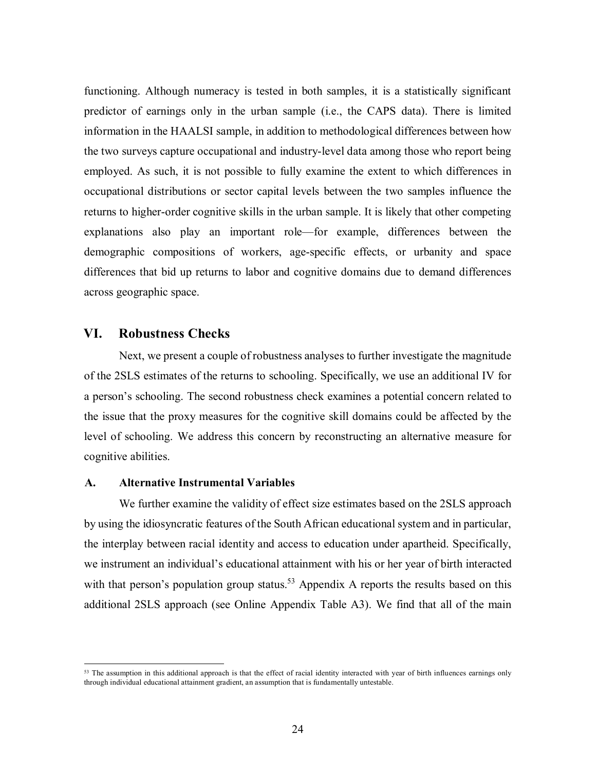functioning. Although numeracy is tested in both samples, it is a statistically significant predictor of earnings only in the urban sample (i.e., the CAPS data). There is limited information in the HAALSI sample, in addition to methodological differences between how the two surveys capture occupational and industry-level data among those who report being employed. As such, it is not possible to fully examine the extent to which differences in occupational distributions or sector capital levels between the two samples influence the returns to higher-order cognitive skills in the urban sample. It is likely that other competing explanations also play an important role—for example, differences between the demographic compositions of workers, age-specific effects, or urbanity and space differences that bid up returns to labor and cognitive domains due to demand differences across geographic space.

# **VI. Robustness Checks**

Next, we present a couple of robustness analyses to further investigate the magnitude of the 2SLS estimates of the returns to schooling. Specifically, we use an additional IV for a person's schooling. The second robustness check examines a potential concern related to the issue that the proxy measures for the cognitive skill domains could be affected by the level of schooling. We address this concern by reconstructing an alternative measure for cognitive abilities.

#### **A. Alternative Instrumental Variables**

We further examine the validity of effect size estimates based on the 2SLS approach by using the idiosyncratic features of the South African educational system and in particular, the interplay between racial identity and access to education under apartheid. Specifically, we instrument an individual's educational attainment with his or her year of birth interacted with that person's population group status.<sup>53</sup> Appendix A reports the results based on this additional 2SLS approach (see Online Appendix Table A3). We find that all of the main

<sup>&</sup>lt;sup>53</sup> The assumption in this additional approach is that the effect of racial identity interacted with year of birth influences earnings only through individual educational attainment gradient, an assumption that is fundamentally untestable.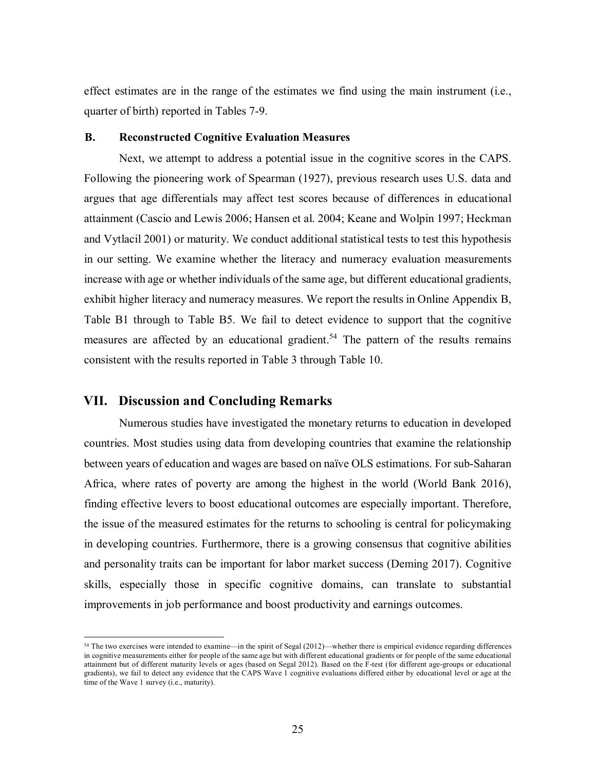effect estimates are in the range of the estimates we find using the main instrument (i.e., quarter of birth) reported in Tables 7-9.

#### **B. Reconstructed Cognitive Evaluation Measures**

Next, we attempt to address a potential issue in the cognitive scores in the CAPS. Following the pioneering work of Spearman (1927), previous research uses U.S. data and argues that age differentials may affect test scores because of differences in educational attainment (Cascio and Lewis 2006; Hansen et al. 2004; Keane and Wolpin 1997; Heckman and Vytlacil 2001) or maturity. We conduct additional statistical tests to test this hypothesis in our setting. We examine whether the literacy and numeracy evaluation measurements increase with age or whether individuals of the same age, but different educational gradients, exhibit higher literacy and numeracy measures. We report the results in Online Appendix B, Table B1 through to Table B5. We fail to detect evidence to support that the cognitive measures are affected by an educational gradient.<sup>54</sup> The pattern of the results remains consistent with the results reported in Table 3 through Table 10.

# **VII. Discussion and Concluding Remarks**

 $\overline{a}$ 

Numerous studies have investigated the monetary returns to education in developed countries. Most studies using data from developing countries that examine the relationship between years of education and wages are based on naïve OLS estimations. For sub-Saharan Africa, where rates of poverty are among the highest in the world (World Bank 2016), finding effective levers to boost educational outcomes are especially important. Therefore, the issue of the measured estimates for the returns to schooling is central for policymaking in developing countries. Furthermore, there is a growing consensus that cognitive abilities and personality traits can be important for labor market success (Deming 2017). Cognitive skills, especially those in specific cognitive domains, can translate to substantial improvements in job performance and boost productivity and earnings outcomes.

<sup>54</sup> The two exercises were intended to examine—in the spirit of Segal (2012)—whether there is empirical evidence regarding differences in cognitive measurements either for people of the same age but with different educational gradients or for people of the same educational attainment but of different maturity levels or ages (based on Segal 2012). Based on the F-test (for different age-groups or educational gradients), we fail to detect any evidence that the CAPS Wave 1 cognitive evaluations differed either by educational level or age at the time of the Wave 1 survey (i.e., maturity).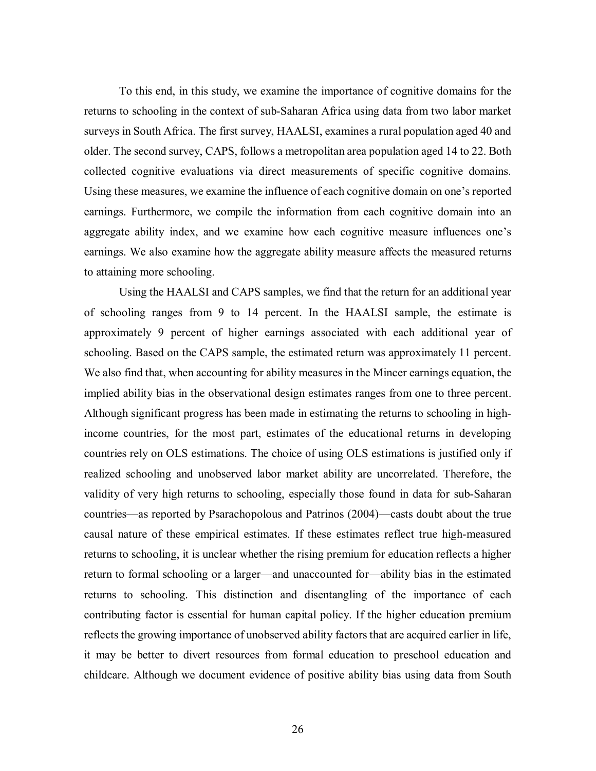To this end, in this study, we examine the importance of cognitive domains for the returns to schooling in the context of sub-Saharan Africa using data from two labor market surveys in South Africa. The first survey, HAALSI, examines a rural population aged 40 and older. The second survey, CAPS, follows a metropolitan area population aged 14 to 22. Both collected cognitive evaluations via direct measurements of specific cognitive domains. Using these measures, we examine the influence of each cognitive domain on one's reported earnings. Furthermore, we compile the information from each cognitive domain into an aggregate ability index, and we examine how each cognitive measure influences one's earnings. We also examine how the aggregate ability measure affects the measured returns to attaining more schooling.

Using the HAALSI and CAPS samples, we find that the return for an additional year of schooling ranges from 9 to 14 percent. In the HAALSI sample, the estimate is approximately 9 percent of higher earnings associated with each additional year of schooling. Based on the CAPS sample, the estimated return was approximately 11 percent. We also find that, when accounting for ability measures in the Mincer earnings equation, the implied ability bias in the observational design estimates ranges from one to three percent. Although significant progress has been made in estimating the returns to schooling in highincome countries, for the most part, estimates of the educational returns in developing countries rely on OLS estimations. The choice of using OLS estimations is justified only if realized schooling and unobserved labor market ability are uncorrelated. Therefore, the validity of very high returns to schooling, especially those found in data for sub-Saharan countries—as reported by Psarachopolous and Patrinos (2004)—casts doubt about the true causal nature of these empirical estimates. If these estimates reflect true high-measured returns to schooling, it is unclear whether the rising premium for education reflects a higher return to formal schooling or a larger—and unaccounted for—ability bias in the estimated returns to schooling. This distinction and disentangling of the importance of each contributing factor is essential for human capital policy. If the higher education premium reflects the growing importance of unobserved ability factors that are acquired earlier in life, it may be better to divert resources from formal education to preschool education and childcare. Although we document evidence of positive ability bias using data from South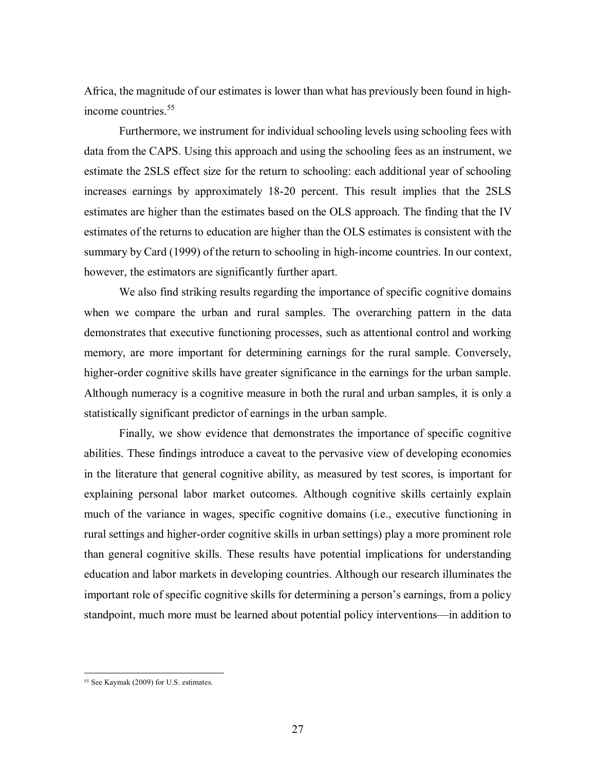Africa, the magnitude of our estimates is lower than what has previously been found in highincome countries.<sup>55</sup>

Furthermore, we instrument for individual schooling levels using schooling fees with data from the CAPS. Using this approach and using the schooling fees as an instrument, we estimate the 2SLS effect size for the return to schooling: each additional year of schooling increases earnings by approximately 18-20 percent. This result implies that the 2SLS estimates are higher than the estimates based on the OLS approach. The finding that the IV estimates of the returns to education are higher than the OLS estimates is consistent with the summary by Card (1999) of the return to schooling in high-income countries. In our context, however, the estimators are significantly further apart.

We also find striking results regarding the importance of specific cognitive domains when we compare the urban and rural samples. The overarching pattern in the data demonstrates that executive functioning processes, such as attentional control and working memory, are more important for determining earnings for the rural sample. Conversely, higher-order cognitive skills have greater significance in the earnings for the urban sample. Although numeracy is a cognitive measure in both the rural and urban samples, it is only a statistically significant predictor of earnings in the urban sample.

Finally, we show evidence that demonstrates the importance of specific cognitive abilities. These findings introduce a caveat to the pervasive view of developing economies in the literature that general cognitive ability, as measured by test scores, is important for explaining personal labor market outcomes. Although cognitive skills certainly explain much of the variance in wages, specific cognitive domains (i.e., executive functioning in rural settings and higher-order cognitive skills in urban settings) play a more prominent role than general cognitive skills. These results have potential implications for understanding education and labor markets in developing countries. Although our research illuminates the important role of specific cognitive skills for determining a person's earnings, from a policy standpoint, much more must be learned about potential policy interventions—in addition to

<sup>55</sup> See Kaymak (2009) for U.S. estimates.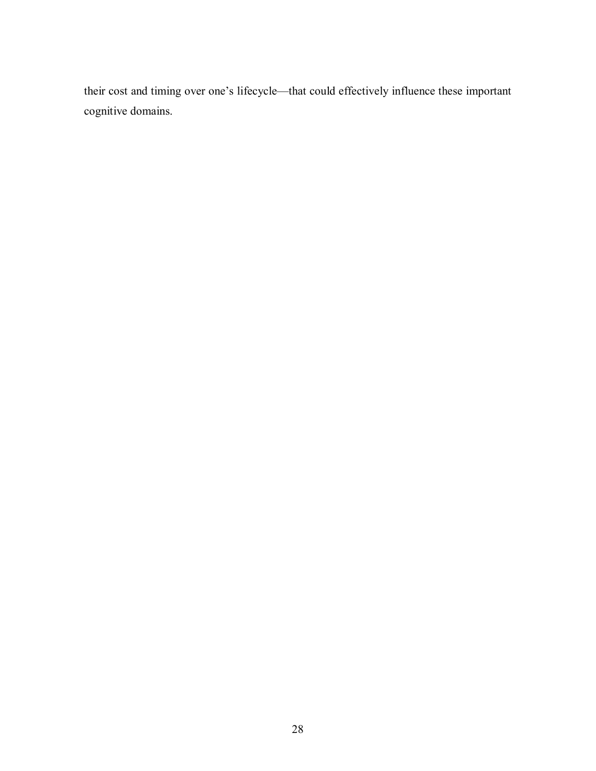their cost and timing over one's lifecycle—that could effectively influence these important cognitive domains.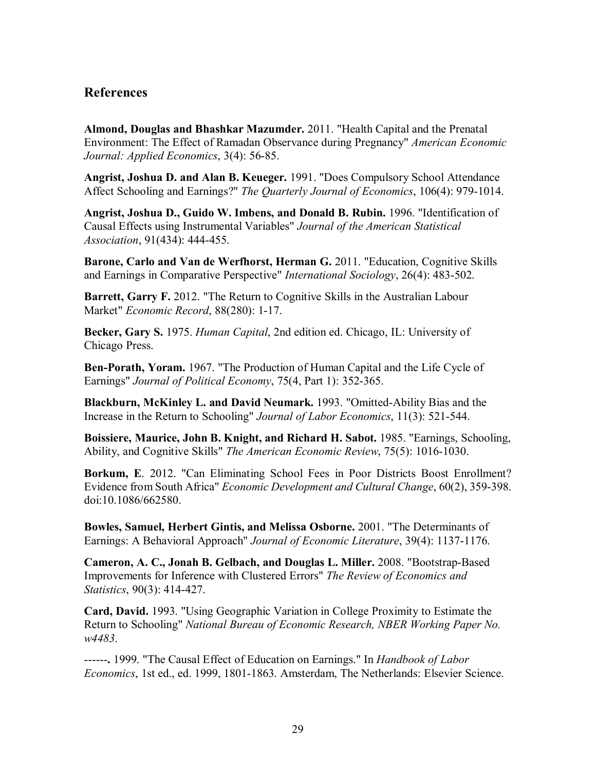# **References**

**Almond, Douglas and Bhashkar Mazumder.** 2011. "Health Capital and the Prenatal Environment: The Effect of Ramadan Observance during Pregnancy" *American Economic Journal: Applied Economics*, 3(4): 56-85.

**Angrist, Joshua D. and Alan B. Keueger.** 1991. "Does Compulsory School Attendance Affect Schooling and Earnings?" *The Quarterly Journal of Economics*, 106(4): 979-1014.

**Angrist, Joshua D., Guido W. Imbens, and Donald B. Rubin.** 1996. "Identification of Causal Effects using Instrumental Variables" *Journal of the American Statistical Association*, 91(434): 444-455.

**Barone, Carlo and Van de Werfhorst, Herman G.** 2011. "Education, Cognitive Skills and Earnings in Comparative Perspective" *International Sociology*, 26(4): 483-502.

**Barrett, Garry F. 2012. "The Return to Cognitive Skills in the Australian Labour** Market" *Economic Record*, 88(280): 1-17.

**Becker, Gary S.** 1975. *Human Capital*, 2nd edition ed. Chicago, IL: University of Chicago Press.

**Ben-Porath, Yoram.** 1967. "The Production of Human Capital and the Life Cycle of Earnings" *Journal of Political Economy*, 75(4, Part 1): 352-365.

**Blackburn, McKinley L. and David Neumark.** 1993. "Omitted-Ability Bias and the Increase in the Return to Schooling" *Journal of Labor Economics*, 11(3): 521-544.

**Boissiere, Maurice, John B. Knight, and Richard H. Sabot.** 1985. "Earnings, Schooling, Ability, and Cognitive Skills" *The American Economic Review*, 75(5): 1016-1030.

**Borkum, E**. 2012. "Can Eliminating School Fees in Poor Districts Boost Enrollment? Evidence from South Africa" *Economic Development and Cultural Change*, 60(2), 359-398. doi:10.1086/662580.

**Bowles, Samuel, Herbert Gintis, and Melissa Osborne.** 2001. "The Determinants of Earnings: A Behavioral Approach" *Journal of Economic Literature*, 39(4): 1137-1176.

**Cameron, A. C., Jonah B. Gelbach, and Douglas L. Miller.** 2008. "Bootstrap-Based Improvements for Inference with Clustered Errors" *The Review of Economics and Statistics*, 90(3): 414-427.

**Card, David.** 1993. "Using Geographic Variation in College Proximity to Estimate the Return to Schooling" *National Bureau of Economic Research, NBER Working Paper No. w4483*.

------**.** 1999. "The Causal Effect of Education on Earnings." In *Handbook of Labor Economics*, 1st ed., ed. 1999, 1801-1863. Amsterdam, The Netherlands: Elsevier Science.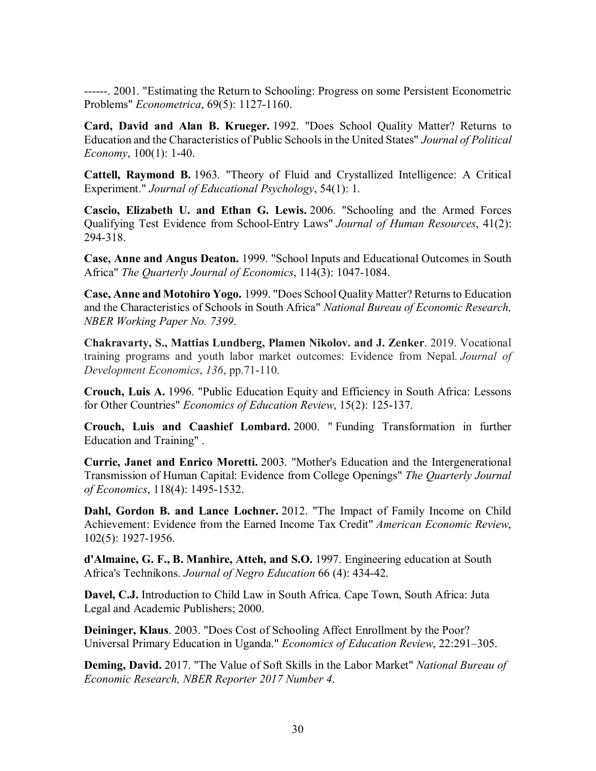------. 2001. "Estimating the Return to Schooling: Progress on some Persistent Econometric Problems" *Econometrica*, 69(5): 1127-1160.

**Card, David and Alan B. Krueger.** 1992. "Does School Quality Matter? Returns to Education and the Characteristics of Public Schools in the United States" *Journal of Political Economy*, 100(1): 1-40.

**Cattell, Raymond B.** 1963. "Theory of Fluid and Crystallized Intelligence: A Critical Experiment." *Journal of Educational Psychology*, 54(1): 1.

**Cascio, Elizabeth U. and Ethan G. Lewis.** 2006. "Schooling and the Armed Forces Qualifying Test Evidence from School-Entry Laws" *Journal of Human Resources*, 41(2): 294-318.

**Case, Anne and Angus Deaton.** 1999. "School Inputs and Educational Outcomes in South Africa" *The Quarterly Journal of Economics*, 114(3): 1047-1084.

**Case, Anne and Motohiro Yogo.** 1999. "Does School Quality Matter? Returns to Education and the Characteristics of Schools in South Africa" *National Bureau of Economic Research, NBER Working Paper No. 7399*.

**Chakravarty, S., Mattias Lundberg, Plamen Nikolov. and J. Zenker**. 2019. Vocational training programs and youth labor market outcomes: Evidence from Nepal. *Journal of Development Economics*, *136*, pp.71-110.

**Crouch, Luis A.** 1996. "Public Education Equity and Efficiency in South Africa: Lessons for Other Countries" *Economics of Education Review*, 15(2): 125-137.

**Crouch, Luis and Caashief Lombard.** 2000. " Funding Transformation in further Education and Training" .

**Currie, Janet and Enrico Moretti.** 2003. "Mother's Education and the Intergenerational Transmission of Human Capital: Evidence from College Openings" *The Quarterly Journal of Economics*, 118(4): 1495-1532.

**Dahl, Gordon B. and Lance Lochner.** 2012. "The Impact of Family Income on Child Achievement: Evidence from the Earned Income Tax Credit" *American Economic Review*, 102(5): 1927-1956.

**d'Almaine, G. F., B. Manhire, Atteh, and S.O.** 1997. Engineering education at South Africa's Technikons. *Journal of Negro Education* 66 (4): 434-42.

**Davel, C.J.** Introduction to Child Law in South Africa. Cape Town, South Africa: Juta Legal and Academic Publishers; 2000.

**Deininger, Klaus**. 2003. "Does Cost of Schooling Affect Enrollment by the Poor? Universal Primary Education in Uganda." *Economics of Education Review*, 22:291–305.

**Deming, David.** 2017. "The Value of Soft Skills in the Labor Market" *National Bureau of Economic Research, NBER Reporter 2017 Number 4*.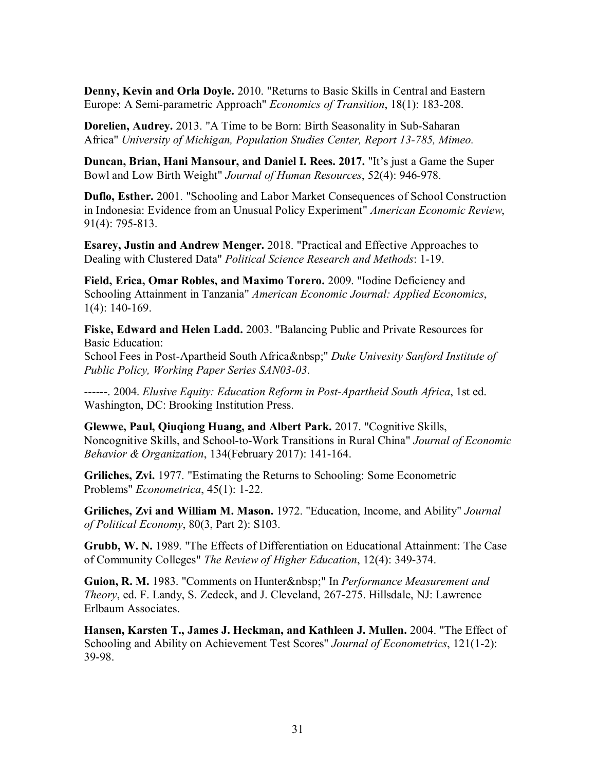**Denny, Kevin and Orla Doyle.** 2010. "Returns to Basic Skills in Central and Eastern Europe: A Semi‐parametric Approach" *Economics of Transition*, 18(1): 183-208.

**Dorelien, Audrey.** 2013. "A Time to be Born: Birth Seasonality in Sub-Saharan Africa" *University of Michigan, Population Studies Center, Report 13-785, Mimeo.*

**Duncan, Brian, Hani Mansour, and Daniel I. Rees. 2017.** "It's just a Game the Super Bowl and Low Birth Weight" *Journal of Human Resources*, 52(4): 946-978.

**Duflo, Esther.** 2001. "Schooling and Labor Market Consequences of School Construction in Indonesia: Evidence from an Unusual Policy Experiment" *American Economic Review*, 91(4): 795-813.

**Esarey, Justin and Andrew Menger.** 2018. "Practical and Effective Approaches to Dealing with Clustered Data" *Political Science Research and Methods*: 1-19.

**Field, Erica, Omar Robles, and Maximo Torero.** 2009. "Iodine Deficiency and Schooling Attainment in Tanzania" *American Economic Journal: Applied Economics*, 1(4): 140-169.

**Fiske, Edward and Helen Ladd.** 2003. "Balancing Public and Private Resources for Basic Education:

School Fees in Post-Apartheid South Africa " Duke Univesity Sanford Institute of *Public Policy, Working Paper Series SAN03-03*.

------. 2004. *Elusive Equity: Education Reform in Post-Apartheid South Africa*, 1st ed. Washington, DC: Brooking Institution Press.

**Glewwe, Paul, Qiuqiong Huang, and Albert Park.** 2017. "Cognitive Skills, Noncognitive Skills, and School-to-Work Transitions in Rural China" *Journal of Economic Behavior & Organization*, 134(February 2017): 141-164.

**Griliches, Zvi.** 1977. "Estimating the Returns to Schooling: Some Econometric Problems" *Econometrica*, 45(1): 1-22.

**Griliches, Zvi and William M. Mason.** 1972. "Education, Income, and Ability" *Journal of Political Economy*, 80(3, Part 2): S103.

**Grubb, W. N.** 1989. "The Effects of Differentiation on Educational Attainment: The Case of Community Colleges" *The Review of Higher Education*, 12(4): 349-374.

**Guion, R. M.** 1983. "Comments on Hunter " In *Performance Measurement and Theory*, ed. F. Landy, S. Zedeck, and J. Cleveland, 267-275. Hillsdale, NJ: Lawrence Erlbaum Associates.

**Hansen, Karsten T., James J. Heckman, and Kathleen J. Mullen.** 2004. "The Effect of Schooling and Ability on Achievement Test Scores" *Journal of Econometrics*, 121(1-2): 39-98.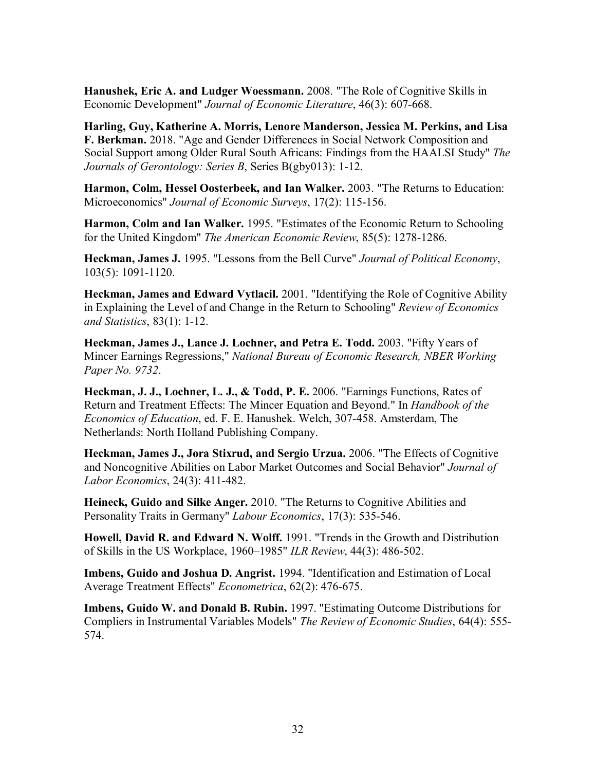**Hanushek, Eric A. and Ludger Woessmann.** 2008. "The Role of Cognitive Skills in Economic Development" *Journal of Economic Literature*, 46(3): 607-668.

**Harling, Guy, Katherine A. Morris, Lenore Manderson, Jessica M. Perkins, and Lisa F. Berkman.** 2018. "Age and Gender Differences in Social Network Composition and Social Support among Older Rural South Africans: Findings from the HAALSI Study" *The Journals of Gerontology: Series B*, Series B(gby013): 1-12.

**Harmon, Colm, Hessel Oosterbeek, and Ian Walker.** 2003. "The Returns to Education: Microeconomics" *Journal of Economic Surveys*, 17(2): 115-156.

**Harmon, Colm and Ian Walker.** 1995. "Estimates of the Economic Return to Schooling for the United Kingdom" *The American Economic Review*, 85(5): 1278-1286.

**Heckman, James J.** 1995. "Lessons from the Bell Curve" *Journal of Political Economy*, 103(5): 1091-1120.

**Heckman, James and Edward Vytlacil.** 2001. "Identifying the Role of Cognitive Ability in Explaining the Level of and Change in the Return to Schooling" *Review of Economics and Statistics*, 83(1): 1-12.

**Heckman, James J., Lance J. Lochner, and Petra E. Todd.** 2003. "Fifty Years of Mincer Earnings Regressions," *National Bureau of Economic Research, NBER Working Paper No. 9732*.

**Heckman, J. J., Lochner, L. J., & Todd, P. E.** 2006. "Earnings Functions, Rates of Return and Treatment Effects: The Mincer Equation and Beyond." In *Handbook of the Economics of Education*, ed. F. E. Hanushek. Welch, 307-458. Amsterdam, The Netherlands: North Holland Publishing Company.

**Heckman, James J., Jora Stixrud, and Sergio Urzua.** 2006. "The Effects of Cognitive and Noncognitive Abilities on Labor Market Outcomes and Social Behavior" *Journal of Labor Economics*, 24(3): 411-482.

**Heineck, Guido and Silke Anger.** 2010. "The Returns to Cognitive Abilities and Personality Traits in Germany" *Labour Economics*, 17(3): 535-546.

**Howell, David R. and Edward N. Wolff.** 1991. "Trends in the Growth and Distribution of Skills in the US Workplace, 1960–1985" *ILR Review*, 44(3): 486-502.

**Imbens, Guido and Joshua D. Angrist.** 1994. "Identification and Estimation of Local Average Treatment Effects" *Econometrica*, 62(2): 476-675.

**Imbens, Guido W. and Donald B. Rubin.** 1997. "Estimating Outcome Distributions for Compliers in Instrumental Variables Models" *The Review of Economic Studies*, 64(4): 555- 574.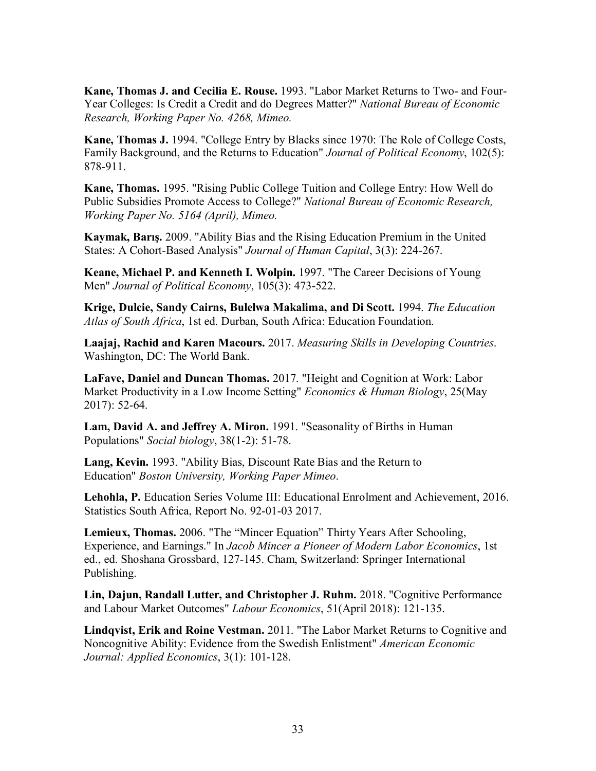**Kane, Thomas J. and Cecilia E. Rouse.** 1993. "Labor Market Returns to Two- and Four-Year Colleges: Is Credit a Credit and do Degrees Matter?" *National Bureau of Economic Research, Working Paper No. 4268, Mimeo.* 

**Kane, Thomas J.** 1994. "College Entry by Blacks since 1970: The Role of College Costs, Family Background, and the Returns to Education" *Journal of Political Economy*, 102(5): 878-911.

**Kane, Thomas.** 1995. "Rising Public College Tuition and College Entry: How Well do Public Subsidies Promote Access to College?" *National Bureau of Economic Research, Working Paper No. 5164 (April), Mimeo.* 

**Kaymak, Barış.** 2009. "Ability Bias and the Rising Education Premium in the United States: A Cohort-Based Analysis" *Journal of Human Capital*, 3(3): 224-267.

**Keane, Michael P. and Kenneth I. Wolpin.** 1997. "The Career Decisions of Young Men" *Journal of Political Economy*, 105(3): 473-522.

**Krige, Dulcie, Sandy Cairns, Bulelwa Makalima, and Di Scott.** 1994. *The Education Atlas of South Africa*, 1st ed. Durban, South Africa: Education Foundation.

**Laajaj, Rachid and Karen Macours.** 2017. *Measuring Skills in Developing Countries*. Washington, DC: The World Bank.

**LaFave, Daniel and Duncan Thomas.** 2017. "Height and Cognition at Work: Labor Market Productivity in a Low Income Setting" *Economics & Human Biology*, 25(May 2017): 52-64.

**Lam, David A. and Jeffrey A. Miron.** 1991. "Seasonality of Births in Human Populations" *Social biology*, 38(1-2): 51-78.

**Lang, Kevin.** 1993. "Ability Bias, Discount Rate Bias and the Return to Education" *Boston University, Working Paper Mimeo*.

**Lehohla, P.** Education Series Volume III: Educational Enrolment and Achievement, 2016. Statistics South Africa, Report No. 92-01-03 2017.

**Lemieux, Thomas.** 2006. "The "Mincer Equation" Thirty Years After Schooling, Experience, and Earnings." In *Jacob Mincer a Pioneer of Modern Labor Economics*, 1st ed., ed. Shoshana Grossbard, 127-145. Cham, Switzerland: Springer International Publishing.

**Lin, Dajun, Randall Lutter, and Christopher J. Ruhm.** 2018. "Cognitive Performance and Labour Market Outcomes" *Labour Economics*, 51(April 2018): 121-135.

**Lindqvist, Erik and Roine Vestman.** 2011. "The Labor Market Returns to Cognitive and Noncognitive Ability: Evidence from the Swedish Enlistment" *American Economic Journal: Applied Economics*, 3(1): 101-128.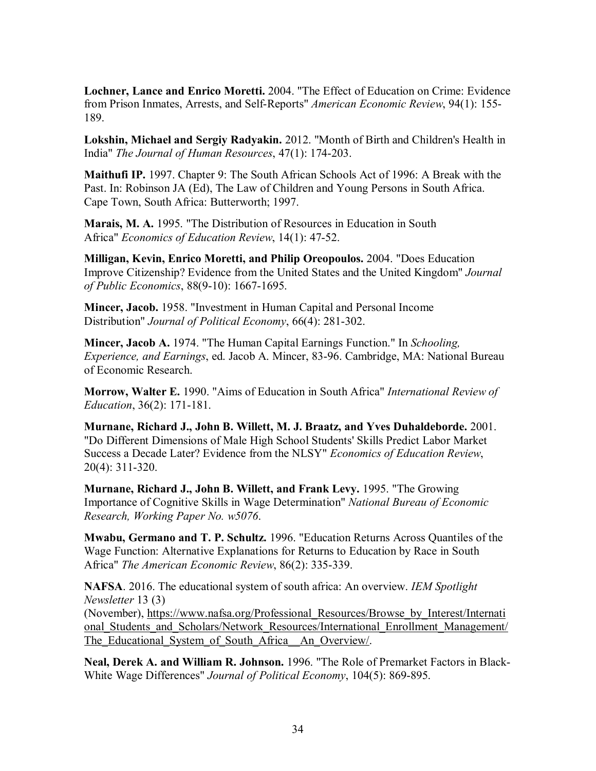**Lochner, Lance and Enrico Moretti.** 2004. "The Effect of Education on Crime: Evidence from Prison Inmates, Arrests, and Self-Reports" *American Economic Review*, 94(1): 155- 189.

**Lokshin, Michael and Sergiy Radyakin.** 2012. "Month of Birth and Children's Health in India" *The Journal of Human Resources*, 47(1): 174-203.

**Maithufi IP.** 1997. Chapter 9: The South African Schools Act of 1996: A Break with the Past. In: Robinson JA (Ed), The Law of Children and Young Persons in South Africa. Cape Town, South Africa: Butterworth; 1997.

**Marais, M. A.** 1995. "The Distribution of Resources in Education in South Africa" *Economics of Education Review*, 14(1): 47-52.

**Milligan, Kevin, Enrico Moretti, and Philip Oreopoulos.** 2004. "Does Education Improve Citizenship? Evidence from the United States and the United Kingdom" *Journal of Public Economics*, 88(9-10): 1667-1695.

**Mincer, Jacob.** 1958. "Investment in Human Capital and Personal Income Distribution" *Journal of Political Economy*, 66(4): 281-302.

**Mincer, Jacob A.** 1974. "The Human Capital Earnings Function." In *Schooling, Experience, and Earnings*, ed. Jacob A. Mincer, 83-96. Cambridge, MA: National Bureau of Economic Research.

**Morrow, Walter E.** 1990. "Aims of Education in South Africa" *International Review of Education*, 36(2): 171-181.

**Murnane, Richard J., John B. Willett, M. J. Braatz, and Yves Duhaldeborde.** 2001. "Do Different Dimensions of Male High School Students' Skills Predict Labor Market Success a Decade Later? Evidence from the NLSY" *Economics of Education Review*, 20(4): 311-320.

**Murnane, Richard J., John B. Willett, and Frank Levy.** 1995. "The Growing Importance of Cognitive Skills in Wage Determination" *National Bureau of Economic Research, Working Paper No. w5076*.

**Mwabu, Germano and T. P. Schultz.** 1996. "Education Returns Across Quantiles of the Wage Function: Alternative Explanations for Returns to Education by Race in South Africa" *The American Economic Review*, 86(2): 335-339.

**NAFSA**. 2016. The educational system of south africa: An overview. *IEM Spotlight Newsletter* 13 (3)

(November), https://www.nafsa.org/Professional\_Resources/Browse\_by\_Interest/Internati onal Students and Scholars/Network Resources/International Enrollment Management/ The Educational System of South Africa An Overview/.

**Neal, Derek A. and William R. Johnson.** 1996. "The Role of Premarket Factors in Black-White Wage Differences" *Journal of Political Economy*, 104(5): 869-895.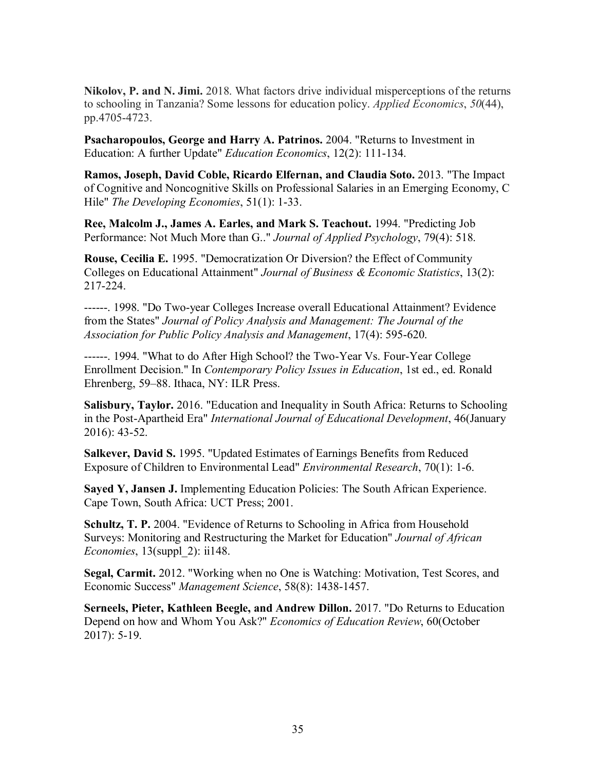**Nikolov, P. and N. Jimi.** 2018. What factors drive individual misperceptions of the returns to schooling in Tanzania? Some lessons for education policy. *Applied Economics*, *50*(44), pp.4705-4723.

**Psacharopoulos, George and Harry A. Patrinos.** 2004. "Returns to Investment in Education: A further Update" *Education Economics*, 12(2): 111-134.

**Ramos, Joseph, David Coble, Ricardo Elfernan, and Claudia Soto.** 2013. "The Impact of Cognitive and Noncognitive Skills on Professional Salaries in an Emerging Economy, C Hile" *The Developing Economies*, 51(1): 1-33.

**Ree, Malcolm J., James A. Earles, and Mark S. Teachout.** 1994. "Predicting Job Performance: Not Much More than G.." *Journal of Applied Psychology*, 79(4): 518.

**Rouse, Cecilia E.** 1995. "Democratization Or Diversion? the Effect of Community Colleges on Educational Attainment" *Journal of Business & Economic Statistics*, 13(2): 217-224.

------. 1998. "Do Two‐year Colleges Increase overall Educational Attainment? Evidence from the States" *Journal of Policy Analysis and Management: The Journal of the Association for Public Policy Analysis and Management*, 17(4): 595-620.

------. 1994. "What to do After High School? the Two-Year Vs. Four-Year College Enrollment Decision." In *Contemporary Policy Issues in Education*, 1st ed., ed. Ronald Ehrenberg, 59–88. Ithaca, NY: ILR Press.

**Salisbury, Taylor.** 2016. "Education and Inequality in South Africa: Returns to Schooling in the Post-Apartheid Era" *International Journal of Educational Development*, 46(January 2016): 43-52.

**Salkever, David S.** 1995. "Updated Estimates of Earnings Benefits from Reduced Exposure of Children to Environmental Lead" *Environmental Research*, 70(1): 1-6.

**Sayed Y, Jansen J.** Implementing Education Policies: The South African Experience. Cape Town, South Africa: UCT Press; 2001.

**Schultz, T. P.** 2004. "Evidence of Returns to Schooling in Africa from Household Surveys: Monitoring and Restructuring the Market for Education" *Journal of African Economies*, 13(suppl\_2): ii148.

**Segal, Carmit.** 2012. "Working when no One is Watching: Motivation, Test Scores, and Economic Success" *Management Science*, 58(8): 1438-1457.

**Serneels, Pieter, Kathleen Beegle, and Andrew Dillon.** 2017. "Do Returns to Education Depend on how and Whom You Ask?" *Economics of Education Review*, 60(October 2017): 5-19.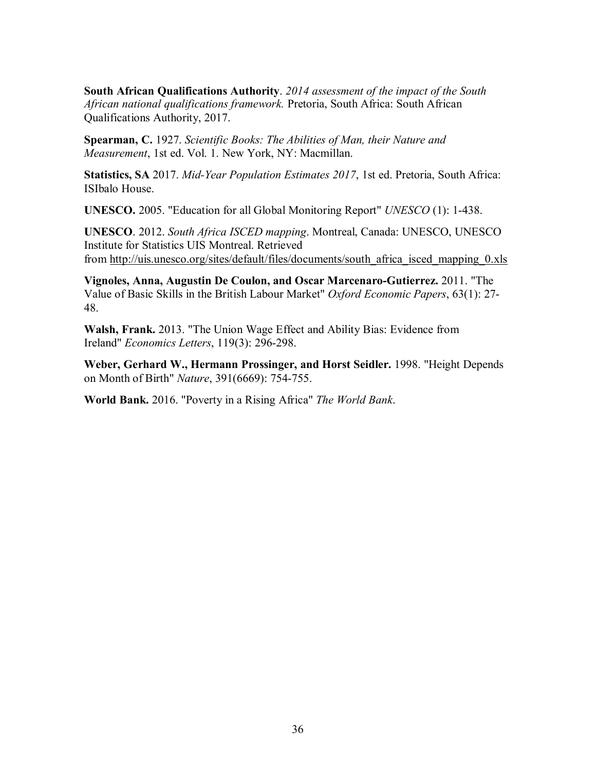**South African Qualifications Authority**. *2014 assessment of the impact of the South African national qualifications framework.* Pretoria, South Africa: South African Qualifications Authority, 2017.

**Spearman, C.** 1927. *Scientific Books: The Abilities of Man, their Nature and Measurement*, 1st ed. Vol. 1. New York, NY: Macmillan.

**Statistics, SA** 2017. *Mid-Year Population Estimates 2017*, 1st ed. Pretoria, South Africa: ISIbalo House.

**UNESCO.** 2005. "Education for all Global Monitoring Report" *UNESCO* (1): 1-438.

**UNESCO**. 2012. *South Africa ISCED mapping*. Montreal, Canada: UNESCO, UNESCO Institute for Statistics UIS Montreal. Retrieved from http://uis.unesco.org/sites/default/files/documents/south\_africa\_isced\_mapping\_0.xls

**Vignoles, Anna, Augustin De Coulon, and Oscar Marcenaro-Gutierrez.** 2011. "The Value of Basic Skills in the British Labour Market" *Oxford Economic Papers*, 63(1): 27- 48.

**Walsh, Frank.** 2013. "The Union Wage Effect and Ability Bias: Evidence from Ireland" *Economics Letters*, 119(3): 296-298.

**Weber, Gerhard W., Hermann Prossinger, and Horst Seidler.** 1998. "Height Depends on Month of Birth" *Nature*, 391(6669): 754-755.

**World Bank.** 2016. "Poverty in a Rising Africa" *The World Bank*.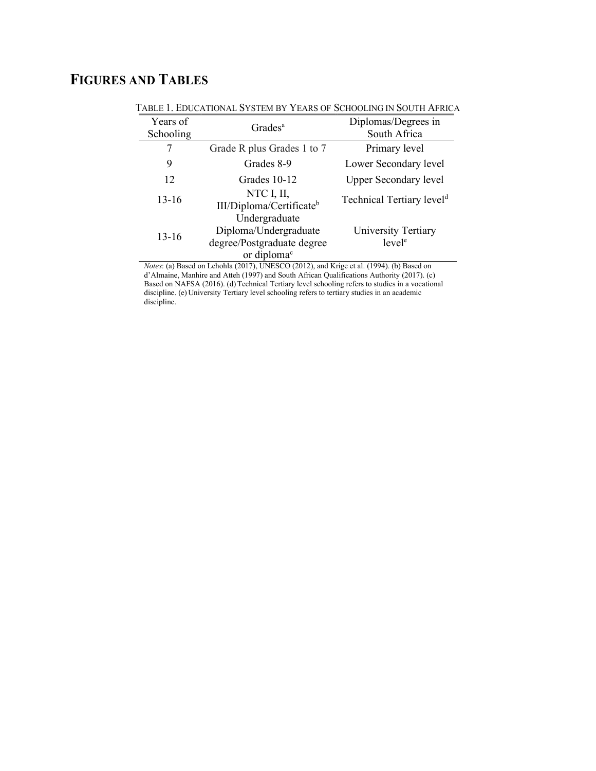# FIGURES AND TABLES

| Years of<br>Schooling | Grades <sup>a</sup>                                                                             | Diplomas/Degrees in<br>South Africa       |
|-----------------------|-------------------------------------------------------------------------------------------------|-------------------------------------------|
|                       | Grade R plus Grades 1 to 7                                                                      | Primary level                             |
| 9                     | Grades 8-9                                                                                      | Lower Secondary level                     |
| 12                    | Grades 10-12                                                                                    | <b>Upper Secondary level</b>              |
| $13-16$               | NTC I, II,<br>III/Diploma/Certificate <sup>b</sup>                                              | Technical Tertiary level <sup>d</sup>     |
| $13-16$               | Undergraduate<br>Diploma/Undergraduate<br>degree/Postgraduate degree<br>or diploma <sup>c</sup> | University Tertiary<br>level <sup>e</sup> |

TABLE 1. EDUCATIONAL SYSTEM BY YEARS OF SCHOOLING IN SOUTH AFRICA

Notes: (a) Based on Lehohla (2017), UNESCO (2012), and Krige et al. (1994). (b) Based on d'Almaine, Manhire and Atteh (1997) and South African Qualifications Authority (2017). (c) Based on NAFSA (2016). (d) Technical Tertiary level schooling refers to studies in a vocational discipline. (e) University Tertiary level schooling refers to tertiary studies in an academic discipline.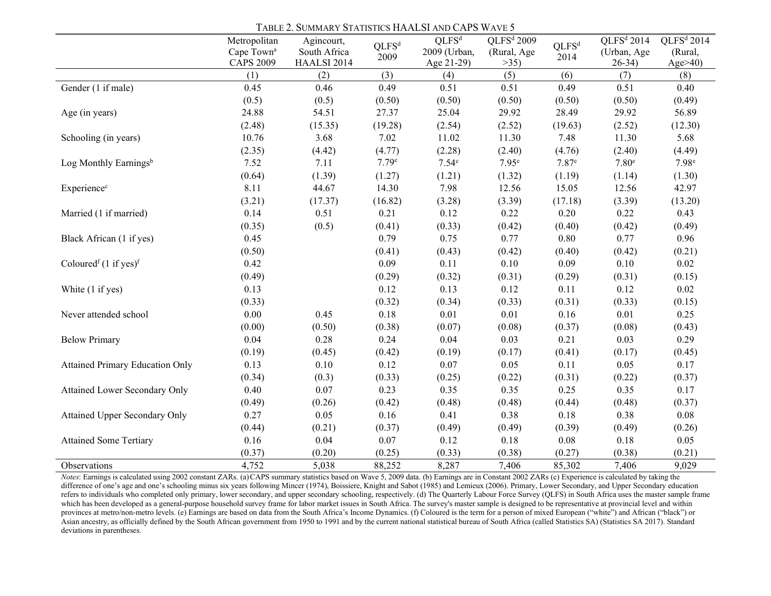|                                              | Metropolitan           | Agincourt,   |                           | $QLFS^d$          | QLFS <sup>d</sup> 2009 |                           | QLFS <sup>d</sup> 2014 | QLFS <sup>d</sup> 2014 |
|----------------------------------------------|------------------------|--------------|---------------------------|-------------------|------------------------|---------------------------|------------------------|------------------------|
|                                              | Cape Town <sup>a</sup> | South Africa | QLFS <sup>d</sup><br>2009 | 2009 (Urban,      | (Rural, Age            | QLFS <sup>d</sup><br>2014 | (Urban, Age            | (Rural,                |
|                                              | <b>CAPS 2009</b>       | HAALSI 2014  |                           | Age 21-29)        | >35)                   |                           | $26-34)$               | Age>40)                |
|                                              | (1)                    | (2)          | (3)                       | (4)               | (5)                    | (6)                       | (7)                    | (8)                    |
| Gender (1 if male)                           | 0.45                   | 0.46         | 0.49                      | 0.51              | 0.51                   | 0.49                      | 0.51                   | 0.40                   |
|                                              | (0.5)                  | (0.5)        | (0.50)                    | (0.50)            | (0.50)                 | (0.50)                    | (0.50)                 | (0.49)                 |
| Age (in years)                               | 24.88                  | 54.51        | 27.37                     | 25.04             | 29.92                  | 28.49                     | 29.92                  | 56.89                  |
|                                              | (2.48)                 | (15.35)      | (19.28)                   | (2.54)            | (2.52)                 | (19.63)                   | (2.52)                 | (12.30)                |
| Schooling (in years)                         | 10.76                  | 3.68         | 7.02                      | 11.02             | 11.30                  | 7.48                      | 11.30                  | 5.68                   |
|                                              | (2.35)                 | (4.42)       | (4.77)                    | (2.28)            | (2.40)                 | (4.76)                    | (2.40)                 | (4.49)                 |
| Log Monthly Earningsb                        | 7.52                   | 7.11         | 7.79e                     | 7.54 <sup>e</sup> | 7.95 <sup>e</sup>      | 7.87 <sup>e</sup>         | 7.80 <sup>e</sup>      | 7.98 <sup>e</sup>      |
|                                              | (0.64)                 | (1.39)       | (1.27)                    | (1.21)            | (1.32)                 | (1.19)                    | (1.14)                 | (1.30)                 |
| Experience <sup>c</sup>                      | 8.11                   | 44.67        | 14.30                     | 7.98              | 12.56                  | 15.05                     | 12.56                  | 42.97                  |
|                                              | (3.21)                 | (17.37)      | (16.82)                   | (3.28)            | (3.39)                 | (17.18)                   | (3.39)                 | (13.20)                |
| Married (1 if married)                       | 0.14                   | 0.51         | 0.21                      | 0.12              | 0.22                   | 0.20                      | 0.22                   | 0.43                   |
|                                              | (0.35)                 | (0.5)        | (0.41)                    | (0.33)            | (0.42)                 | (0.40)                    | (0.42)                 | (0.49)                 |
| Black African (1 if yes)                     | 0.45                   |              | 0.79                      | 0.75              | 0.77                   | $0.80\,$                  | 0.77                   | 0.96                   |
|                                              | (0.50)                 |              | (0.41)                    | (0.43)            | (0.42)                 | (0.40)                    | (0.42)                 | (0.21)                 |
| Coloured <sup>f</sup> $(1 \text{ if yes})^f$ | 0.42                   |              | 0.09                      | 0.11              | $0.10\,$               | 0.09                      | 0.10                   | $0.02\,$               |
|                                              | (0.49)                 |              | (0.29)                    | (0.32)            | (0.31)                 | (0.29)                    | (0.31)                 | (0.15)                 |
| White (1 if yes)                             | 0.13                   |              | 0.12                      | 0.13              | 0.12                   | 0.11                      | 0.12                   | $0.02\,$               |
|                                              | (0.33)                 |              | (0.32)                    | (0.34)            | (0.33)                 | (0.31)                    | (0.33)                 | (0.15)                 |
| Never attended school                        | $0.00\,$               | 0.45         | 0.18                      | 0.01              | $0.01\,$               | 0.16                      | $0.01\,$               | 0.25                   |
|                                              | (0.00)                 | (0.50)       | (0.38)                    | (0.07)            | (0.08)                 | (0.37)                    | (0.08)                 | (0.43)                 |
| <b>Below Primary</b>                         | 0.04                   | 0.28         | 0.24                      | 0.04              | 0.03                   | 0.21                      | 0.03                   | 0.29                   |
|                                              | (0.19)                 | (0.45)       | (0.42)                    | (0.19)            | (0.17)                 | (0.41)                    | (0.17)                 | (0.45)                 |
| <b>Attained Primary Education Only</b>       | 0.13                   | 0.10         | 0.12                      | 0.07              | 0.05                   | 0.11                      | 0.05                   | 0.17                   |
|                                              | (0.34)                 | (0.3)        | (0.33)                    | (0.25)            | (0.22)                 | (0.31)                    | (0.22)                 | (0.37)                 |
| Attained Lower Secondary Only                | 0.40                   | $0.07\,$     | 0.23                      | 0.35              | 0.35                   | 0.25                      | 0.35                   | $0.17\,$               |
|                                              | (0.49)                 | (0.26)       | (0.42)                    | (0.48)            | (0.48)                 | (0.44)                    | (0.48)                 | (0.37)                 |
| Attained Upper Secondary Only                | 0.27                   | 0.05         | 0.16                      | 0.41              | 0.38                   | 0.18                      | 0.38                   | 0.08                   |
|                                              | (0.44)                 | (0.21)       | (0.37)                    | (0.49)            | (0.49)                 | (0.39)                    | (0.49)                 | (0.26)                 |
| <b>Attained Some Tertiary</b>                | 0.16                   | 0.04         | 0.07                      | 0.12              | $0.18\,$               | 0.08                      | 0.18                   | 0.05                   |
|                                              | (0.37)                 | (0.20)       | (0.25)                    | (0.33)            | (0.38)                 | (0.27)                    | (0.38)                 | (0.21)                 |
| Observations                                 | 4,752                  | 5,038        | 88,252                    | 8,287             | 7,406                  | 85,302                    | 7,406                  | 9,029                  |

TABLE 2. SUMMARY STATISTICS HAALSI AND CAPS WAVE 5

Notes: Earnings is calculated using 2002 constant ZARs. (a) CAPS summary statistics based on Wave 5, 2009 data. (b) Earnings are in Constant 2002 ZARs (c) Experience is calculated by taking the difference of one's age and one's schooling minus six years following Mincer (1974), Boissiere, Knight and Sabot (1985) and Lemieux (2006). Primary, Lower Secondary, and Upper Secondary education refers to individuals who completed only primary, lower secondary, and upper secondary schooling, respectively. (d) The Quarterly Labour Force Survey (QLFS) in South Africa uses the master sample frame which has been developed as a general-purpose household survey frame for labor market issues in South Africa. The survey's master sample is designed to be representative at provincial level and within provinces at metro/non-metro levels. (e) Earnings are based on data from the South Africa's Income Dynamics. (f) Coloured is the term for a person of mixed European ("white") and African ("black") or Asian ancestry, as officially defined by the South African government from 1950 to 1991 and by the current national statistical bureau of South Africa (called Statistics SA) (Statistics SA 2017). Standard deviations in parentheses.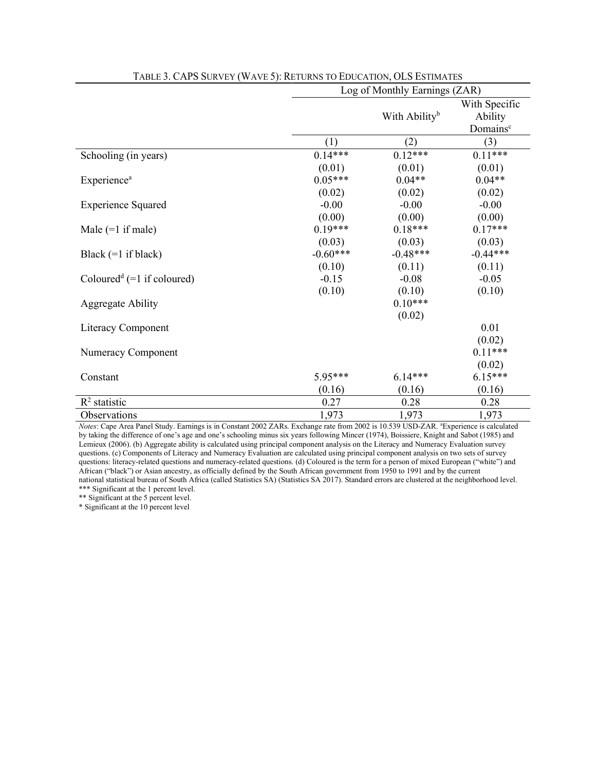|                                          | Log of Monthly Earnings (ZAR) |                           |                      |  |  |  |  |
|------------------------------------------|-------------------------------|---------------------------|----------------------|--|--|--|--|
|                                          |                               | With Specific             |                      |  |  |  |  |
|                                          |                               | With Ability <sup>b</sup> | Ability              |  |  |  |  |
|                                          |                               |                           | Domains <sup>c</sup> |  |  |  |  |
|                                          | (1)                           | (2)                       | (3)                  |  |  |  |  |
| Schooling (in years)                     | $0.14***$                     | $0.12***$                 | $0.11***$            |  |  |  |  |
|                                          | (0.01)                        | (0.01)                    | (0.01)               |  |  |  |  |
| <b>Experience</b> <sup>a</sup>           | $0.05***$                     | $0.04**$                  | $0.04**$             |  |  |  |  |
|                                          | (0.02)                        | (0.02)                    | (0.02)               |  |  |  |  |
| <b>Experience Squared</b>                | $-0.00$                       | $-0.00$                   | $-0.00$              |  |  |  |  |
|                                          | (0.00)                        | (0.00)                    | (0.00)               |  |  |  |  |
| Male $(=1$ if male)                      | $0.19***$                     | $0.18***$                 | $0.17***$            |  |  |  |  |
|                                          | (0.03)                        | (0.03)                    | (0.03)               |  |  |  |  |
| Black $(=1$ if black)                    | $-0.60***$                    | $-0.48***$                | $-0.44***$           |  |  |  |  |
|                                          | (0.10)                        | (0.11)                    | (0.11)               |  |  |  |  |
| Coloured <sup>d</sup> $(=1$ if coloured) | $-0.15$                       | $-0.08$                   | $-0.05$              |  |  |  |  |
|                                          | (0.10)                        | (0.10)                    | (0.10)               |  |  |  |  |
| <b>Aggregate Ability</b>                 |                               | $0.10***$                 |                      |  |  |  |  |
|                                          |                               | (0.02)                    |                      |  |  |  |  |
| Literacy Component                       |                               |                           | 0.01                 |  |  |  |  |
|                                          |                               |                           | (0.02)               |  |  |  |  |
| Numeracy Component                       |                               |                           | $0.11***$            |  |  |  |  |
|                                          |                               |                           | (0.02)               |  |  |  |  |
| Constant                                 | 5.95***                       | $6.14***$                 | $6.15***$            |  |  |  |  |
|                                          | (0.16)                        | (0.16)                    | (0.16)               |  |  |  |  |
| $R^2$ statistic                          | 0.27                          | 0.28                      | 0.28                 |  |  |  |  |
| Observations                             | 1,973                         | 1,973                     | 1,973                |  |  |  |  |

TABLE 3. CAPS SURVEY (WAVE 5): RETURNS TO EDUCATION, OLS ESTIMATES

Notes: Cape Area Panel Study. Earnings is in Constant 2002 ZARs. Exchange rate from 2002 is 10.539 USD-ZAR. <sup>a</sup>Experience is calculated by taking the difference of one's age and one's schooling minus six years following Mincer (1974), Boissiere, Knight and Sabot (1985) and Lemieux (2006). (b) Aggregate ability is calculated using principal component analysis on the Literacy and Numeracy Evaluation survey questions. (c) Components of Literacy and Numeracy Evaluation are calculated using principal component analysis on two sets of survey questions: literacy-related questions and numeracy-related questions. (d) Coloured is the term for a person of mixed European ("white") and African ("black") or Asian ancestry, as officially defined by the South African government from 1950 to 1991 and by the current national statistical bureau of South Africa (called Statistics SA) (Statistics SA 2017). Standard errors are clustered at the neighborhood level. \*\*\* Significant at the 1 percent level.

\*\* Significant at the 5 percent level.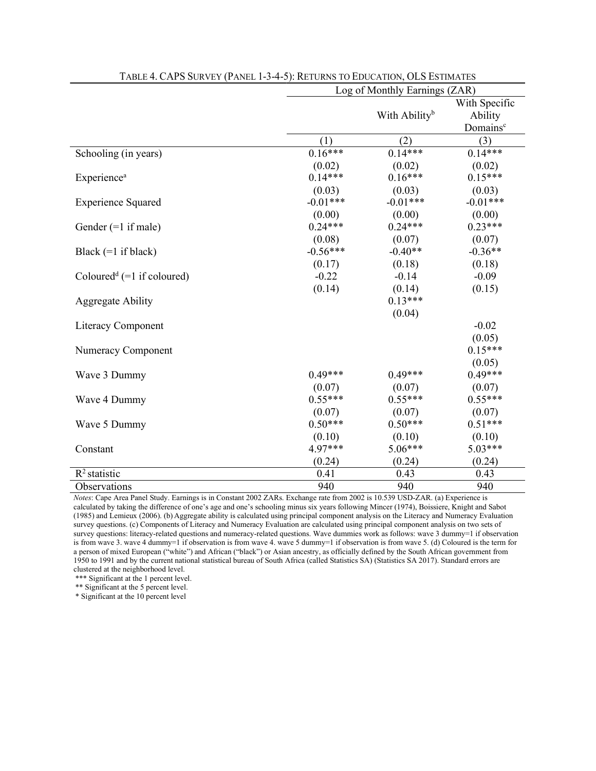|                                        | Log of Monthly Earnings (ZAR) |                           |                          |  |  |  |  |
|----------------------------------------|-------------------------------|---------------------------|--------------------------|--|--|--|--|
|                                        |                               | With Ability <sup>b</sup> | With Specific<br>Ability |  |  |  |  |
|                                        |                               |                           | Domains <sup>c</sup>     |  |  |  |  |
|                                        | (1)                           | (2)                       | (3)                      |  |  |  |  |
| Schooling (in years)                   | $0.16***$                     | $0.14***$                 | $0.14***$                |  |  |  |  |
|                                        | (0.02)                        | (0.02)                    | (0.02)                   |  |  |  |  |
| Experience <sup>a</sup>                | $0.14***$                     | $0.16***$                 | $0.15***$                |  |  |  |  |
|                                        | (0.03)                        | (0.03)                    | (0.03)                   |  |  |  |  |
| <b>Experience Squared</b>              | $-0.01***$                    | $-0.01***$                | $-0.01***$               |  |  |  |  |
|                                        | (0.00)                        | (0.00)                    | (0.00)                   |  |  |  |  |
| Gender $(=1$ if male)                  | $0.24***$                     | $0.24***$                 | $0.23***$                |  |  |  |  |
|                                        | (0.08)                        | (0.07)                    | (0.07)                   |  |  |  |  |
| Black $(=1$ if black)                  | $-0.56***$                    | $-0.40**$                 | $-0.36**$                |  |  |  |  |
|                                        | (0.17)                        | (0.18)                    | (0.18)                   |  |  |  |  |
| Coloured <sup>d</sup> (=1 if coloured) | $-0.22$                       | $-0.14$                   | $-0.09$                  |  |  |  |  |
|                                        | (0.14)                        | (0.14)                    | (0.15)                   |  |  |  |  |
| <b>Aggregate Ability</b>               |                               | $0.13***$                 |                          |  |  |  |  |
|                                        |                               | (0.04)                    |                          |  |  |  |  |
| <b>Literacy Component</b>              |                               |                           | $-0.02$                  |  |  |  |  |
|                                        |                               |                           | (0.05)                   |  |  |  |  |
| Numeracy Component                     |                               |                           | $0.15***$                |  |  |  |  |
|                                        |                               |                           | (0.05)                   |  |  |  |  |
| Wave 3 Dummy                           | $0.49***$                     | $0.49***$                 | $0.49***$                |  |  |  |  |
|                                        | (0.07)                        | (0.07)                    | (0.07)                   |  |  |  |  |
| Wave 4 Dummy                           | $0.55***$                     | $0.55***$                 | $0.55***$                |  |  |  |  |
|                                        | (0.07)                        | (0.07)                    | (0.07)                   |  |  |  |  |
| Wave 5 Dummy                           | $0.50***$                     | $0.50***$                 | $0.51***$                |  |  |  |  |
|                                        | (0.10)                        | (0.10)                    | (0.10)                   |  |  |  |  |
| Constant                               | 4.97***                       | 5.06***                   | $5.03***$                |  |  |  |  |
|                                        | (0.24)                        | (0.24)                    | (0.24)                   |  |  |  |  |
| $R^2$ statistic                        | 0.41                          | 0.43                      | 0.43                     |  |  |  |  |
| Observations                           | 940                           | 940                       | 940                      |  |  |  |  |

#### TABLE 4. CAPS SURVEY (PANEL 1-3-4-5): RETURNS TO EDUCATION, OLS ESTIMATES

Notes: Cape Area Panel Study. Earnings is in Constant 2002 ZARs. Exchange rate from 2002 is 10.539 USD-ZAR. (a) Experience is calculated by taking the difference of one's age and one's schooling minus six years following Mincer (1974), Boissiere, Knight and Sabot (1985) and Lemieux (2006). (b) Aggregate ability is calculated using principal component analysis on the Literacy and Numeracy Evaluation survey questions. (c) Components of Literacy and Numeracy Evaluation are calculated using principal component analysis on two sets of survey questions: literacy-related questions and numeracy-related questions. Wave dummies work as follows: wave 3 dummy=1 if observation is from wave 3. wave 4 dummy=1 if observation is from wave 4. wave 5 dummy=1 if observation is from wave 5. (d) Coloured is the term for a person of mixed European ("white") and African ("black") or Asian ancestry, as officially defined by the South African government from 1950 to 1991 and by the current national statistical bureau of South Africa (called Statistics SA) (Statistics SA 2017). Standard errors are clustered at the neighborhood level.

\*\*\* Significant at the 1 percent level.

\*\* Significant at the 5 percent level.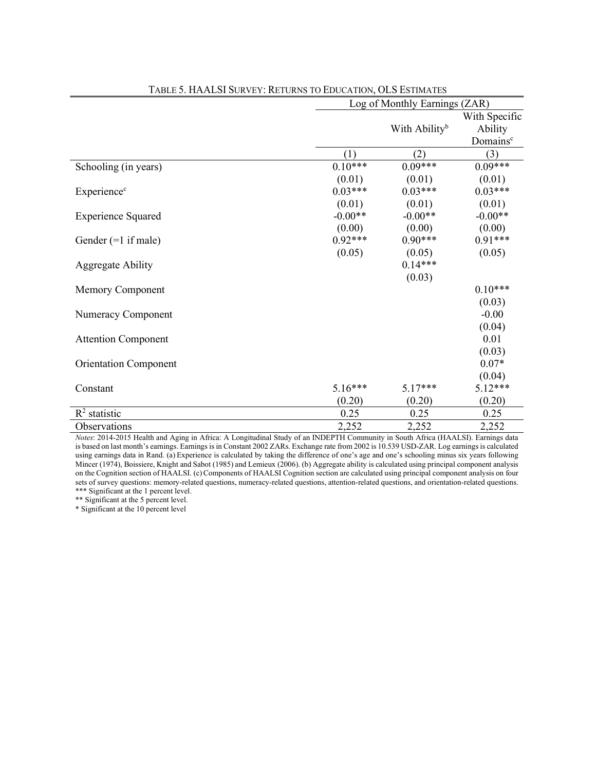|                              |                     | Log of Monthly Earnings (ZAR) |                                                  |  |  |  |  |
|------------------------------|---------------------|-------------------------------|--------------------------------------------------|--|--|--|--|
|                              |                     | With Ability <sup>b</sup>     | With Specific<br>Ability<br>Domains <sup>c</sup> |  |  |  |  |
|                              | (1)                 | (2)                           | (3)                                              |  |  |  |  |
| Schooling (in years)         | $0.10***$           | $0.09***$                     | $0.09***$                                        |  |  |  |  |
| Experience <sup>c</sup>      | (0.01)<br>$0.03***$ | (0.01)<br>$0.03***$           | (0.01)<br>$0.03***$                              |  |  |  |  |
| <b>Experience Squared</b>    | (0.01)<br>$-0.00**$ | (0.01)<br>$-0.00**$           | (0.01)<br>$-0.00**$                              |  |  |  |  |
| Gender $(=1$ if male)        | (0.00)<br>$0.92***$ | (0.00)<br>$0.90***$           | (0.00)<br>$0.91***$                              |  |  |  |  |
| <b>Aggregate Ability</b>     | (0.05)              | (0.05)<br>$0.14***$           | (0.05)                                           |  |  |  |  |
| <b>Memory Component</b>      |                     | (0.03)                        | $0.10***$<br>(0.03)                              |  |  |  |  |
| Numeracy Component           |                     |                               | $-0.00$<br>(0.04)                                |  |  |  |  |
| <b>Attention Component</b>   |                     |                               | 0.01<br>(0.03)                                   |  |  |  |  |
| <b>Orientation Component</b> |                     |                               | $0.07*$                                          |  |  |  |  |
| Constant                     | $5.16***$<br>(0.20) | $5.17***$<br>(0.20)           | (0.04)<br>5.12***<br>(0.20)                      |  |  |  |  |
| $R2$ statistic               | 0.25                | 0.25                          | 0.25                                             |  |  |  |  |
| Observations                 | 2,252               | 2,252                         | 2,252                                            |  |  |  |  |

TABLE 5. HAALSI SURVEY: RETURNS TO EDUCATION, OLS ESTIMATES

Notes: 2014-2015 Health and Aging in Africa: A Longitudinal Study of an INDEPTH Community in South Africa (HAALSI). Earnings data is based on last month's earnings. Earnings is in Constant 2002 ZARs. Exchange rate from 2002 is 10.539 USD-ZAR. Log earnings is calculated using earnings data in Rand. (a) Experience is calculated by taking the difference of one's age and one's schooling minus six years following Mincer (1974), Boissiere, Knight and Sabot (1985) and Lemieux (2006). (b) Aggregate ability is calculated using principal component analysis on the Cognition section of HAALSI. (c)Components of HAALSI Cognition section are calculated using principal component analysis on four sets of survey questions: memory-related questions, numeracy-related questions, attention-related questions, and orientation-related questions. \*\*\* Significant at the 1 percent level.

\*\* Significant at the 5 percent level.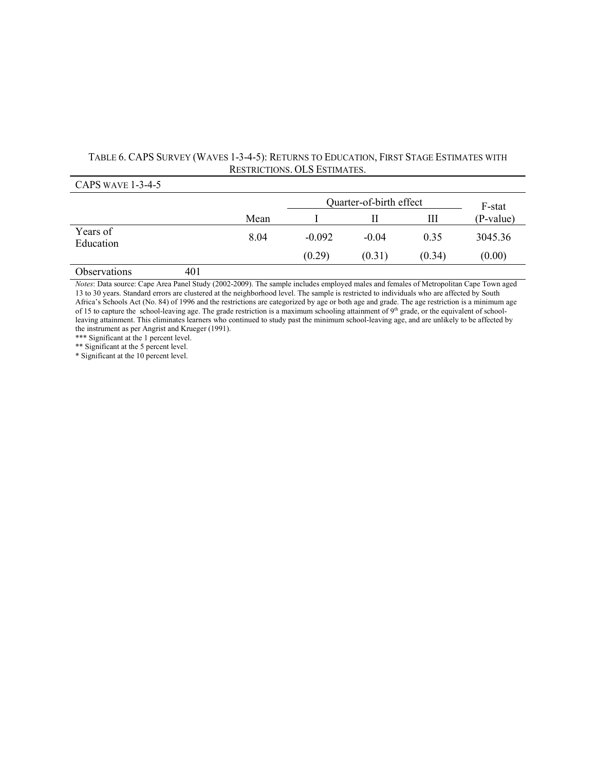# TABLE 6. CAPS SURVEY (WAVES 1-3-4-5): RETURNS TO EDUCATION, FIRST STAGE ESTIMATES WITH RESTRICTIONS. OLS ESTIMATES.<br>
CAPS WAVE 1-3-4-5

| CAPS WAVE $1 - 3 - 4 - 3$ |     |      |                         |         |        |           |
|---------------------------|-----|------|-------------------------|---------|--------|-----------|
|                           |     |      | Quarter-of-birth effect | F-stat  |        |           |
|                           |     | Mean |                         |         | Ш      | (P-value) |
| Years of<br>Education     |     | 8.04 | $-0.092$                | $-0.04$ | 0.35   | 3045.36   |
|                           |     |      | (0.29)                  | (0.31)  | (0.34) | (0.00)    |
| <b>Observations</b>       | 401 |      |                         |         |        |           |

Notes: Data source: Cape Area Panel Study (2002-2009). The sample includes employed males and females of Metropolitan Cape Town aged 13 to 30 years. Standard errors are clustered at the neighborhood level. The sample is restricted to individuals who are affected by South Africa's Schools Act (No. 84) of 1996 and the restrictions are categorized by age or both age and grade. The age restriction is a minimum age of 15 to capture the school-leaving age. The grade restriction is a maximum schooling attainment of 9<sup>th</sup> grade, or the equivalent of schoolleaving attainment. This eliminates learners who continued to study past the minimum school-leaving age, and are unlikely to be affected by the instrument as per Angrist and Krueger (1991).

\*\*\* Significant at the 1 percent level.

\*\* Significant at the 5 percent level.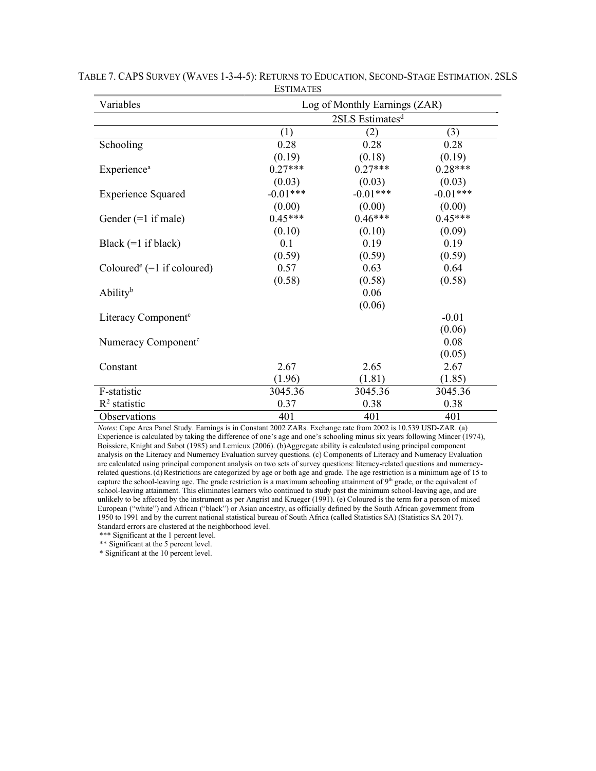| Variables                                | Log of Monthly Earnings (ZAR) |            |            |  |  |  |
|------------------------------------------|-------------------------------|------------|------------|--|--|--|
|                                          | 2SLS Estimates <sup>d</sup>   |            |            |  |  |  |
|                                          | (1)                           | (2)        | (3)        |  |  |  |
| Schooling                                | 0.28                          | 0.28       | 0.28       |  |  |  |
|                                          | (0.19)                        | (0.18)     | (0.19)     |  |  |  |
| Experience <sup>a</sup>                  | $0.27***$                     | $0.27***$  | $0.28***$  |  |  |  |
|                                          | (0.03)                        | (0.03)     | (0.03)     |  |  |  |
| <b>Experience Squared</b>                | $-0.01***$                    | $-0.01***$ | $-0.01***$ |  |  |  |
|                                          | (0.00)                        | (0.00)     | (0.00)     |  |  |  |
| Gender $(=1$ if male)                    | $0.45***$                     | $0.46***$  | $0.45***$  |  |  |  |
|                                          | (0.10)                        | (0.10)     | (0.09)     |  |  |  |
| Black $(=1$ if black)                    | 0.1                           | 0.19       | 0.19       |  |  |  |
|                                          | (0.59)                        | (0.59)     | (0.59)     |  |  |  |
| Coloured <sup>e</sup> $(=1$ if coloured) | 0.57                          | 0.63       | 0.64       |  |  |  |
|                                          | (0.58)                        | (0.58)     | (0.58)     |  |  |  |
| Ability <sup>b</sup>                     |                               | 0.06       |            |  |  |  |
|                                          |                               | (0.06)     |            |  |  |  |
| Literacy Component <sup>c</sup>          |                               |            | $-0.01$    |  |  |  |
|                                          |                               |            | (0.06)     |  |  |  |
| Numeracy Component <sup>c</sup>          |                               |            | 0.08       |  |  |  |
|                                          |                               |            | (0.05)     |  |  |  |
| Constant                                 | 2.67                          | 2.65       | 2.67       |  |  |  |
|                                          | (1.96)                        | (1.81)     | (1.85)     |  |  |  |
| F-statistic                              | 3045.36                       | 3045.36    | 3045.36    |  |  |  |
| $R2$ statistic                           | 0.37                          | 0.38       | 0.38       |  |  |  |
| Observations                             | 401                           | 401        | 401        |  |  |  |

TABLE 7. CAPS SURVEY (WAVES 1-3-4-5): RETURNS TO EDUCATION, SECOND-STAGE ESTIMATION. 2SLS **ESTIMATES** 

Notes: Cape Area Panel Study. Earnings is in Constant 2002 ZARs. Exchange rate from 2002 is 10.539 USD-ZAR. (a) Experience is calculated by taking the difference of one's age and one's schooling minus six years following Mincer (1974), Boissiere, Knight and Sabot (1985) and Lemieux (2006). (b)Aggregate ability is calculated using principal component analysis on the Literacy and Numeracy Evaluation survey questions. (c) Components of Literacy and Numeracy Evaluation are calculated using principal component analysis on two sets of survey questions: literacy-related questions and numeracyrelated questions.(d)Restrictions are categorized by age or both age and grade. The age restriction is a minimum age of 15 to capture the school-leaving age. The grade restriction is a maximum schooling attainment of 9<sup>th</sup> grade, or the equivalent of school-leaving attainment. This eliminates learners who continued to study past the minimum school-leaving age, and are unlikely to be affected by the instrument as per Angrist and Krueger (1991). (e) Coloured is the term for a person of mixed European ("white") and African ("black") or Asian ancestry, as officially defined by the South African government from 1950 to 1991 and by the current national statistical bureau of South Africa (called Statistics SA) (Statistics SA 2017). Standard errors are clustered at the neighborhood level.

\*\*\* Significant at the 1 percent level.

\*\* Significant at the 5 percent level.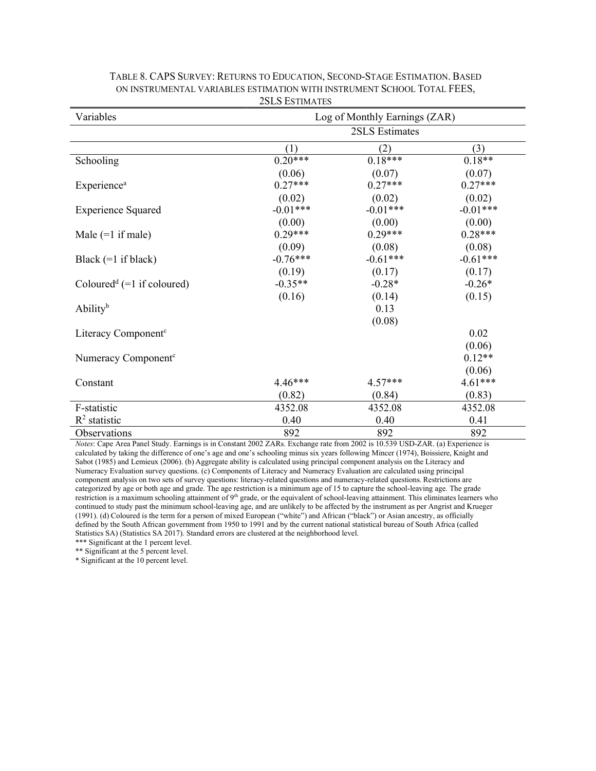| Variables                                |            | Log of Monthly Earnings (ZAR) |            |
|------------------------------------------|------------|-------------------------------|------------|
|                                          |            | 2SLS Estimates                |            |
|                                          | (1)        | (2)                           | (3)        |
| Schooling                                | $0.20***$  | $0.18***$                     | $0.18**$   |
|                                          | (0.06)     | (0.07)                        | (0.07)     |
| <b>Experience</b> <sup>a</sup>           | $0.27***$  | $0.27***$                     | $0.27***$  |
|                                          | (0.02)     | (0.02)                        | (0.02)     |
| <b>Experience Squared</b>                | $-0.01***$ | $-0.01***$                    | $-0.01***$ |
|                                          | (0.00)     | (0.00)                        | (0.00)     |
| Male $(=1$ if male)                      | $0.29***$  | $0.29***$                     | $0.28***$  |
|                                          | (0.09)     | (0.08)                        | (0.08)     |
| Black $(=1$ if black)                    | $-0.76***$ | $-0.61***$                    | $-0.61***$ |
|                                          | (0.19)     | (0.17)                        | (0.17)     |
| Coloured <sup>d</sup> $(=1$ if coloured) | $-0.35**$  | $-0.28*$                      | $-0.26*$   |
|                                          | (0.16)     | (0.14)                        | (0.15)     |
| <b>Ability</b> <sup>b</sup>              |            | 0.13                          |            |
|                                          |            | (0.08)                        |            |
| Literacy Component <sup>c</sup>          |            |                               | 0.02       |
|                                          |            |                               | (0.06)     |
| Numeracy Component <sup>c</sup>          |            |                               | $0.12**$   |
|                                          |            |                               | (0.06)     |
| Constant                                 | 4.46***    | 4.57***                       | 4.61***    |
|                                          | (0.82)     | (0.84)                        | (0.83)     |
| F-statistic                              | 4352.08    | 4352.08                       | 4352.08    |
| $R^2$ statistic                          | 0.40       | 0.40                          | 0.41       |
| Observations                             | 892        | 892                           | 892        |

#### TABLE 8. CAPS SURVEY: RETURNS TO EDUCATION, SECOND-STAGE ESTIMATION. BASED ON INSTRUMENTAL VARIABLES ESTIMATION WITH INSTRUMENT SCHOOL TOTAL FEES, 2SLS ESTIMATES

Notes: Cape Area Panel Study. Earnings is in Constant 2002 ZARs. Exchange rate from 2002 is 10.539 USD-ZAR. (a) Experience is calculated by taking the difference of one's age and one's schooling minus six years following Mincer (1974), Boissiere, Knight and Sabot (1985) and Lemieux (2006). (b) Aggregate ability is calculated using principal component analysis on the Literacy and Numeracy Evaluation survey questions. (c) Components of Literacy and Numeracy Evaluation are calculated using principal component analysis on two sets of survey questions: literacy-related questions and numeracy-related questions. Restrictions are categorized by age or both age and grade. The age restriction is a minimum age of 15 to capture the school-leaving age. The grade restriction is a maximum schooling attainment of 9<sup>th</sup> grade, or the equivalent of school-leaving attainment. This eliminates learners who continued to study past the minimum school-leaving age, and are unlikely to be affected by the instrument as per Angrist and Krueger (1991). (d) Coloured is the term for a person of mixed European ("white") and African ("black") or Asian ancestry, as officially defined by the South African government from 1950 to 1991 and by the current national statistical bureau of South Africa (called Statistics SA) (Statistics SA 2017). Standard errors are clustered at the neighborhood level.

\*\*\* Significant at the 1 percent level.

\*\* Significant at the 5 percent level.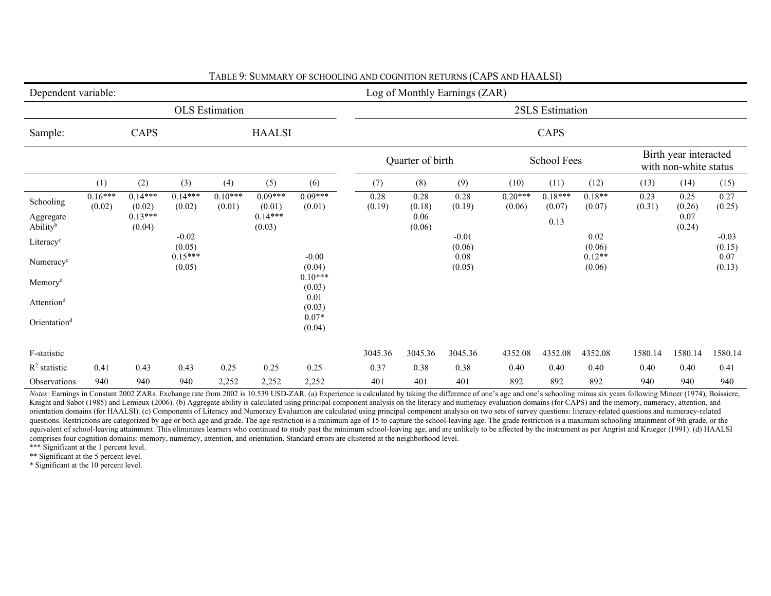| Dependent variable:                            |                     |                                            |                     |                       |                                            |                     |                |                                  | Log of Monthly Earnings (ZAR) |                     |                             |                    |                |                                                |                   |
|------------------------------------------------|---------------------|--------------------------------------------|---------------------|-----------------------|--------------------------------------------|---------------------|----------------|----------------------------------|-------------------------------|---------------------|-----------------------------|--------------------|----------------|------------------------------------------------|-------------------|
|                                                |                     |                                            |                     | <b>OLS</b> Estimation |                                            |                     |                |                                  |                               |                     | 2SLS Estimation             |                    |                |                                                |                   |
| Sample:                                        |                     | CAPS                                       |                     |                       | <b>HAALSI</b>                              |                     |                |                                  |                               |                     | CAPS                        |                    |                |                                                |                   |
|                                                |                     |                                            |                     |                       |                                            |                     |                | Quarter of birth                 |                               |                     | <b>School Fees</b>          |                    |                | Birth year interacted<br>with non-white status |                   |
|                                                | (1)                 | (2)                                        | (3)                 | (4)                   | (5)                                        | (6)                 | (7)            | (8)                              | (9)                           | (10)                | (11)                        | (12)               | (13)           | (14)                                           | (15)              |
| Schooling<br>Aggregate<br>Ability <sup>b</sup> | $0.16***$<br>(0.02) | $0.14***$<br>(0.02)<br>$0.13***$<br>(0.04) | $0.14***$<br>(0.02) | $0.10***$<br>(0.01)   | $0.09***$<br>(0.01)<br>$0.14***$<br>(0.03) | $0.09***$<br>(0.01) | 0.28<br>(0.19) | 0.28<br>(0.18)<br>0.06<br>(0.06) | 0.28<br>(0.19)                | $0.20***$<br>(0.06) | $0.18***$<br>(0.07)<br>0.13 | $0.18**$<br>(0.07) | 0.23<br>(0.31) | 0.25<br>(0.26)<br>0.07<br>(0.24)               | 0.27<br>(0.25)    |
| Literacy <sup>c</sup>                          |                     |                                            | $-0.02$<br>(0.05)   |                       |                                            |                     |                |                                  | $-0.01$<br>(0.06)             |                     |                             | $0.02\,$<br>(0.06) |                |                                                | $-0.03$<br>(0.15) |
| Numeracy <sup>c</sup>                          |                     |                                            | $0.15***$<br>(0.05) |                       |                                            | $-0.00$<br>(0.04)   |                |                                  | $0.08\,$<br>(0.05)            |                     |                             | $0.12**$<br>(0.06) |                |                                                | 0.07<br>(0.13)    |
| Memory <sup>d</sup>                            |                     |                                            |                     |                       |                                            | $0.10***$<br>(0.03) |                |                                  |                               |                     |                             |                    |                |                                                |                   |
| Attention <sup>d</sup>                         |                     |                                            |                     |                       |                                            | 0.01<br>(0.03)      |                |                                  |                               |                     |                             |                    |                |                                                |                   |
| Orientation <sup>d</sup>                       |                     |                                            |                     |                       |                                            | $0.07*$<br>(0.04)   |                |                                  |                               |                     |                             |                    |                |                                                |                   |
| F-statistic                                    |                     |                                            |                     |                       |                                            |                     | 3045.36        | 3045.36                          | 3045.36                       | 4352.08             | 4352.08                     | 4352.08            | 1580.14        | 1580.14                                        | 1580.14           |
| $R2$ statistic                                 | 0.41                | 0.43                                       | 0.43                | 0.25                  | 0.25                                       | 0.25                | 0.37           | 0.38                             | 0.38                          | 0.40                | 0.40                        | 0.40               | 0.40           | 0.40                                           | 0.41              |
| Observations                                   | 940                 | 940                                        | 940                 | 2,252                 | 2,252                                      | 2,252               | 401            | 401                              | 401                           | 892                 | 892                         | 892                | 940            | 940                                            | 940               |

TABLE 9: SUMMARY OF SCHOOLING AND COGNITION RETURNS (CAPS AND HAALSI)

Notes: Earnings in Constant 2002 ZARs. Exchange rate from 2002 is 10.539 USD-ZAR. (a) Experience is calculated by taking the difference of one's age and one's schooling minus six years following Mincer (1974), Boissiere, Knight and Sabot (1985) and Lemieux (2006). (b) Aggregate ability is calculated using principal component analysis on the literacy and numeracy evaluation domains (for CAPS) and the memory, numeracy, attention, and orientation domains (for HAALSI). (c) Components of Literacy and Numeracy Evaluation are calculated using principal component analysis on two sets of survey questions: literacy-related questions and numeracy-related questions. Restrictions are categorized by age or both age and grade. The age restriction is a minimum age of 15 to capture the school-leaving age. The grade restriction is a maximum schooling attainment of 9th grade, or t equivalent of school-leaving attainment. This eliminates learners who continued to study past the minimum school-leaving age, and are unlikely to be affected by the instrument as per Angrist and Krueger (1991). (d) HAALSI comprises four cognition domains: memory, numeracy, attention, and orientation. Standard errors are clustered at the neighborhood level. \*\*\* Significant at the 1 percent level.

\*\* Significant at the 5 percent level.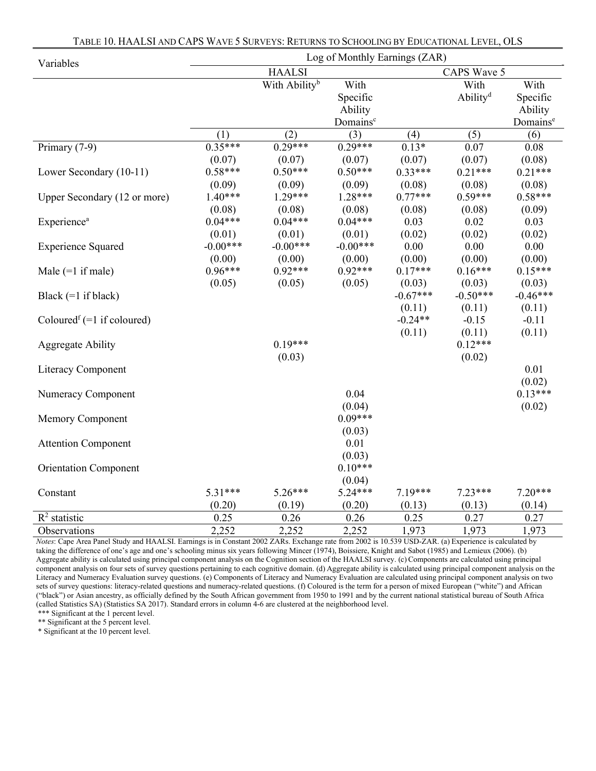| Variables                                |            |                           | Log of Monthly Earnings (ZAR) |                     |                      |                      |
|------------------------------------------|------------|---------------------------|-------------------------------|---------------------|----------------------|----------------------|
|                                          |            | <b>HAALSI</b>             |                               |                     | CAPS Wave 5          |                      |
|                                          |            | With Ability <sup>b</sup> | With                          |                     | With                 | With                 |
|                                          |            |                           | Specific                      |                     | Ability <sup>d</sup> | Specific             |
|                                          |            |                           | Ability                       |                     |                      | Ability              |
|                                          |            |                           | Domains <sup>c</sup>          |                     |                      | Domains <sup>e</sup> |
|                                          | (1)        | (2)                       | (3)                           | (4)                 | (5)                  | (6)                  |
| Primary (7-9)                            | $0.35***$  | $0.29***$                 | $0.29***$                     | $0.13*$             | 0.07                 | 0.08                 |
|                                          | (0.07)     | (0.07)                    | (0.07)                        | (0.07)              | (0.07)               | (0.08)               |
| Lower Secondary (10-11)                  | $0.58***$  | $0.50***$                 | $0.50***$                     | $0.33***$           | $0.21***$            | $0.21***$            |
|                                          | (0.09)     | (0.09)                    | (0.09)                        | (0.08)              | (0.08)               | (0.08)               |
| Upper Secondary (12 or more)             | $1.40***$  | $1.29***$                 | $1.28***$                     | $0.77***$           | $0.59***$            | $0.58***$            |
|                                          | (0.08)     | (0.08)                    | (0.08)                        | (0.08)              | (0.08)               | (0.09)               |
| Experience <sup>a</sup>                  | $0.04***$  | $0.04***$                 | $0.04***$                     | 0.03                | 0.02                 | 0.03                 |
|                                          | (0.01)     | (0.01)                    | (0.01)                        | (0.02)              | (0.02)               | (0.02)               |
| <b>Experience Squared</b>                | $-0.00***$ | $-0.00***$                | $-0.00***$                    | $0.00\,$            | 0.00                 | 0.00                 |
|                                          | (0.00)     | (0.00)                    | (0.00)                        | (0.00)              | (0.00)               | (0.00)               |
| Male $(=1$ if male)                      | $0.96***$  | $0.92***$                 | $0.92***$                     | $0.17***$           | $0.16***$            | $0.15***$            |
|                                          | (0.05)     | (0.05)                    | (0.05)                        | (0.03)              | (0.03)               | (0.03)               |
| Black $(=1$ if black)                    |            |                           |                               | $-0.67***$          | $-0.50***$           | $-0.46***$           |
|                                          |            |                           |                               | (0.11)<br>$-0.24**$ | (0.11)               | (0.11)               |
| Coloured <sup>f</sup> $(=1$ if coloured) |            |                           |                               |                     | $-0.15$              | $-0.11$              |
|                                          |            | $0.19***$                 |                               | (0.11)              | (0.11)<br>$0.12***$  | (0.11)               |
| <b>Aggregate Ability</b>                 |            | (0.03)                    |                               |                     | (0.02)               |                      |
| <b>Literacy Component</b>                |            |                           |                               |                     |                      | 0.01                 |
|                                          |            |                           |                               |                     |                      | (0.02)               |
| Numeracy Component                       |            |                           | 0.04                          |                     |                      | $0.13***$            |
|                                          |            |                           | (0.04)                        |                     |                      | (0.02)               |
| Memory Component                         |            |                           | $0.09***$                     |                     |                      |                      |
|                                          |            |                           | (0.03)                        |                     |                      |                      |
| <b>Attention Component</b>               |            |                           | 0.01                          |                     |                      |                      |
|                                          |            |                           | (0.03)                        |                     |                      |                      |
| <b>Orientation Component</b>             |            |                           | $0.10***$                     |                     |                      |                      |
|                                          |            |                           | (0.04)                        |                     |                      |                      |
| Constant                                 | 5.31***    | $5.26***$                 | $5.24***$                     | 7.19***             | $7.23***$            | $7.20***$            |
|                                          | (0.20)     | (0.19)                    | (0.20)                        | (0.13)              | (0.13)               | (0.14)               |
| $R^2$ statistic                          | 0.25       | 0.26                      | 0.26                          | 0.25                | 0.27                 | 0.27                 |
| Observations                             | 2,252      | 2,252                     | 2,252                         | 1,973               | 1,973                | 1,973                |

TABLE 10. HAALSI AND CAPS WAVE 5 SURVEYS: RETURNS TO SCHOOLING BY EDUCATIONAL LEVEL, OLS

Notes: Cape Area Panel Study and HAALSI. Earnings is in Constant 2002 ZARs. Exchange rate from 2002 is 10.539 USD-ZAR. (a) Experience is calculated by taking the difference of one's age and one's schooling minus six years following Mincer (1974), Boissiere, Knight and Sabot (1985) and Lemieux (2006). (b) Aggregate ability is calculated using principal component analysis on the Cognition section of the HAALSI survey. (c) Components are calculated using principal component analysis on four sets of survey questions pertaining to each cognitive domain. (d) Aggregate ability is calculated using principal component analysis on the Literacy and Numeracy Evaluation survey questions. (e) Components of Literacy and Numeracy Evaluation are calculated using principal component analysis on two sets of survey questions: literacy-related questions and numeracy-related questions. (f) Coloured is the term for a person of mixed European ("white") and African ("black") or Asian ancestry, as officially defined by the South African government from 1950 to 1991 and by the current national statistical bureau of South Africa (called Statistics SA) (Statistics SA 2017). Standard errors in column 4-6 are clustered at the neighborhood level.

\*\*\* Significant at the 1 percent level.

\*\* Significant at the 5 percent level.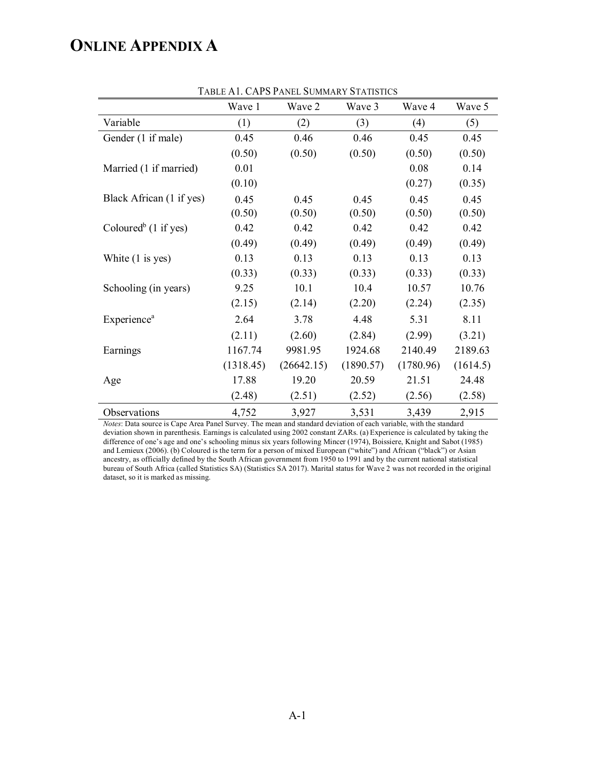# **ONLINE APPENDIX A**

| TADLE AT. CAT 3 I ANEL SUMMART STATISTICS |           |            |           |           |          |  |  |  |
|-------------------------------------------|-----------|------------|-----------|-----------|----------|--|--|--|
|                                           | Wave 1    | Wave 2     | Wave 3    | Wave 4    | Wave 5   |  |  |  |
| Variable                                  | (1)       | (2)        | (3)       | (4)       | (5)      |  |  |  |
| Gender (1 if male)                        | 0.45      | 0.46       | 0.46      | 0.45      | 0.45     |  |  |  |
|                                           | (0.50)    | (0.50)     | (0.50)    | (0.50)    | (0.50)   |  |  |  |
| Married (1 if married)                    | 0.01      |            |           | 0.08      | 0.14     |  |  |  |
|                                           | (0.10)    |            |           | (0.27)    | (0.35)   |  |  |  |
| Black African (1 if yes)                  | 0.45      | 0.45       | 0.45      | 0.45      | 0.45     |  |  |  |
|                                           | (0.50)    | (0.50)     | (0.50)    | (0.50)    | (0.50)   |  |  |  |
| Coloured <sup>b</sup> (1 if yes)          | 0.42      | 0.42       | 0.42      | 0.42      | 0.42     |  |  |  |
|                                           | (0.49)    | (0.49)     | (0.49)    | (0.49)    | (0.49)   |  |  |  |
| White $(1 \text{ is yes})$                | 0.13      | 0.13       | 0.13      | 0.13      | 0.13     |  |  |  |
|                                           | (0.33)    | (0.33)     | (0.33)    | (0.33)    | (0.33)   |  |  |  |
| Schooling (in years)                      | 9.25      | 10.1       | 10.4      | 10.57     | 10.76    |  |  |  |
|                                           | (2.15)    | (2.14)     | (2.20)    | (2.24)    | (2.35)   |  |  |  |
| <b>Experience</b> <sup>a</sup>            | 2.64      | 3.78       | 4.48      | 5.31      | 8.11     |  |  |  |
|                                           | (2.11)    | (2.60)     | (2.84)    | (2.99)    | (3.21)   |  |  |  |
| Earnings                                  | 1167.74   | 9981.95    | 1924.68   | 2140.49   | 2189.63  |  |  |  |
|                                           | (1318.45) | (26642.15) | (1890.57) | (1780.96) | (1614.5) |  |  |  |
| Age                                       | 17.88     | 19.20      | 20.59     | 21.51     | 24.48    |  |  |  |
|                                           | (2.48)    | (2.51)     | (2.52)    | (2.56)    | (2.58)   |  |  |  |
| Observations                              | 4,752     | 3,927      | 3,531     | 3,439     | 2,915    |  |  |  |

TABLE A1. CAPS PANEL SUMMARY STATISTICS

*Notes*: Data source is Cape Area Panel Survey. The mean and standard deviation of each variable, with the standard deviation shown in parenthesis. Earnings is calculated using 2002 constant ZARs. (a) Experience is calculated by taking the difference of one's age and one's schooling minus six years following Mincer (1974), Boissiere, Knight and Sabot (1985) and Lemieux (2006). (b) Coloured is the term for a person of mixed European ("white") and African ("black") or Asian ancestry, as officially defined by the South African government from 1950 to 1991 and by the current national statistical bureau of South Africa (called Statistics SA) (Statistics SA 2017). Marital status for Wave 2 was not recorded in the original dataset, so it is marked as missing.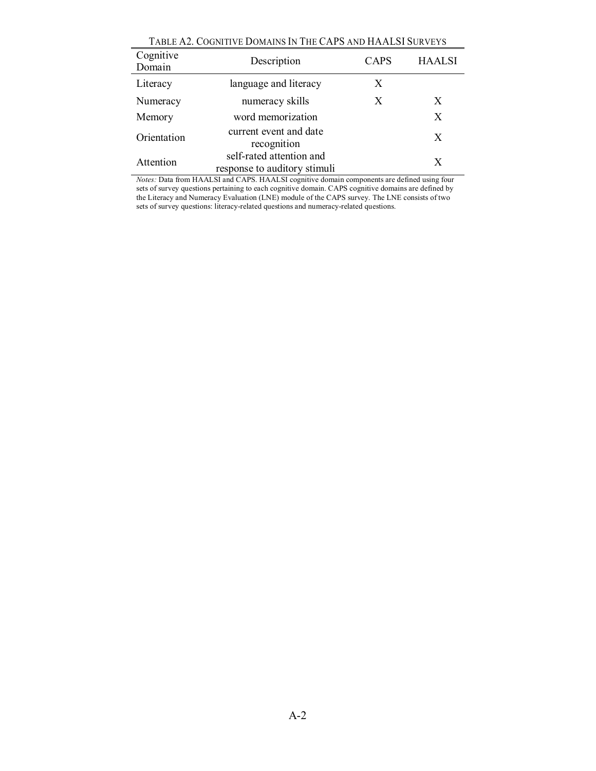| TABLE AZ. COGNITIVE DOMAINS IN THE CAL'S AND HAALSI SURVETS |                                                          |             |               |  |  |  |  |  |
|-------------------------------------------------------------|----------------------------------------------------------|-------------|---------------|--|--|--|--|--|
| Cognitive<br>Domain                                         | Description                                              | <b>CAPS</b> | <b>HAALSI</b> |  |  |  |  |  |
| Literacy                                                    | language and literacy                                    | X           |               |  |  |  |  |  |
| Numeracy                                                    | numeracy skills                                          | X           | X             |  |  |  |  |  |
| Memory                                                      | word memorization                                        |             | X             |  |  |  |  |  |
| Orientation                                                 | current event and date<br>recognition                    |             | X             |  |  |  |  |  |
| Attention                                                   | self-rated attention and<br>response to auditory stimuli |             | X             |  |  |  |  |  |

TABLE A2. COGNITIVE DOMAINS IN THE CAPS AND HAALSI SURVEYS

*Notes:* Data from HAALSI and CAPS. HAALSI cognitive domain components are defined using four sets of survey questions pertaining to each cognitive domain. CAPS cognitive domains are defined by the Literacy and Numeracy Evaluation (LNE) module of the CAPS survey. The LNE consists of two sets of survey questions: literacy-related questions and numeracy-related questions.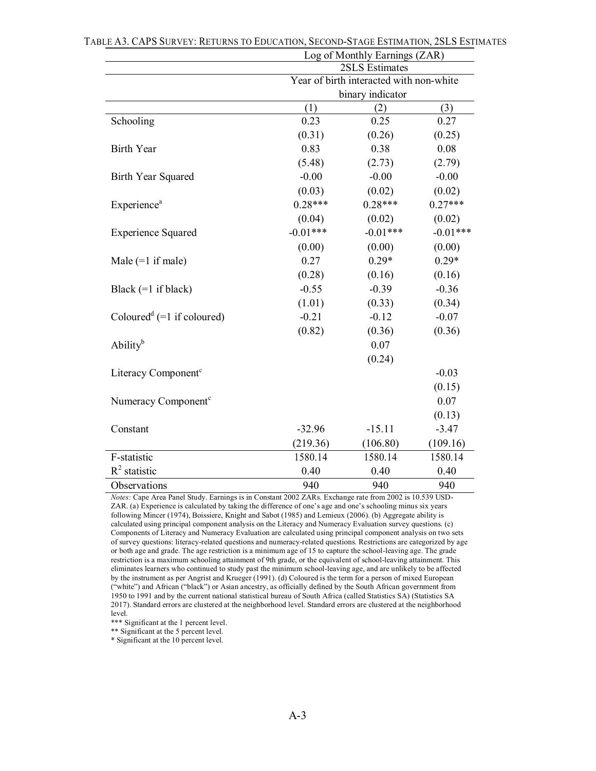|                                                   | Log of Monthly Earnings (ZAR)           |            |            |  |  |  |
|---------------------------------------------------|-----------------------------------------|------------|------------|--|--|--|
|                                                   | 2SLS Estimates                          |            |            |  |  |  |
|                                                   | Year of birth interacted with non-white |            |            |  |  |  |
|                                                   | binary indicator                        |            |            |  |  |  |
|                                                   | (1)                                     | (2)        | (3)        |  |  |  |
| Schooling                                         | 0.23                                    | 0.25       | 0.27       |  |  |  |
|                                                   | (0.31)                                  | (0.26)     | (0.25)     |  |  |  |
| <b>Birth Year</b>                                 | 0.83                                    | 0.38       | 0.08       |  |  |  |
|                                                   | (5.48)                                  | (2.73)     | (2.79)     |  |  |  |
| Birth Year Squared                                | $-0.00$                                 | $-0.00$    | $-0.00$    |  |  |  |
|                                                   | (0.03)                                  | (0.02)     | (0.02)     |  |  |  |
| <b>Experience</b> <sup>a</sup>                    | $0.28***$                               | $0.28***$  | $0.27***$  |  |  |  |
|                                                   | (0.04)                                  | (0.02)     | (0.02)     |  |  |  |
| <b>Experience Squared</b>                         | $-0.01***$                              | $-0.01***$ | $-0.01***$ |  |  |  |
|                                                   | (0.00)                                  | (0.00)     | (0.00)     |  |  |  |
| Male $(=1$ if male)                               | 0.27                                    | $0.29*$    | $0.29*$    |  |  |  |
|                                                   | (0.28)                                  | (0.16)     | (0.16)     |  |  |  |
| Black $(=1$ if black)                             | $-0.55$                                 | $-0.39$    | $-0.36$    |  |  |  |
|                                                   | (1.01)                                  | (0.33)     | (0.34)     |  |  |  |
| Coloured <sup>d</sup> (=1 if coloured)            | $-0.21$                                 | $-0.12$    | $-0.07$    |  |  |  |
|                                                   | (0.82)                                  | (0.36)     | (0.36)     |  |  |  |
| $\mathrm{A}\mathrm{b}\mathrm{ility}^{\mathrm{b}}$ |                                         | 0.07       |            |  |  |  |
|                                                   |                                         | (0.24)     |            |  |  |  |
| Literacy Component <sup>c</sup>                   |                                         |            | $-0.03$    |  |  |  |
|                                                   |                                         |            | (0.15)     |  |  |  |
| Numeracy Component <sup>c</sup>                   |                                         |            | 0.07       |  |  |  |
|                                                   |                                         |            | (0.13)     |  |  |  |
| Constant                                          | $-32.96$                                | $-15.11$   | $-3.47$    |  |  |  |
|                                                   | (219.36)                                | (106.80)   | (109.16)   |  |  |  |
| F-statistic                                       | 1580.14                                 | 1580.14    | 1580.14    |  |  |  |
| $R^2$ statistic                                   | 0.40                                    | 0.40       | 0.40       |  |  |  |
| Observations                                      | 940                                     | 940<br>940 |            |  |  |  |
|                                                   |                                         |            |            |  |  |  |

| TABLE A3. CAPS SURVEY: RETURNS TO EDUCATION, SECOND-STAGE ESTIMATION, 2SLS ESTIMATES |  |
|--------------------------------------------------------------------------------------|--|
|--------------------------------------------------------------------------------------|--|

*Notes:* Cape Area Panel Study. Earnings is in Constant 2002 ZARs. Exchange rate from 2002 is 10.539 USD-ZAR. (a) Experience is calculated by taking the difference of one's age and one's schooling minus six years following Mincer (1974), Boissiere, Knight and Sabot (1985) and Lemieux (2006). (b) Aggregate ability is calculated using principal component analysis on the Literacy and Numeracy Evaluation survey questions. (c) Components of Literacy and Numeracy Evaluation are calculated using principal component analysis on two sets of survey questions: literacy-related questions and numeracy-related questions. Restrictions are categorized by age or both age and grade. The age restriction is a minimum age of 15 to capture the school-leaving age. The grade restriction is a maximum schooling attainment of 9th grade, or the equivalent of school-leaving attainment. This eliminates learners who continued to study past the minimum school-leaving age, and are unlikely to be affected by the instrument as per Angrist and Krueger (1991). (d) Coloured is the term for a person of mixed European ("white") and African ("black") or Asian ancestry, as officially defined by the South African government from 1950 to 1991 and by the current national statistical bureau of South Africa (called Statistics SA) (Statistics SA 2017). Standard errors are clustered at the neighborhood level. Standard errors are clustered at the neighborhood level.

\*\*\* Significant at the 1 percent level.

\*\* Significant at the 5 percent level.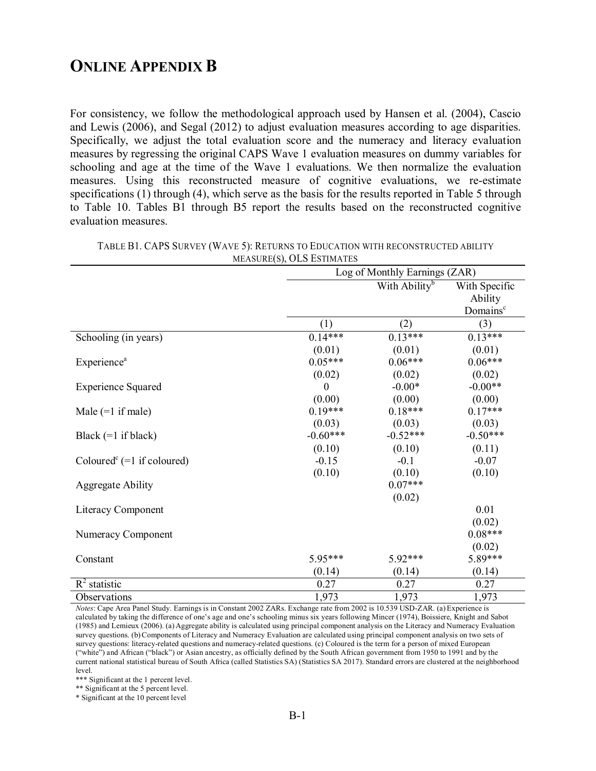# **ONLINE APPENDIX B**

For consistency, we follow the methodological approach used by Hansen et al. (2004), Cascio and Lewis (2006), and Segal (2012) to adjust evaluation measures according to age disparities. Specifically, we adjust the total evaluation score and the numeracy and literacy evaluation measures by regressing the original CAPS Wave 1 evaluation measures on dummy variables for schooling and age at the time of the Wave 1 evaluations. We then normalize the evaluation measures. Using this reconstructed measure of cognitive evaluations, we re-estimate specifications (1) through (4), which serve as the basis for the results reported in Table 5 through to Table 10. Tables B1 through B5 report the results based on the reconstructed cognitive evaluation measures.

|                                                     | Log of Monthly Earnings (ZAR) |                           |                      |  |
|-----------------------------------------------------|-------------------------------|---------------------------|----------------------|--|
|                                                     |                               | With Ability <sup>b</sup> | With Specific        |  |
|                                                     |                               |                           | Ability              |  |
|                                                     |                               |                           | Domains <sup>c</sup> |  |
|                                                     | (1)                           | (2)                       | (3)                  |  |
| Schooling (in years)                                | $0.14***$                     | $0.13***$                 | $0.13***$            |  |
|                                                     | (0.01)                        | (0.01)                    | (0.01)               |  |
| Experience <sup>a</sup>                             | $0.05***$                     | $0.06***$                 | $0.06***$            |  |
|                                                     | (0.02)                        | (0.02)                    | (0.02)               |  |
| <b>Experience Squared</b>                           | $\Omega$                      | $-0.00*$                  | $-0.00**$            |  |
|                                                     | (0.00)                        | (0.00)                    | (0.00)               |  |
| Male $(=1$ if male)                                 | $0.19***$                     | $0.18***$                 | $0.17***$            |  |
|                                                     | (0.03)                        | (0.03)                    | (0.03)               |  |
| Black $(=1$ if black)                               | $-0.60***$                    | $-0.52***$                | $-0.50***$           |  |
|                                                     | (0.10)                        | (0.10)                    | (0.11)               |  |
| Coloured <sup><math>c</math></sup> (=1 if coloured) | $-0.15$                       | $-0.1$                    | $-0.07$              |  |
|                                                     | (0.10)                        | (0.10)                    | (0.10)               |  |
| <b>Aggregate Ability</b>                            |                               | $0.07***$                 |                      |  |
|                                                     |                               | (0.02)                    |                      |  |
| Literacy Component                                  |                               |                           | 0.01                 |  |
|                                                     |                               |                           | (0.02)               |  |
| Numeracy Component                                  |                               |                           | $0.08***$            |  |
|                                                     |                               |                           | (0.02)               |  |
| Constant                                            | 5.95***                       | 5.92***                   | 5.89***              |  |
|                                                     | (0.14)                        | (0.14)                    | (0.14)               |  |
| $R^2$ statistic                                     | 0.27                          | 0.27                      | 0.27                 |  |
| Observations                                        | 1,973                         | 1,973                     | 1,973                |  |

TABLE B1. CAPS SURVEY (WAVE 5): RETURNS TO EDUCATION WITH RECONSTRUCTED ABILITY MEASURE(S), OLS ESTIMATES

*Notes*: Cape Area Panel Study. Earnings is in Constant 2002 ZARs. Exchange rate from 2002 is 10.539 USD-ZAR. (a)Experience is calculated by taking the difference of one's age and one's schooling minus six years following Mincer (1974), Boissiere, Knight and Sabot (1985) and Lemieux (2006). (a) Aggregate ability is calculated using principal component analysis on the Literacy and Numeracy Evaluation survey questions. (b) Components of Literacy and Numeracy Evaluation are calculated using principal component analysis on two sets of survey questions: literacy-related questions and numeracy-related questions. (c) Coloured is the term for a person of mixed European ("white") and African ("black") or Asian ancestry, as officially defined by the South African government from 1950 to 1991 and by the current national statistical bureau of South Africa (called Statistics SA) (Statistics SA 2017). Standard errors are clustered at the neighborhood level.

\*\*\* Significant at the 1 percent level.

\*\* Significant at the 5 percent level.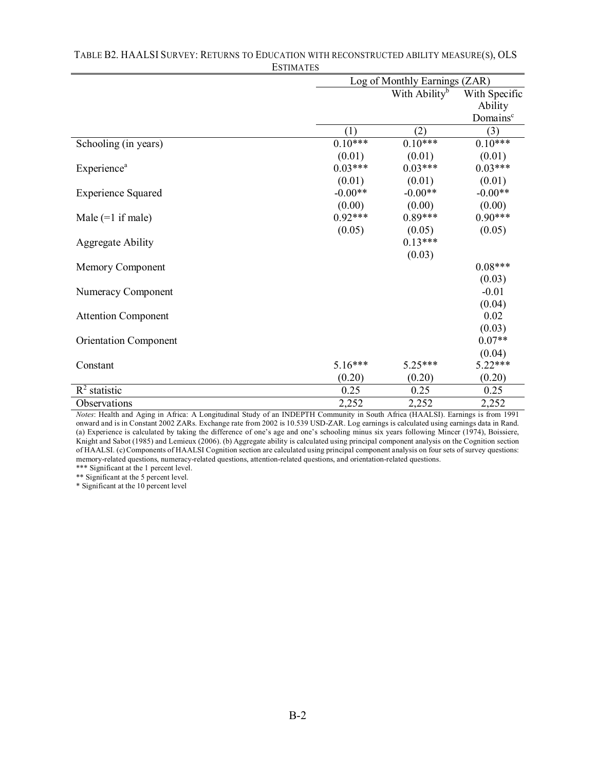|                              | Log of Monthly Earnings (ZAR) |                           |                      |  |
|------------------------------|-------------------------------|---------------------------|----------------------|--|
|                              |                               | With Ability <sup>b</sup> |                      |  |
|                              |                               |                           | Ability              |  |
|                              |                               |                           | Domains <sup>c</sup> |  |
|                              | (1)                           | (2)                       | (3)                  |  |
| Schooling (in years)         | $0.10***$                     | $0.10***$                 | $0.10***$            |  |
|                              | (0.01)                        | (0.01)                    | (0.01)               |  |
| Experience <sup>a</sup>      | $0.03***$                     | $0.03***$                 | $0.03***$            |  |
|                              | (0.01)                        | (0.01)                    | (0.01)               |  |
| <b>Experience Squared</b>    | $-0.00**$                     | $-0.00**$                 | $-0.00**$            |  |
|                              | (0.00)                        | (0.00)                    | (0.00)               |  |
| Male $(=1$ if male)          | $0.92***$                     | $0.89***$                 | $0.90***$            |  |
|                              | (0.05)                        | (0.05)                    | (0.05)               |  |
| <b>Aggregate Ability</b>     |                               | $0.13***$                 |                      |  |
|                              |                               | (0.03)                    |                      |  |
| Memory Component             |                               |                           | $0.08***$            |  |
|                              |                               |                           | (0.03)               |  |
| Numeracy Component           |                               |                           | $-0.01$              |  |
|                              |                               |                           | (0.04)               |  |
| <b>Attention Component</b>   |                               |                           | 0.02                 |  |
|                              |                               |                           | (0.03)               |  |
| <b>Orientation Component</b> |                               |                           | $0.07**$             |  |
|                              |                               |                           | (0.04)               |  |
| Constant                     | $5.16***$                     | 5.25***                   | $5.22***$            |  |
|                              | (0.20)                        | (0.20)                    | (0.20)               |  |
| $R^2$ statistic              | 0.25                          | 0.25                      | 0.25                 |  |
| Observations                 | 2,252                         | 2,252                     | 2,252                |  |

# TABLE B2. HAALSI SURVEY: RETURNS TO EDUCATION WITH RECONSTRUCTED ABILITY MEASURE(S), OLS ESTIMATES

*Notes*: Health and Aging in Africa: A Longitudinal Study of an INDEPTH Community in South Africa (HAALSI). Earnings is from 1991 onward and is in Constant 2002 ZARs. Exchange rate from 2002 is 10.539 USD-ZAR. Log earnings is calculated using earnings data in Rand. (a) Experience is calculated by taking the difference of one's age and one's schooling minus six years following Mincer (1974), Boissiere, Knight and Sabot (1985) and Lemieux (2006). (b) Aggregate ability is calculated using principal component analysis on the Cognition section of HAALSI. (c)Components of HAALSI Cognition section are calculated using principal component analysis on four sets of survey questions: memory-related questions, numeracy-related questions, attention-related questions, and orientation-related questions.

\*\*\* Significant at the 1 percent level.

\*\* Significant at the 5 percent level.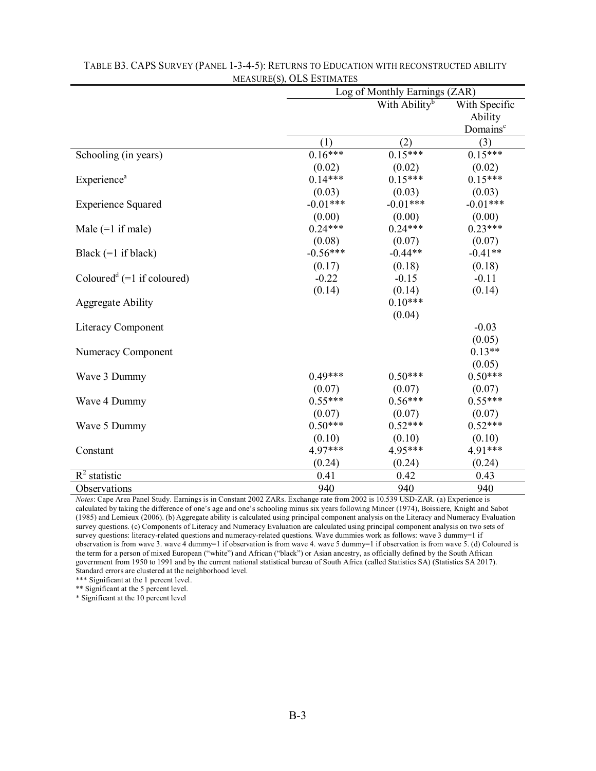|                                        | Log of Monthly Earnings (ZAR) |                           |                      |  |
|----------------------------------------|-------------------------------|---------------------------|----------------------|--|
|                                        |                               | With Ability <sup>b</sup> | With Specific        |  |
|                                        |                               |                           | Ability              |  |
|                                        |                               |                           | Domains <sup>c</sup> |  |
|                                        | (1)                           | (2)                       | (3)                  |  |
| Schooling (in years)                   | $0.16***$                     | $0.15***$                 | $0.15***$            |  |
|                                        | (0.02)                        | (0.02)                    | (0.02)               |  |
| Experience <sup>a</sup>                | $0.14***$                     | $0.15***$                 | $0.15***$            |  |
|                                        | (0.03)                        | (0.03)                    | (0.03)               |  |
| <b>Experience Squared</b>              | $-0.01***$                    | $-0.01***$                | $-0.01***$           |  |
|                                        | (0.00)                        | (0.00)                    | (0.00)               |  |
| Male $(=1$ if male)                    | $0.24***$                     | $0.24***$                 | $0.23***$            |  |
|                                        | (0.08)                        | (0.07)                    | (0.07)               |  |
| Black $(=1$ if black)                  | $-0.56***$                    | $-0.44**$                 | $-0.41**$            |  |
|                                        | (0.17)                        | (0.18)                    | (0.18)               |  |
| Coloured <sup>d</sup> (=1 if coloured) | $-0.22$                       | $-0.15$                   | $-0.11$              |  |
|                                        | (0.14)                        | (0.14)                    | (0.14)               |  |
| <b>Aggregate Ability</b>               |                               | $0.10***$                 |                      |  |
|                                        |                               | (0.04)                    |                      |  |
| Literacy Component                     |                               |                           | $-0.03$              |  |
|                                        |                               |                           | (0.05)               |  |
| Numeracy Component                     |                               |                           | $0.13**$             |  |
|                                        |                               |                           | (0.05)               |  |
| Wave 3 Dummy                           | $0.49***$                     | $0.50***$                 | $0.50***$            |  |
|                                        | (0.07)                        | (0.07)                    | (0.07)               |  |
| Wave 4 Dummy                           | $0.55***$                     | $0.56***$                 | $0.55***$            |  |
|                                        | (0.07)                        | (0.07)                    | (0.07)               |  |
| Wave 5 Dummy                           | $0.50***$                     | $0.52***$                 | $0.52***$            |  |
|                                        | (0.10)                        | (0.10)                    | (0.10)               |  |
| Constant                               | 4.97***                       | 4.95***                   | 4.91***              |  |
|                                        | (0.24)                        | (0.24)                    | (0.24)               |  |
| $R^2$ statistic                        | 0.41                          | 0.42                      | 0.43                 |  |
| Observations                           | 940                           | 940                       | 940                  |  |

#### TABLE B3. CAPS SURVEY (PANEL 1-3-4-5): RETURNS TO EDUCATION WITH RECONSTRUCTED ABILITY MEASURE(S), OLS ESTIMATES

*Notes*: Cape Area Panel Study. Earnings is in Constant 2002 ZARs. Exchange rate from 2002 is 10.539 USD-ZAR. (a) Experience is calculated by taking the difference of one's age and one's schooling minus six years following Mincer (1974), Boissiere, Knight and Sabot (1985) and Lemieux (2006). (b) Aggregate ability is calculated using principal component analysis on the Literacy and Numeracy Evaluation survey questions. (c) Components of Literacy and Numeracy Evaluation are calculated using principal component analysis on two sets of survey questions: literacy-related questions and numeracy-related questions. Wave dummies work as follows: wave 3 dummy=1 if observation is from wave 3. wave 4 dummy=1 if observation is from wave 4. wave 5 dummy=1 if observation is from wave 5. (d) Coloured is the term for a person of mixed European ("white") and African ("black") or Asian ancestry, as officially defined by the South African government from 1950 to 1991 and by the current national statistical bureau of South Africa (called Statistics SA) (Statistics SA 2017). Standard errors are clustered at the neighborhood level.

\*\*\* Significant at the 1 percent level.

\*\* Significant at the 5 percent level.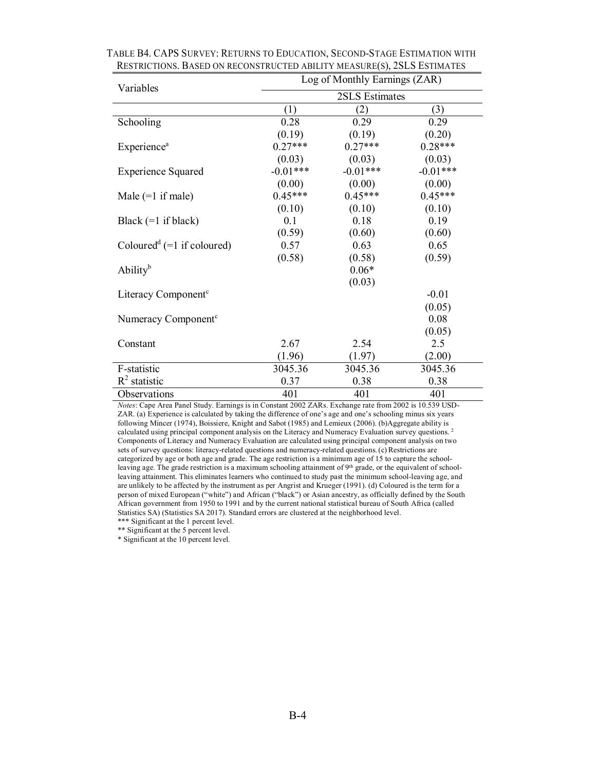| Variables                                         | Log of Monthly Earnings (ZAR) |            |            |  |  |
|---------------------------------------------------|-------------------------------|------------|------------|--|--|
|                                                   | 2SLS Estimates                |            |            |  |  |
|                                                   | (1)                           | (2)        | (3)        |  |  |
| Schooling                                         | 0.28                          | 0.29       | 0.29       |  |  |
|                                                   | (0.19)                        | (0.19)     | (0.20)     |  |  |
| <b>Experience</b> <sup>a</sup>                    | $0.27***$                     | $0.27***$  | $0.28***$  |  |  |
|                                                   | (0.03)                        | (0.03)     | (0.03)     |  |  |
| <b>Experience Squared</b>                         | $-0.01***$                    | $-0.01***$ | $-0.01***$ |  |  |
|                                                   | (0.00)                        | (0.00)     | (0.00)     |  |  |
| Male $(=1$ if male)                               | $0.45***$                     | $0.45***$  | $0.45***$  |  |  |
|                                                   | (0.10)                        | (0.10)     | (0.10)     |  |  |
| Black $(=1$ if black)                             | 0.1                           | 0.18       | 0.19       |  |  |
|                                                   | (0.59)                        | (0.60)     | (0.60)     |  |  |
| Coloured <sup>d</sup> (=1 if coloured)            | 0.57                          | 0.63       | 0.65       |  |  |
|                                                   | (0.58)                        | (0.58)     | (0.59)     |  |  |
| $\mathrm{A}\mathrm{b}\mathrm{ility}^{\mathrm{b}}$ |                               | $0.06*$    |            |  |  |
|                                                   |                               | (0.03)     |            |  |  |
| Literacy Component <sup>c</sup>                   |                               |            | $-0.01$    |  |  |
|                                                   |                               |            | (0.05)     |  |  |
| Numeracy Component <sup>c</sup>                   |                               |            | 0.08       |  |  |
|                                                   |                               |            | (0.05)     |  |  |
| Constant                                          | 2.67                          | 2.54       | 2.5        |  |  |
|                                                   | (1.96)                        | (1.97)     | (2.00)     |  |  |
| F-statistic                                       | 3045.36                       | 3045.36    | 3045.36    |  |  |
| $R^2$ statistic                                   | 0.37                          | 0.38       | 0.38       |  |  |
| Observations                                      | 401                           | 401        | 401        |  |  |

TABLE B4. CAPS SURVEY: RETURNS TO EDUCATION, SECOND-STAGE ESTIMATION WITH RESTRICTIONS. BASED ON RECONSTRUCTED ABILITY MEASURE(S), 2SLS ESTIMATES

*Notes*: Cape Area Panel Study. Earnings is in Constant 2002 ZARs. Exchange rate from 2002 is 10.539 USD-ZAR. (a) Experience is calculated by taking the difference of one's age and one's schooling minus six years following Mincer (1974), Boissiere, Knight and Sabot (1985) and Lemieux (2006). (b)Aggregate ability is calculated using principal component analysis on the Literacy and Numeracy Evaluation survey questions. 2 Components of Literacy and Numeracy Evaluation are calculated using principal component analysis on two sets of survey questions: literacy-related questions and numeracy-related questions.(c) Restrictions are categorized by age or both age and grade. The age restriction is a minimum age of 15 to capture the schoolleaving age. The grade restriction is a maximum schooling attainment of 9<sup>th</sup> grade, or the equivalent of schoolleaving attainment. This eliminates learners who continued to study past the minimum school-leaving age, and are unlikely to be affected by the instrument as per Angrist and Krueger (1991). (d) Coloured is the term for a person of mixed European ("white") and African ("black") or Asian ancestry, as officially defined by the South African government from 1950 to 1991 and by the current national statistical bureau of South Africa (called Statistics SA) (Statistics SA 2017). Standard errors are clustered at the neighborhood level. \*\*\* Significant at the 1 percent level.

\*\* Significant at the 5 percent level.